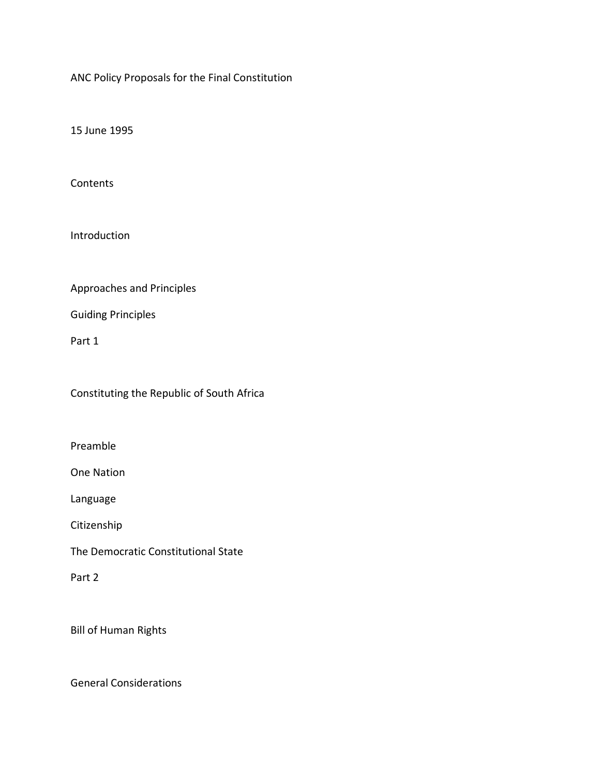ANC Policy Proposals for the Final Constitution

15 June 1995

**Contents** 

Introduction

Approaches and Principles

Guiding Principles

Part 1

Constituting the Republic of South Africa

Preamble

One Nation

Language

Citizenship

The Democratic Constitutional State

Part 2

Bill of Human Rights

General Considerations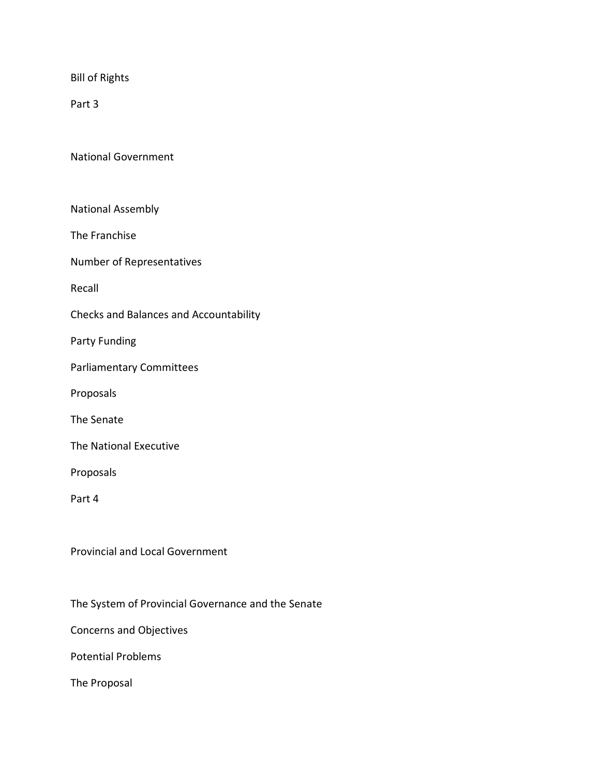Bill of Rights

Part 3

National Government

National Assembly

The Franchise

Number of Representatives

Recall

Checks and Balances and Accountability

Party Funding

Parliamentary Committees

Proposals

The Senate

The National Executive

Proposals

Part 4

Provincial and Local Government

The System of Provincial Governance and the Senate

Concerns and Objectives

Potential Problems

The Proposal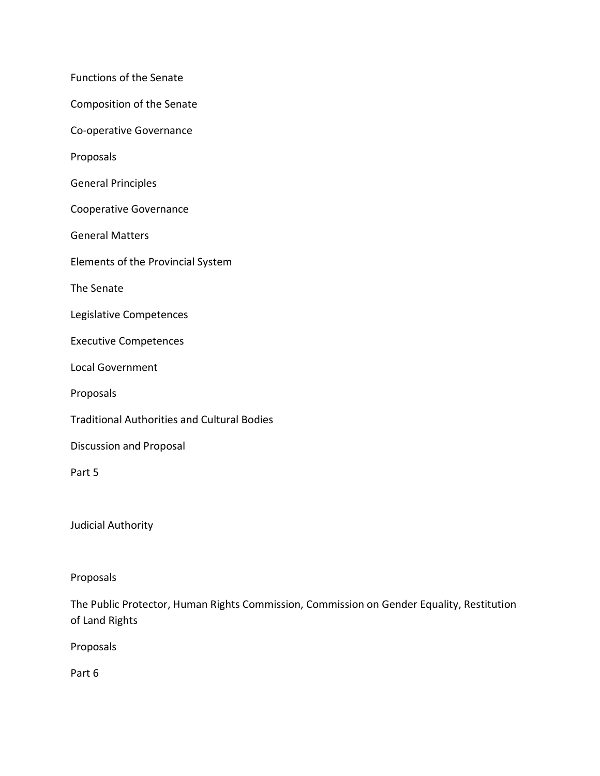Functions of the Senate

Composition of the Senate

Co-operative Governance

Proposals

General Principles

Cooperative Governance

General Matters

Elements of the Provincial System

The Senate

Legislative Competences

Executive Competences

Local Government

Proposals

Traditional Authorities and Cultural Bodies

Discussion and Proposal

Part 5

Judicial Authority

#### Proposals

The Public Protector, Human Rights Commission, Commission on Gender Equality, Restitution of Land Rights

Proposals

Part 6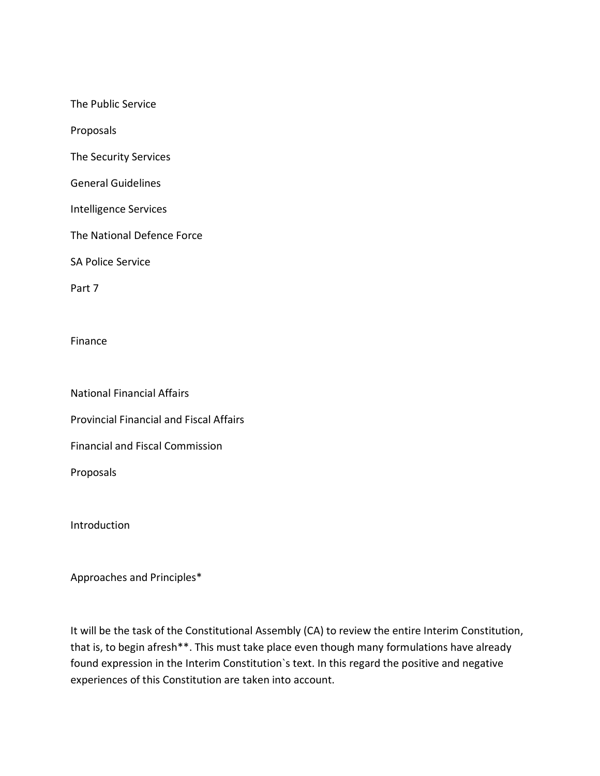The Public Service

Proposals

The Security Services

General Guidelines

Intelligence Services

The National Defence Force

SA Police Service

Part 7

Finance

National Financial Affairs

Provincial Financial and Fiscal Affairs

Financial and Fiscal Commission

Proposals

Introduction

Approaches and Principles\*

It will be the task of the Constitutional Assembly (CA) to review the entire Interim Constitution, that is, to begin afresh\*\*. This must take place even though many formulations have already found expression in the Interim Constitution`s text. In this regard the positive and negative experiences of this Constitution are taken into account.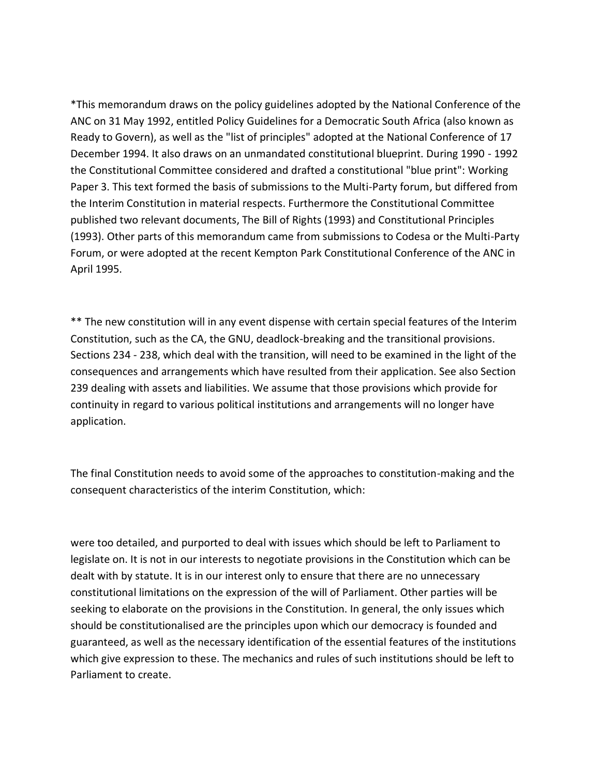\*This memorandum draws on the policy guidelines adopted by the National Conference of the ANC on 31 May 1992, entitled Policy Guidelines for a Democratic South Africa (also known as Ready to Govern), as well as the "list of principles" adopted at the National Conference of 17 December 1994. It also draws on an unmandated constitutional blueprint. During 1990 - 1992 the Constitutional Committee considered and drafted a constitutional "blue print": Working Paper 3. This text formed the basis of submissions to the Multi-Party forum, but differed from the Interim Constitution in material respects. Furthermore the Constitutional Committee published two relevant documents, The Bill of Rights (1993) and Constitutional Principles (1993). Other parts of this memorandum came from submissions to Codesa or the Multi-Party Forum, or were adopted at the recent Kempton Park Constitutional Conference of the ANC in April 1995.

\*\* The new constitution will in any event dispense with certain special features of the Interim Constitution, such as the CA, the GNU, deadlock-breaking and the transitional provisions. Sections 234 - 238, which deal with the transition, will need to be examined in the light of the consequences and arrangements which have resulted from their application. See also Section 239 dealing with assets and liabilities. We assume that those provisions which provide for continuity in regard to various political institutions and arrangements will no longer have application.

The final Constitution needs to avoid some of the approaches to constitution-making and the consequent characteristics of the interim Constitution, which:

were too detailed, and purported to deal with issues which should be left to Parliament to legislate on. It is not in our interests to negotiate provisions in the Constitution which can be dealt with by statute. It is in our interest only to ensure that there are no unnecessary constitutional limitations on the expression of the will of Parliament. Other parties will be seeking to elaborate on the provisions in the Constitution. In general, the only issues which should be constitutionalised are the principles upon which our democracy is founded and guaranteed, as well as the necessary identification of the essential features of the institutions which give expression to these. The mechanics and rules of such institutions should be left to Parliament to create.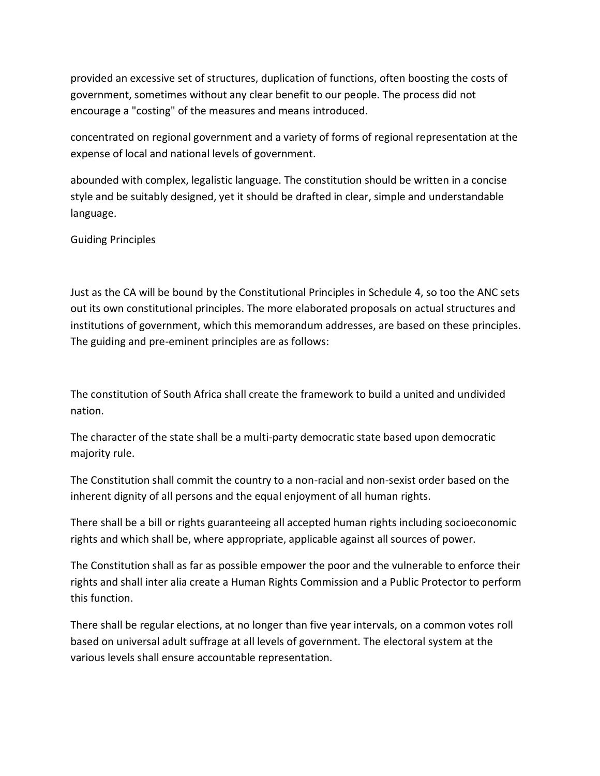provided an excessive set of structures, duplication of functions, often boosting the costs of government, sometimes without any clear benefit to our people. The process did not encourage a "costing" of the measures and means introduced.

concentrated on regional government and a variety of forms of regional representation at the expense of local and national levels of government.

abounded with complex, legalistic language. The constitution should be written in a concise style and be suitably designed, yet it should be drafted in clear, simple and understandable language.

Guiding Principles

Just as the CA will be bound by the Constitutional Principles in Schedule 4, so too the ANC sets out its own constitutional principles. The more elaborated proposals on actual structures and institutions of government, which this memorandum addresses, are based on these principles. The guiding and pre-eminent principles are as follows:

The constitution of South Africa shall create the framework to build a united and undivided nation.

The character of the state shall be a multi-party democratic state based upon democratic majority rule.

The Constitution shall commit the country to a non-racial and non-sexist order based on the inherent dignity of all persons and the equal enjoyment of all human rights.

There shall be a bill or rights guaranteeing all accepted human rights including socioeconomic rights and which shall be, where appropriate, applicable against all sources of power.

The Constitution shall as far as possible empower the poor and the vulnerable to enforce their rights and shall inter alia create a Human Rights Commission and a Public Protector to perform this function.

There shall be regular elections, at no longer than five year intervals, on a common votes roll based on universal adult suffrage at all levels of government. The electoral system at the various levels shall ensure accountable representation.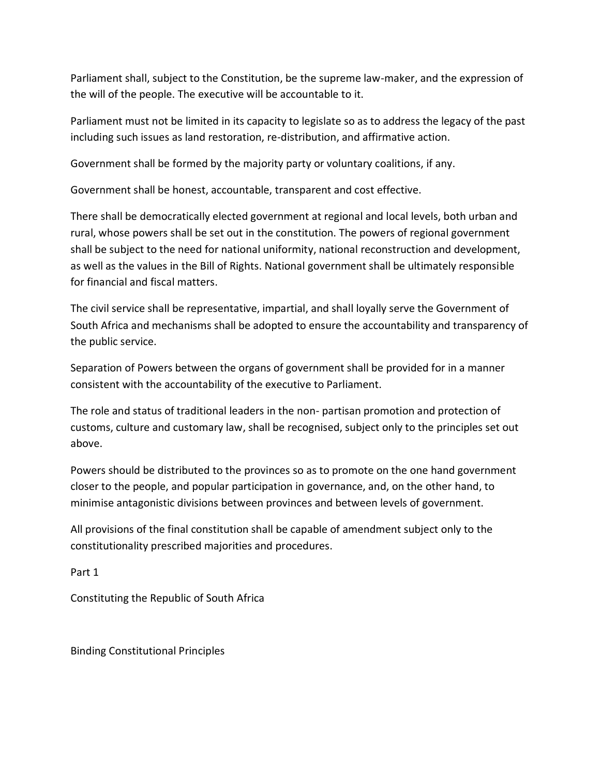Parliament shall, subject to the Constitution, be the supreme law-maker, and the expression of the will of the people. The executive will be accountable to it.

Parliament must not be limited in its capacity to legislate so as to address the legacy of the past including such issues as land restoration, re-distribution, and affirmative action.

Government shall be formed by the majority party or voluntary coalitions, if any.

Government shall be honest, accountable, transparent and cost effective.

There shall be democratically elected government at regional and local levels, both urban and rural, whose powers shall be set out in the constitution. The powers of regional government shall be subject to the need for national uniformity, national reconstruction and development, as well as the values in the Bill of Rights. National government shall be ultimately responsible for financial and fiscal matters.

The civil service shall be representative, impartial, and shall loyally serve the Government of South Africa and mechanisms shall be adopted to ensure the accountability and transparency of the public service.

Separation of Powers between the organs of government shall be provided for in a manner consistent with the accountability of the executive to Parliament.

The role and status of traditional leaders in the non- partisan promotion and protection of customs, culture and customary law, shall be recognised, subject only to the principles set out above.

Powers should be distributed to the provinces so as to promote on the one hand government closer to the people, and popular participation in governance, and, on the other hand, to minimise antagonistic divisions between provinces and between levels of government.

All provisions of the final constitution shall be capable of amendment subject only to the constitutionality prescribed majorities and procedures.

Part 1

Constituting the Republic of South Africa

Binding Constitutional Principles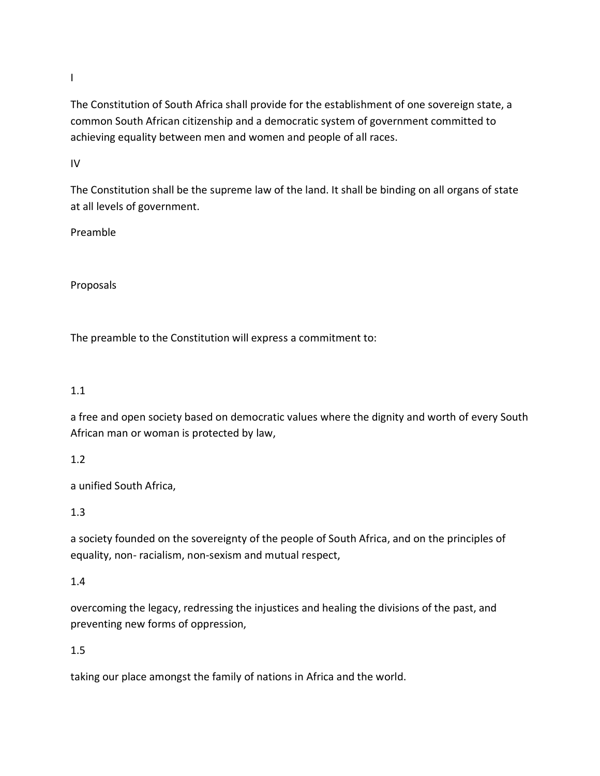$\mathbf{I}$ 

The Constitution of South Africa shall provide for the establishment of one sovereign state, a common South African citizenship and a democratic system of government committed to achieving equality between men and women and people of all races.

IV

The Constitution shall be the supreme law of the land. It shall be binding on all organs of state at all levels of government.

Preamble

Proposals

The preamble to the Constitution will express a commitment to:

## 1.1

a free and open society based on democratic values where the dignity and worth of every South African man or woman is protected by law,

#### 1.2

a unified South Africa,

1.3

a society founded on the sovereignty of the people of South Africa, and on the principles of equality, non- racialism, non-sexism and mutual respect,

1.4

overcoming the legacy, redressing the injustices and healing the divisions of the past, and preventing new forms of oppression,

1.5

taking our place amongst the family of nations in Africa and the world.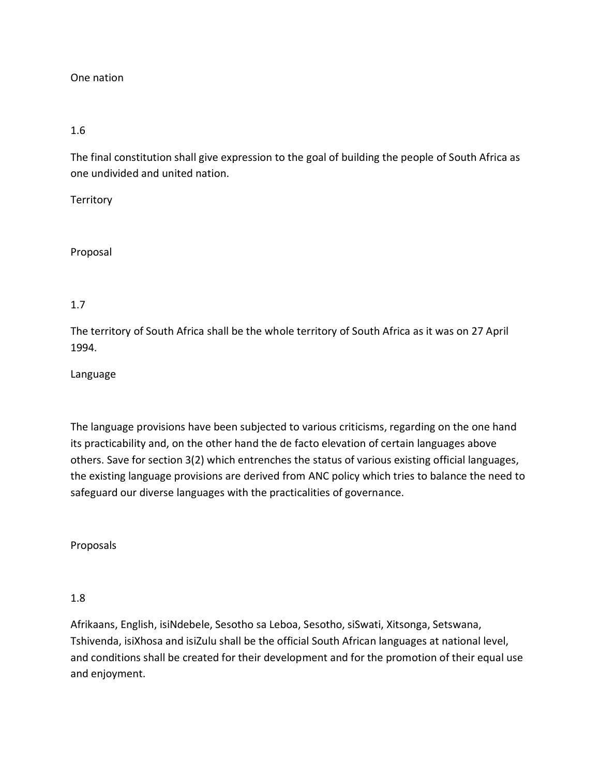#### One nation

#### 1.6

The final constitution shall give expression to the goal of building the people of South Africa as one undivided and united nation.

**Territory** 

Proposal

#### 1.7

The territory of South Africa shall be the whole territory of South Africa as it was on 27 April 1994.

#### Language

The language provisions have been subjected to various criticisms, regarding on the one hand its practicability and, on the other hand the de facto elevation of certain languages above others. Save for section 3(2) which entrenches the status of various existing official languages, the existing language provisions are derived from ANC policy which tries to balance the need to safeguard our diverse languages with the practicalities of governance.

Proposals

#### 1.8

Afrikaans, English, isiNdebele, Sesotho sa Leboa, Sesotho, siSwati, Xitsonga, Setswana, Tshivenda, isiXhosa and isiZulu shall be the official South African languages at national level, and conditions shall be created for their development and for the promotion of their equal use and enjoyment.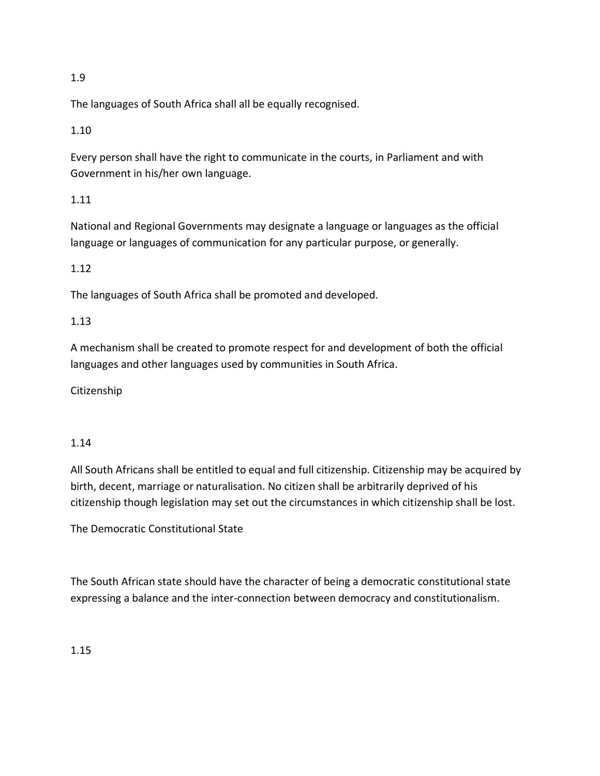### 1.9

The languages of South Africa shall all be equally recognised.

1.10

Every person shall have the right to communicate in the courts, in Parliament and with Government in his/her own language.

## 1.11

National and Regional Governments may designate a language or languages as the official language or languages of communication for any particular purpose, or generally.

# 1.12

The languages of South Africa shall be promoted and developed.

# 1.13

A mechanism shall be created to promote respect for and development of both the official languages and other languages used by communities in South Africa.

## Citizenship

## 1.14

All South Africans shall be entitled to equal and full citizenship. Citizenship may be acquired by birth, decent, marriage or naturalisation. No citizen shall be arbitrarily deprived of his citizenship though legislation may set out the circumstances in which citizenship shall be lost.

The Democratic Constitutional State

The South African state should have the character of being a democratic constitutional state expressing a balance and the inter-connection between democracy and constitutionalism.

## 1.15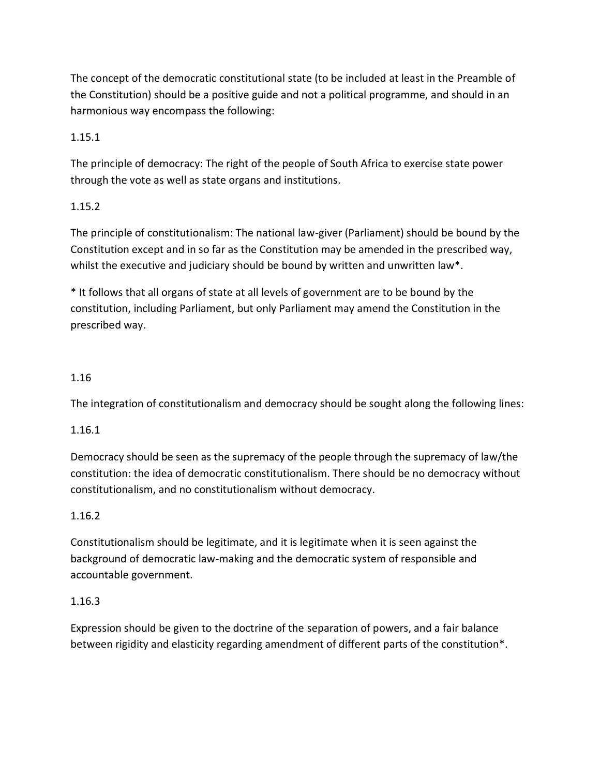The concept of the democratic constitutional state (to be included at least in the Preamble of the Constitution) should be a positive guide and not a political programme, and should in an harmonious way encompass the following:

# 1.15.1

The principle of democracy: The right of the people of South Africa to exercise state power through the vote as well as state organs and institutions.

# 1.15.2

The principle of constitutionalism: The national law-giver (Parliament) should be bound by the Constitution except and in so far as the Constitution may be amended in the prescribed way, whilst the executive and judiciary should be bound by written and unwritten law\*.

\* It follows that all organs of state at all levels of government are to be bound by the constitution, including Parliament, but only Parliament may amend the Constitution in the prescribed way.

# 1.16

The integration of constitutionalism and democracy should be sought along the following lines:

## 1.16.1

Democracy should be seen as the supremacy of the people through the supremacy of law/the constitution: the idea of democratic constitutionalism. There should be no democracy without constitutionalism, and no constitutionalism without democracy.

## 1.16.2

Constitutionalism should be legitimate, and it is legitimate when it is seen against the background of democratic law-making and the democratic system of responsible and accountable government.

## 1.16.3

Expression should be given to the doctrine of the separation of powers, and a fair balance between rigidity and elasticity regarding amendment of different parts of the constitution\*.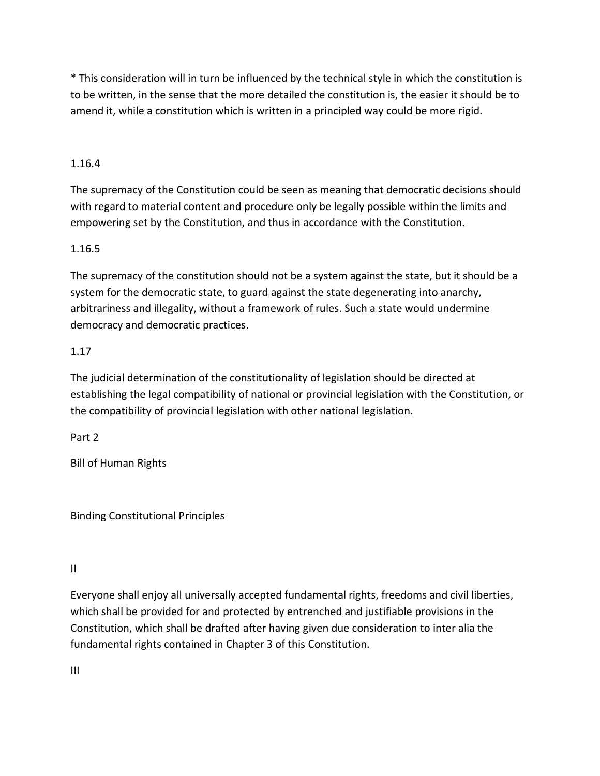\* This consideration will in turn be influenced by the technical style in which the constitution is to be written, in the sense that the more detailed the constitution is, the easier it should be to amend it, while a constitution which is written in a principled way could be more rigid.

## 1.16.4

The supremacy of the Constitution could be seen as meaning that democratic decisions should with regard to material content and procedure only be legally possible within the limits and empowering set by the Constitution, and thus in accordance with the Constitution.

### 1.16.5

The supremacy of the constitution should not be a system against the state, but it should be a system for the democratic state, to guard against the state degenerating into anarchy, arbitrariness and illegality, without a framework of rules. Such a state would undermine democracy and democratic practices.

#### 1.17

The judicial determination of the constitutionality of legislation should be directed at establishing the legal compatibility of national or provincial legislation with the Constitution, or the compatibility of provincial legislation with other national legislation.

Part 2

Bill of Human Rights

Binding Constitutional Principles

#### II

Everyone shall enjoy all universally accepted fundamental rights, freedoms and civil liberties, which shall be provided for and protected by entrenched and justifiable provisions in the Constitution, which shall be drafted after having given due consideration to inter alia the fundamental rights contained in Chapter 3 of this Constitution.

III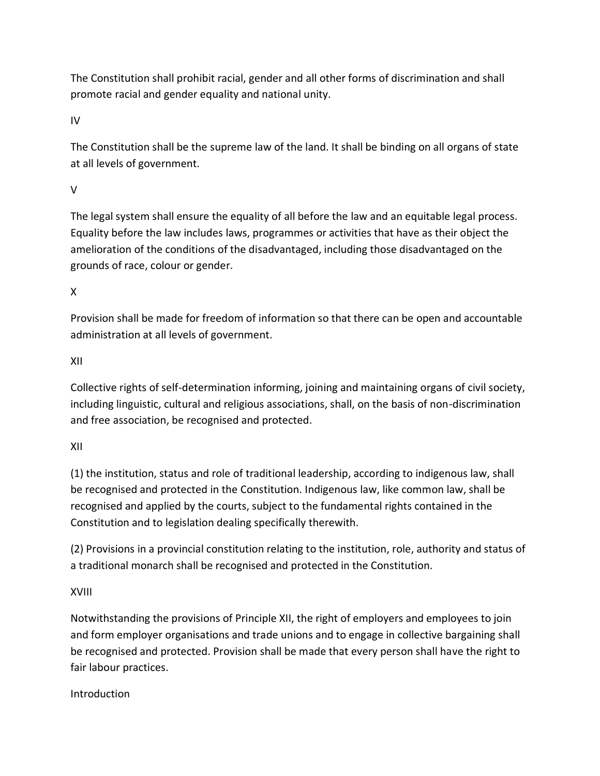The Constitution shall prohibit racial, gender and all other forms of discrimination and shall promote racial and gender equality and national unity.

IV

The Constitution shall be the supreme law of the land. It shall be binding on all organs of state at all levels of government.

V

The legal system shall ensure the equality of all before the law and an equitable legal process. Equality before the law includes laws, programmes or activities that have as their object the amelioration of the conditions of the disadvantaged, including those disadvantaged on the grounds of race, colour or gender.

X

Provision shall be made for freedom of information so that there can be open and accountable administration at all levels of government.

XII

Collective rights of self-determination informing, joining and maintaining organs of civil society, including linguistic, cultural and religious associations, shall, on the basis of non-discrimination and free association, be recognised and protected.

XII

(1) the institution, status and role of traditional leadership, according to indigenous law, shall be recognised and protected in the Constitution. Indigenous law, like common law, shall be recognised and applied by the courts, subject to the fundamental rights contained in the Constitution and to legislation dealing specifically therewith.

(2) Provisions in a provincial constitution relating to the institution, role, authority and status of a traditional monarch shall be recognised and protected in the Constitution.

XVIII

Notwithstanding the provisions of Principle XII, the right of employers and employees to join and form employer organisations and trade unions and to engage in collective bargaining shall be recognised and protected. Provision shall be made that every person shall have the right to fair labour practices.

Introduction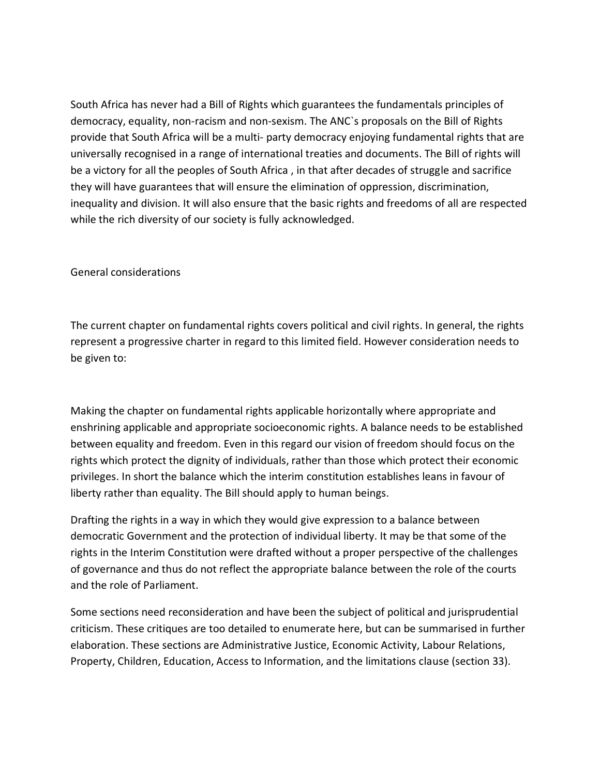South Africa has never had a Bill of Rights which guarantees the fundamentals principles of democracy, equality, non-racism and non-sexism. The ANC`s proposals on the Bill of Rights provide that South Africa will be a multi- party democracy enjoying fundamental rights that are universally recognised in a range of international treaties and documents. The Bill of rights will be a victory for all the peoples of South Africa , in that after decades of struggle and sacrifice they will have guarantees that will ensure the elimination of oppression, discrimination, inequality and division. It will also ensure that the basic rights and freedoms of all are respected while the rich diversity of our society is fully acknowledged.

General considerations

The current chapter on fundamental rights covers political and civil rights. In general, the rights represent a progressive charter in regard to this limited field. However consideration needs to be given to:

Making the chapter on fundamental rights applicable horizontally where appropriate and enshrining applicable and appropriate socioeconomic rights. A balance needs to be established between equality and freedom. Even in this regard our vision of freedom should focus on the rights which protect the dignity of individuals, rather than those which protect their economic privileges. In short the balance which the interim constitution establishes leans in favour of liberty rather than equality. The Bill should apply to human beings.

Drafting the rights in a way in which they would give expression to a balance between democratic Government and the protection of individual liberty. It may be that some of the rights in the Interim Constitution were drafted without a proper perspective of the challenges of governance and thus do not reflect the appropriate balance between the role of the courts and the role of Parliament.

Some sections need reconsideration and have been the subject of political and jurisprudential criticism. These critiques are too detailed to enumerate here, but can be summarised in further elaboration. These sections are Administrative Justice, Economic Activity, Labour Relations, Property, Children, Education, Access to Information, and the limitations clause (section 33).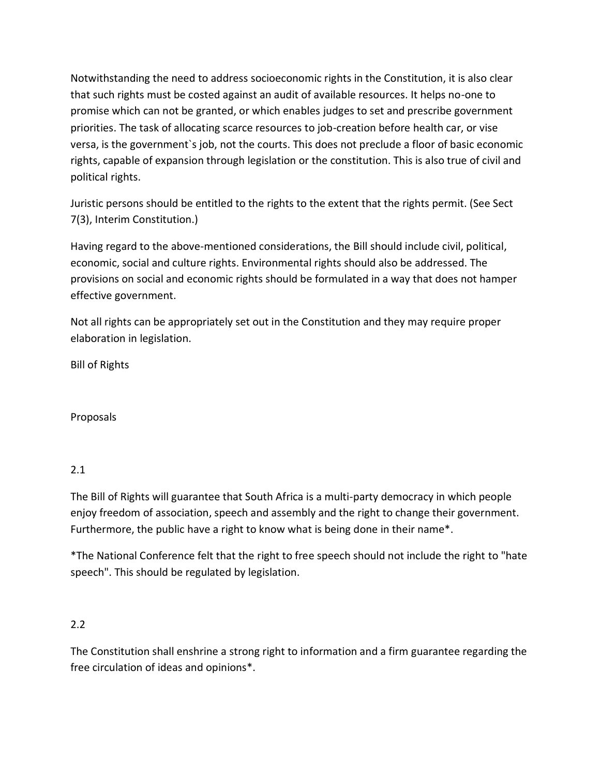Notwithstanding the need to address socioeconomic rights in the Constitution, it is also clear that such rights must be costed against an audit of available resources. It helps no-one to promise which can not be granted, or which enables judges to set and prescribe government priorities. The task of allocating scarce resources to job-creation before health car, or vise versa, is the government`s job, not the courts. This does not preclude a floor of basic economic rights, capable of expansion through legislation or the constitution. This is also true of civil and political rights.

Juristic persons should be entitled to the rights to the extent that the rights permit. (See Sect 7(3), Interim Constitution.)

Having regard to the above-mentioned considerations, the Bill should include civil, political, economic, social and culture rights. Environmental rights should also be addressed. The provisions on social and economic rights should be formulated in a way that does not hamper effective government.

Not all rights can be appropriately set out in the Constitution and they may require proper elaboration in legislation.

Bill of Rights

Proposals

#### 2.1

The Bill of Rights will guarantee that South Africa is a multi-party democracy in which people enjoy freedom of association, speech and assembly and the right to change their government. Furthermore, the public have a right to know what is being done in their name\*.

\*The National Conference felt that the right to free speech should not include the right to "hate speech". This should be regulated by legislation.

## 2.2

The Constitution shall enshrine a strong right to information and a firm guarantee regarding the free circulation of ideas and opinions\*.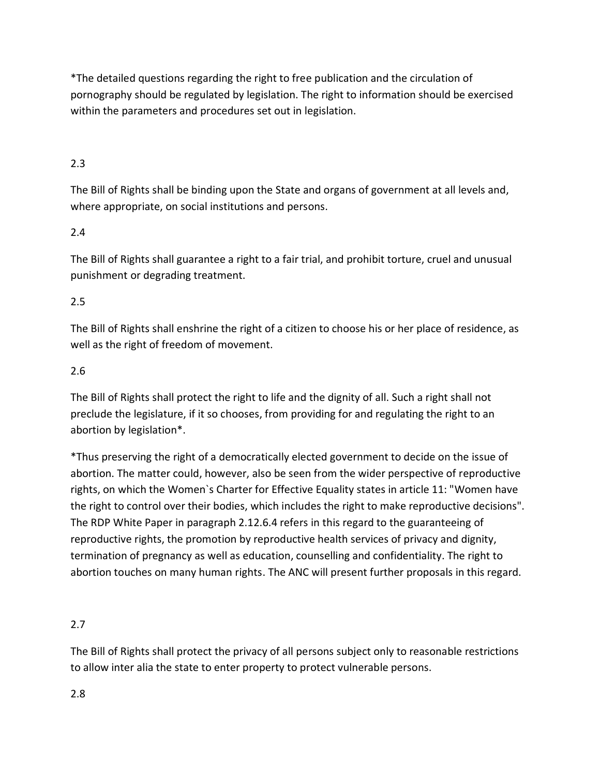\*The detailed questions regarding the right to free publication and the circulation of pornography should be regulated by legislation. The right to information should be exercised within the parameters and procedures set out in legislation.

# 2.3

The Bill of Rights shall be binding upon the State and organs of government at all levels and, where appropriate, on social institutions and persons.

#### 2.4

The Bill of Rights shall guarantee a right to a fair trial, and prohibit torture, cruel and unusual punishment or degrading treatment.

### 2.5

The Bill of Rights shall enshrine the right of a citizen to choose his or her place of residence, as well as the right of freedom of movement.

### 2.6

The Bill of Rights shall protect the right to life and the dignity of all. Such a right shall not preclude the legislature, if it so chooses, from providing for and regulating the right to an abortion by legislation\*.

\*Thus preserving the right of a democratically elected government to decide on the issue of abortion. The matter could, however, also be seen from the wider perspective of reproductive rights, on which the Women`s Charter for Effective Equality states in article 11: "Women have the right to control over their bodies, which includes the right to make reproductive decisions". The RDP White Paper in paragraph 2.12.6.4 refers in this regard to the guaranteeing of reproductive rights, the promotion by reproductive health services of privacy and dignity, termination of pregnancy as well as education, counselling and confidentiality. The right to abortion touches on many human rights. The ANC will present further proposals in this regard.

## 2.7

The Bill of Rights shall protect the privacy of all persons subject only to reasonable restrictions to allow inter alia the state to enter property to protect vulnerable persons.

2.8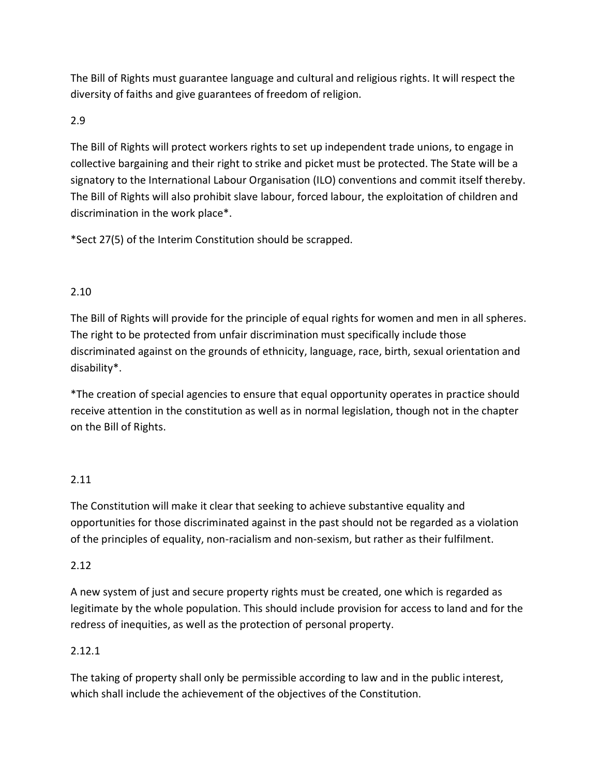The Bill of Rights must guarantee language and cultural and religious rights. It will respect the diversity of faiths and give guarantees of freedom of religion.

## 2.9

The Bill of Rights will protect workers rights to set up independent trade unions, to engage in collective bargaining and their right to strike and picket must be protected. The State will be a signatory to the International Labour Organisation (ILO) conventions and commit itself thereby. The Bill of Rights will also prohibit slave labour, forced labour, the exploitation of children and discrimination in the work place\*.

\*Sect 27(5) of the Interim Constitution should be scrapped.

# 2.10

The Bill of Rights will provide for the principle of equal rights for women and men in all spheres. The right to be protected from unfair discrimination must specifically include those discriminated against on the grounds of ethnicity, language, race, birth, sexual orientation and disability\*.

\*The creation of special agencies to ensure that equal opportunity operates in practice should receive attention in the constitution as well as in normal legislation, though not in the chapter on the Bill of Rights.

# 2.11

The Constitution will make it clear that seeking to achieve substantive equality and opportunities for those discriminated against in the past should not be regarded as a violation of the principles of equality, non-racialism and non-sexism, but rather as their fulfilment.

## 2.12

A new system of just and secure property rights must be created, one which is regarded as legitimate by the whole population. This should include provision for access to land and for the redress of inequities, as well as the protection of personal property.

## 2.12.1

The taking of property shall only be permissible according to law and in the public interest, which shall include the achievement of the objectives of the Constitution.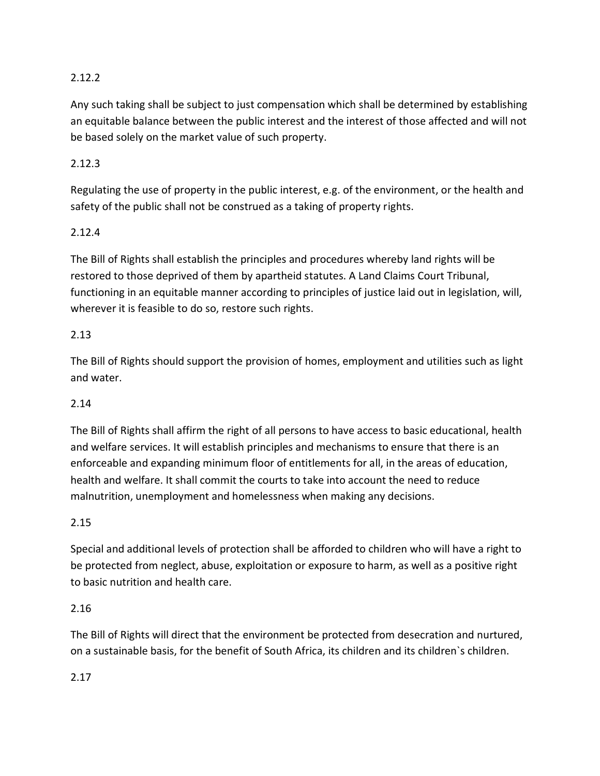# 2.12.2

Any such taking shall be subject to just compensation which shall be determined by establishing an equitable balance between the public interest and the interest of those affected and will not be based solely on the market value of such property.

# 2.12.3

Regulating the use of property in the public interest, e.g. of the environment, or the health and safety of the public shall not be construed as a taking of property rights.

## 2.12.4

The Bill of Rights shall establish the principles and procedures whereby land rights will be restored to those deprived of them by apartheid statutes. A Land Claims Court Tribunal, functioning in an equitable manner according to principles of justice laid out in legislation, will, wherever it is feasible to do so, restore such rights.

## 2.13

The Bill of Rights should support the provision of homes, employment and utilities such as light and water.

## 2.14

The Bill of Rights shall affirm the right of all persons to have access to basic educational, health and welfare services. It will establish principles and mechanisms to ensure that there is an enforceable and expanding minimum floor of entitlements for all, in the areas of education, health and welfare. It shall commit the courts to take into account the need to reduce malnutrition, unemployment and homelessness when making any decisions.

## 2.15

Special and additional levels of protection shall be afforded to children who will have a right to be protected from neglect, abuse, exploitation or exposure to harm, as well as a positive right to basic nutrition and health care.

## 2.16

The Bill of Rights will direct that the environment be protected from desecration and nurtured, on a sustainable basis, for the benefit of South Africa, its children and its children`s children.

## 2.17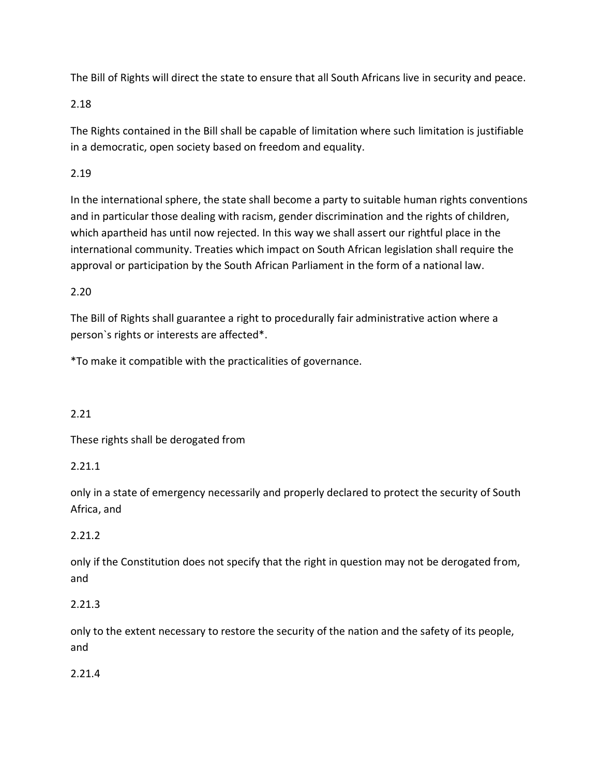The Bill of Rights will direct the state to ensure that all South Africans live in security and peace.

2.18

The Rights contained in the Bill shall be capable of limitation where such limitation is justifiable in a democratic, open society based on freedom and equality.

# 2.19

In the international sphere, the state shall become a party to suitable human rights conventions and in particular those dealing with racism, gender discrimination and the rights of children, which apartheid has until now rejected. In this way we shall assert our rightful place in the international community. Treaties which impact on South African legislation shall require the approval or participation by the South African Parliament in the form of a national law.

# 2.20

The Bill of Rights shall guarantee a right to procedurally fair administrative action where a person`s rights or interests are affected\*.

\*To make it compatible with the practicalities of governance.

# 2.21

These rights shall be derogated from

# 2.21.1

only in a state of emergency necessarily and properly declared to protect the security of South Africa, and

# 2.21.2

only if the Constitution does not specify that the right in question may not be derogated from, and

# 2.21.3

only to the extent necessary to restore the security of the nation and the safety of its people, and

# 2.21.4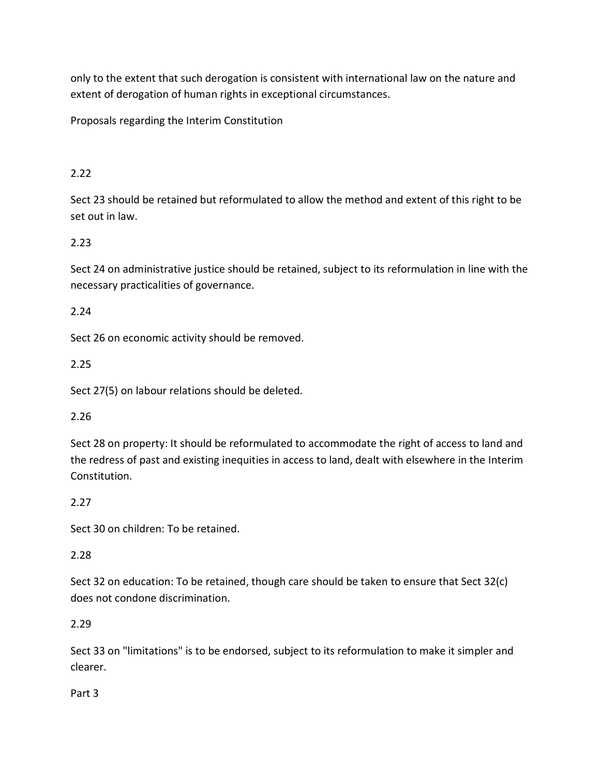only to the extent that such derogation is consistent with international law on the nature and extent of derogation of human rights in exceptional circumstances.

Proposals regarding the Interim Constitution

# 2.22

Sect 23 should be retained but reformulated to allow the method and extent of this right to be set out in law.

# 2.23

Sect 24 on administrative justice should be retained, subject to its reformulation in line with the necessary practicalities of governance.

# 2.24

Sect 26 on economic activity should be removed.

# 2.25

Sect 27(5) on labour relations should be deleted.

## 2.26

Sect 28 on property: It should be reformulated to accommodate the right of access to land and the redress of past and existing inequities in access to land, dealt with elsewhere in the Interim Constitution.

# 2.27

Sect 30 on children: To be retained.

# 2.28

Sect 32 on education: To be retained, though care should be taken to ensure that Sect 32(c) does not condone discrimination.

# 2.29

Sect 33 on "limitations" is to be endorsed, subject to its reformulation to make it simpler and clearer.

## Part 3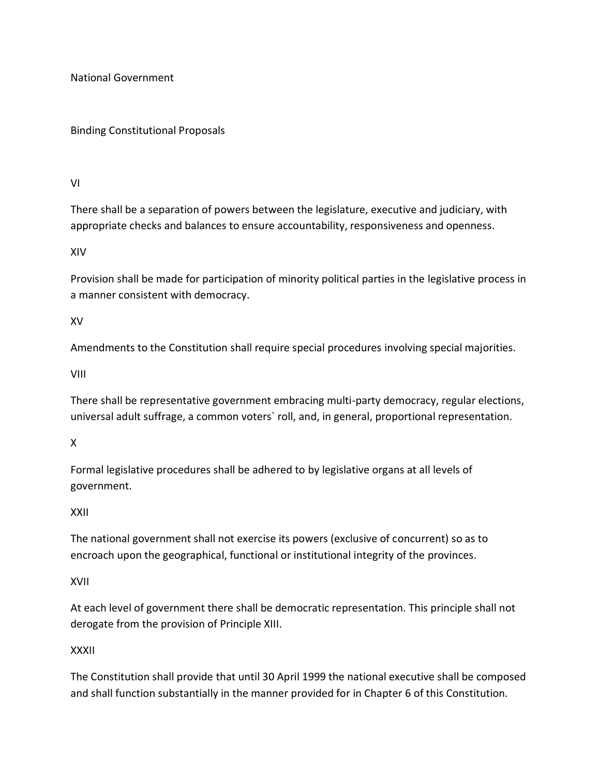National Government

Binding Constitutional Proposals

VI

There shall be a separation of powers between the legislature, executive and judiciary, with appropriate checks and balances to ensure accountability, responsiveness and openness.

XIV

Provision shall be made for participation of minority political parties in the legislative process in a manner consistent with democracy.

XV

Amendments to the Constitution shall require special procedures involving special majorities.

VIII

There shall be representative government embracing multi-party democracy, regular elections, universal adult suffrage, a common voters` roll, and, in general, proportional representation.

X

Formal legislative procedures shall be adhered to by legislative organs at all levels of government.

#### XXII

The national government shall not exercise its powers (exclusive of concurrent) so as to encroach upon the geographical, functional or institutional integrity of the provinces.

XVII

At each level of government there shall be democratic representation. This principle shall not derogate from the provision of Principle XIII.

XXXII

The Constitution shall provide that until 30 April 1999 the national executive shall be composed and shall function substantially in the manner provided for in Chapter 6 of this Constitution.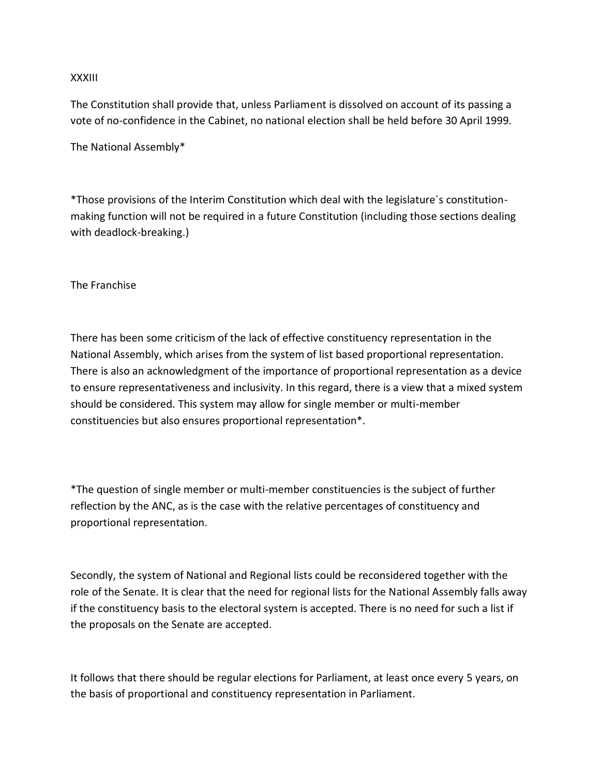#### XXXIII

The Constitution shall provide that, unless Parliament is dissolved on account of its passing a vote of no-confidence in the Cabinet, no national election shall be held before 30 April 1999.

The National Assembly\*

\*Those provisions of the Interim Constitution which deal with the legislature`s constitutionmaking function will not be required in a future Constitution (including those sections dealing with deadlock-breaking.)

#### The Franchise

There has been some criticism of the lack of effective constituency representation in the National Assembly, which arises from the system of list based proportional representation. There is also an acknowledgment of the importance of proportional representation as a device to ensure representativeness and inclusivity. In this regard, there is a view that a mixed system should be considered. This system may allow for single member or multi-member constituencies but also ensures proportional representation\*.

\*The question of single member or multi-member constituencies is the subject of further reflection by the ANC, as is the case with the relative percentages of constituency and proportional representation.

Secondly, the system of National and Regional lists could be reconsidered together with the role of the Senate. It is clear that the need for regional lists for the National Assembly falls away if the constituency basis to the electoral system is accepted. There is no need for such a list if the proposals on the Senate are accepted.

It follows that there should be regular elections for Parliament, at least once every 5 years, on the basis of proportional and constituency representation in Parliament.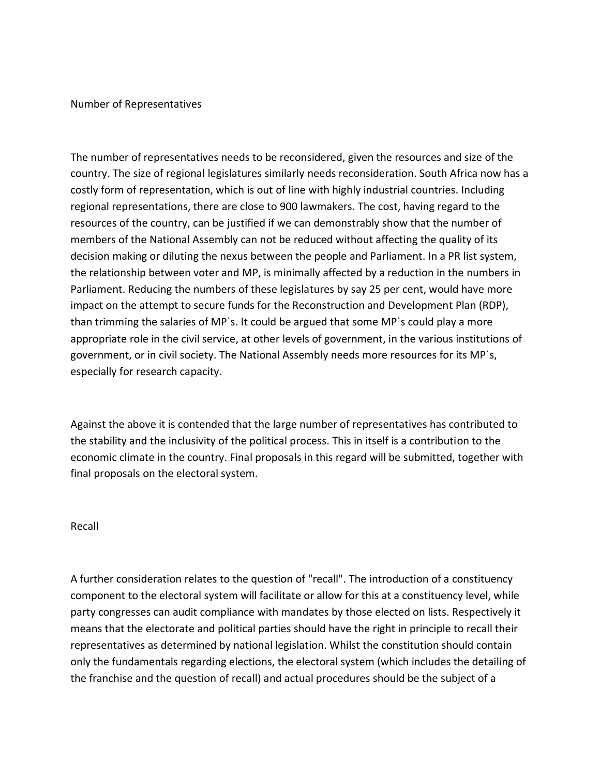#### Number of Representatives

The number of representatives needs to be reconsidered, given the resources and size of the country. The size of regional legislatures similarly needs reconsideration. South Africa now has a costly form of representation, which is out of line with highly industrial countries. Including regional representations, there are close to 900 lawmakers. The cost, having regard to the resources of the country, can be justified if we can demonstrably show that the number of members of the National Assembly can not be reduced without affecting the quality of its decision making or diluting the nexus between the people and Parliament. In a PR list system, the relationship between voter and MP, is minimally affected by a reduction in the numbers in Parliament. Reducing the numbers of these legislatures by say 25 per cent, would have more impact on the attempt to secure funds for the Reconstruction and Development Plan (RDP), than trimming the salaries of MP`s. It could be argued that some MP`s could play a more appropriate role in the civil service, at other levels of government, in the various institutions of government, or in civil society. The National Assembly needs more resources for its MP`s, especially for research capacity.

Against the above it is contended that the large number of representatives has contributed to the stability and the inclusivity of the political process. This in itself is a contribution to the economic climate in the country. Final proposals in this regard will be submitted, together with final proposals on the electoral system.

#### Recall

A further consideration relates to the question of "recall". The introduction of a constituency component to the electoral system will facilitate or allow for this at a constituency level, while party congresses can audit compliance with mandates by those elected on lists. Respectively it means that the electorate and political parties should have the right in principle to recall their representatives as determined by national legislation. Whilst the constitution should contain only the fundamentals regarding elections, the electoral system (which includes the detailing of the franchise and the question of recall) and actual procedures should be the subject of a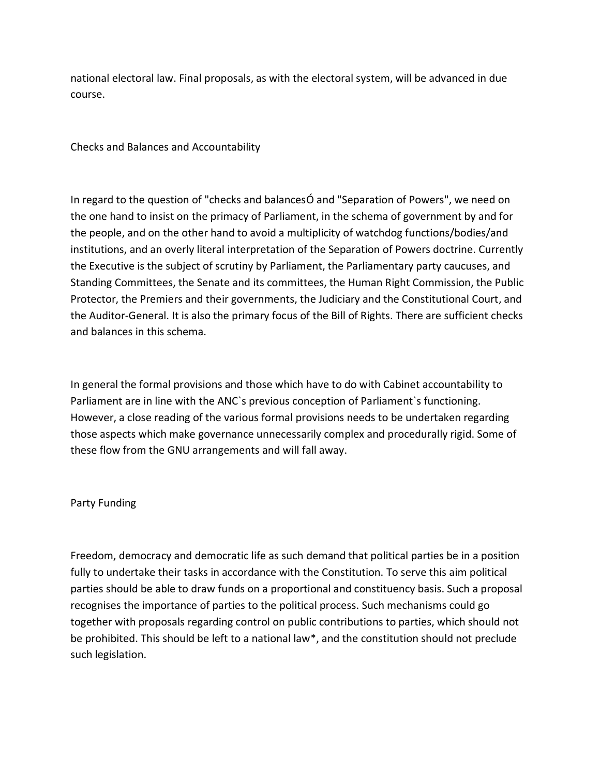national electoral law. Final proposals, as with the electoral system, will be advanced in due course.

Checks and Balances and Accountability

In regard to the question of "checks and balancesÓ and "Separation of Powers", we need on the one hand to insist on the primacy of Parliament, in the schema of government by and for the people, and on the other hand to avoid a multiplicity of watchdog functions/bodies/and institutions, and an overly literal interpretation of the Separation of Powers doctrine. Currently the Executive is the subject of scrutiny by Parliament, the Parliamentary party caucuses, and Standing Committees, the Senate and its committees, the Human Right Commission, the Public Protector, the Premiers and their governments, the Judiciary and the Constitutional Court, and the Auditor-General. It is also the primary focus of the Bill of Rights. There are sufficient checks and balances in this schema.

In general the formal provisions and those which have to do with Cabinet accountability to Parliament are in line with the ANC`s previous conception of Parliament`s functioning. However, a close reading of the various formal provisions needs to be undertaken regarding those aspects which make governance unnecessarily complex and procedurally rigid. Some of these flow from the GNU arrangements and will fall away.

#### Party Funding

Freedom, democracy and democratic life as such demand that political parties be in a position fully to undertake their tasks in accordance with the Constitution. To serve this aim political parties should be able to draw funds on a proportional and constituency basis. Such a proposal recognises the importance of parties to the political process. Such mechanisms could go together with proposals regarding control on public contributions to parties, which should not be prohibited. This should be left to a national law\*, and the constitution should not preclude such legislation.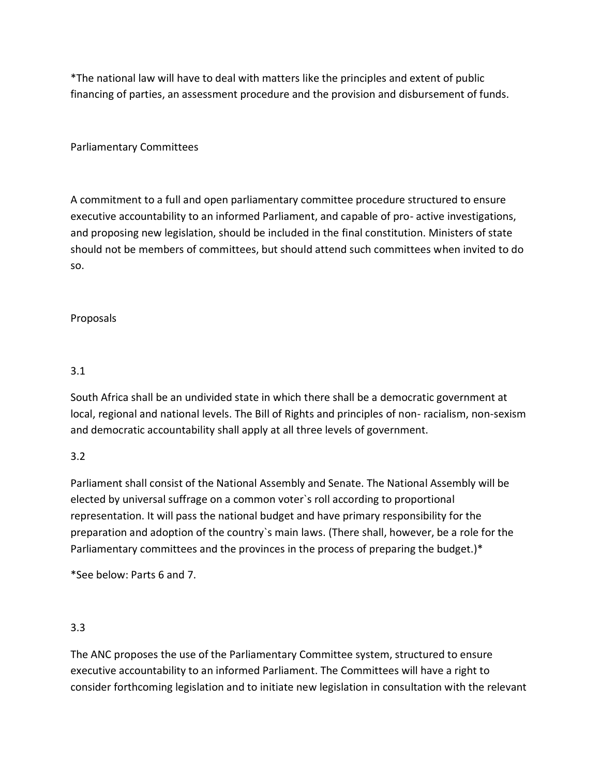\*The national law will have to deal with matters like the principles and extent of public financing of parties, an assessment procedure and the provision and disbursement of funds.

Parliamentary Committees

A commitment to a full and open parliamentary committee procedure structured to ensure executive accountability to an informed Parliament, and capable of pro- active investigations, and proposing new legislation, should be included in the final constitution. Ministers of state should not be members of committees, but should attend such committees when invited to do so.

### Proposals

### 3.1

South Africa shall be an undivided state in which there shall be a democratic government at local, regional and national levels. The Bill of Rights and principles of non- racialism, non-sexism and democratic accountability shall apply at all three levels of government.

## 3.2

Parliament shall consist of the National Assembly and Senate. The National Assembly will be elected by universal suffrage on a common voter`s roll according to proportional representation. It will pass the national budget and have primary responsibility for the preparation and adoption of the country`s main laws. (There shall, however, be a role for the Parliamentary committees and the provinces in the process of preparing the budget.)\*

\*See below: Parts 6 and 7.

## 3.3

The ANC proposes the use of the Parliamentary Committee system, structured to ensure executive accountability to an informed Parliament. The Committees will have a right to consider forthcoming legislation and to initiate new legislation in consultation with the relevant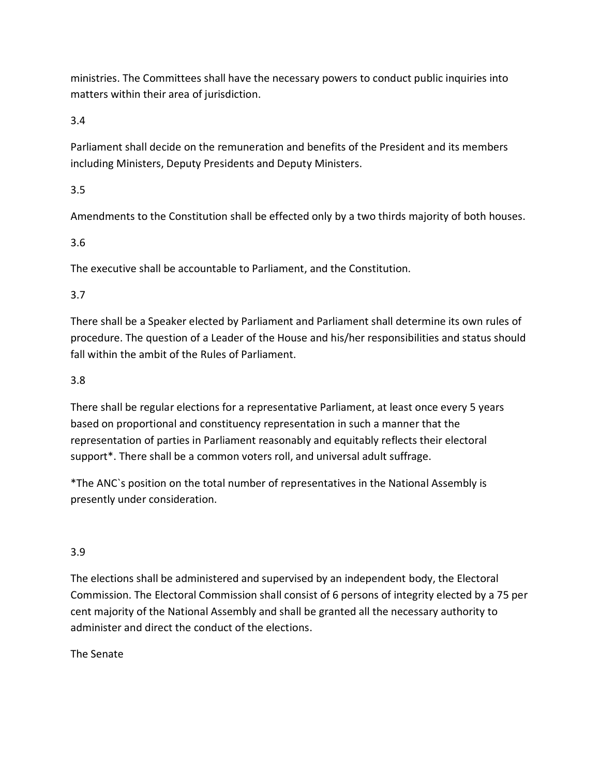ministries. The Committees shall have the necessary powers to conduct public inquiries into matters within their area of jurisdiction.

3.4

Parliament shall decide on the remuneration and benefits of the President and its members including Ministers, Deputy Presidents and Deputy Ministers.

3.5

Amendments to the Constitution shall be effected only by a two thirds majority of both houses.

3.6

The executive shall be accountable to Parliament, and the Constitution.

3.7

There shall be a Speaker elected by Parliament and Parliament shall determine its own rules of procedure. The question of a Leader of the House and his/her responsibilities and status should fall within the ambit of the Rules of Parliament.

# 3.8

There shall be regular elections for a representative Parliament, at least once every 5 years based on proportional and constituency representation in such a manner that the representation of parties in Parliament reasonably and equitably reflects their electoral support\*. There shall be a common voters roll, and universal adult suffrage.

\*The ANC`s position on the total number of representatives in the National Assembly is presently under consideration.

# 3.9

The elections shall be administered and supervised by an independent body, the Electoral Commission. The Electoral Commission shall consist of 6 persons of integrity elected by a 75 per cent majority of the National Assembly and shall be granted all the necessary authority to administer and direct the conduct of the elections.

The Senate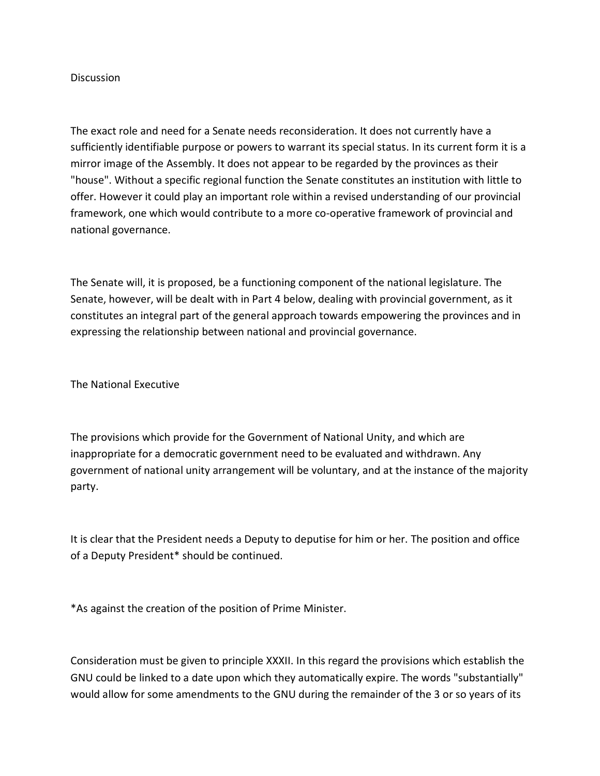#### **Discussion**

The exact role and need for a Senate needs reconsideration. It does not currently have a sufficiently identifiable purpose or powers to warrant its special status. In its current form it is a mirror image of the Assembly. It does not appear to be regarded by the provinces as their "house". Without a specific regional function the Senate constitutes an institution with little to offer. However it could play an important role within a revised understanding of our provincial framework, one which would contribute to a more co-operative framework of provincial and national governance.

The Senate will, it is proposed, be a functioning component of the national legislature. The Senate, however, will be dealt with in Part 4 below, dealing with provincial government, as it constitutes an integral part of the general approach towards empowering the provinces and in expressing the relationship between national and provincial governance.

The National Executive

The provisions which provide for the Government of National Unity, and which are inappropriate for a democratic government need to be evaluated and withdrawn. Any government of national unity arrangement will be voluntary, and at the instance of the majority party.

It is clear that the President needs a Deputy to deputise for him or her. The position and office of a Deputy President\* should be continued.

\*As against the creation of the position of Prime Minister.

Consideration must be given to principle XXXII. In this regard the provisions which establish the GNU could be linked to a date upon which they automatically expire. The words "substantially" would allow for some amendments to the GNU during the remainder of the 3 or so years of its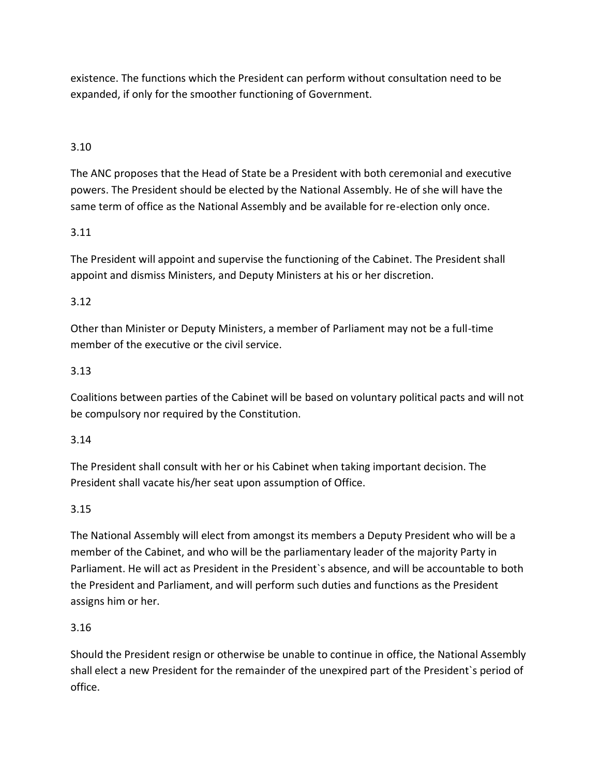existence. The functions which the President can perform without consultation need to be expanded, if only for the smoother functioning of Government.

# 3.10

The ANC proposes that the Head of State be a President with both ceremonial and executive powers. The President should be elected by the National Assembly. He of she will have the same term of office as the National Assembly and be available for re-election only once.

# 3.11

The President will appoint and supervise the functioning of the Cabinet. The President shall appoint and dismiss Ministers, and Deputy Ministers at his or her discretion.

# 3.12

Other than Minister or Deputy Ministers, a member of Parliament may not be a full-time member of the executive or the civil service.

# 3.13

Coalitions between parties of the Cabinet will be based on voluntary political pacts and will not be compulsory nor required by the Constitution.

## 3.14

The President shall consult with her or his Cabinet when taking important decision. The President shall vacate his/her seat upon assumption of Office.

# 3.15

The National Assembly will elect from amongst its members a Deputy President who will be a member of the Cabinet, and who will be the parliamentary leader of the majority Party in Parliament. He will act as President in the President`s absence, and will be accountable to both the President and Parliament, and will perform such duties and functions as the President assigns him or her.

# 3.16

Should the President resign or otherwise be unable to continue in office, the National Assembly shall elect a new President for the remainder of the unexpired part of the President`s period of office.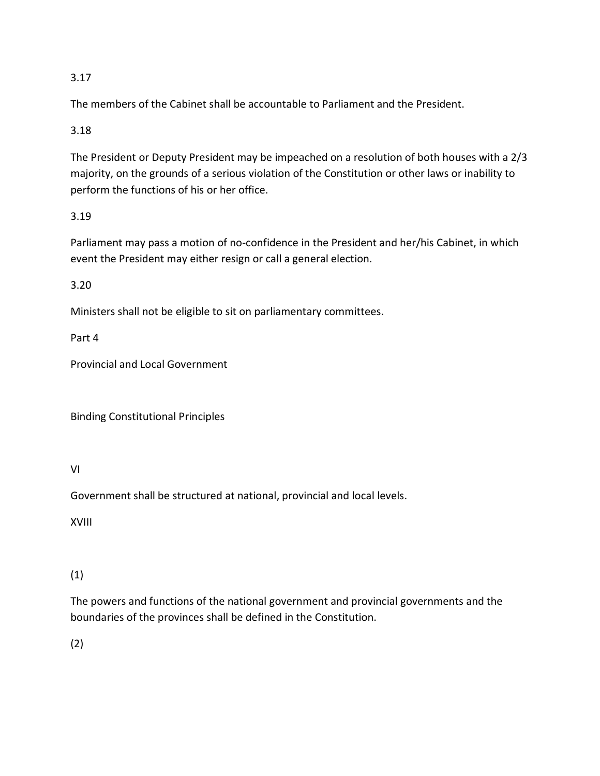## 3.17

The members of the Cabinet shall be accountable to Parliament and the President.

3.18

The President or Deputy President may be impeached on a resolution of both houses with a 2/3 majority, on the grounds of a serious violation of the Constitution or other laws or inability to perform the functions of his or her office.

# 3.19

Parliament may pass a motion of no-confidence in the President and her/his Cabinet, in which event the President may either resign or call a general election.

3.20

Ministers shall not be eligible to sit on parliamentary committees.

Part 4

Provincial and Local Government

Binding Constitutional Principles

## VI

Government shall be structured at national, provincial and local levels.

XVIII

# (1)

The powers and functions of the national government and provincial governments and the boundaries of the provinces shall be defined in the Constitution.

(2)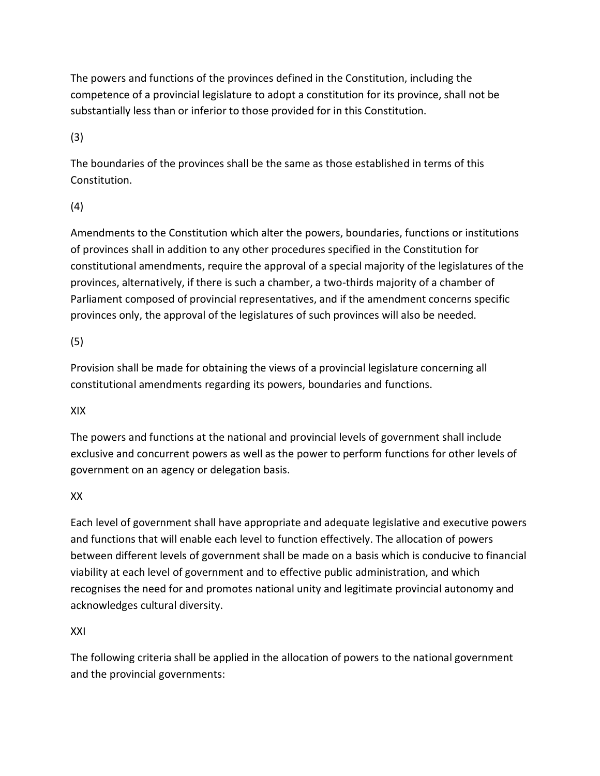The powers and functions of the provinces defined in the Constitution, including the competence of a provincial legislature to adopt a constitution for its province, shall not be substantially less than or inferior to those provided for in this Constitution.

(3)

The boundaries of the provinces shall be the same as those established in terms of this Constitution.

(4)

Amendments to the Constitution which alter the powers, boundaries, functions or institutions of provinces shall in addition to any other procedures specified in the Constitution for constitutional amendments, require the approval of a special majority of the legislatures of the provinces, alternatively, if there is such a chamber, a two-thirds majority of a chamber of Parliament composed of provincial representatives, and if the amendment concerns specific provinces only, the approval of the legislatures of such provinces will also be needed.

(5)

Provision shall be made for obtaining the views of a provincial legislature concerning all constitutional amendments regarding its powers, boundaries and functions.

XIX

The powers and functions at the national and provincial levels of government shall include exclusive and concurrent powers as well as the power to perform functions for other levels of government on an agency or delegation basis.

## XX

Each level of government shall have appropriate and adequate legislative and executive powers and functions that will enable each level to function effectively. The allocation of powers between different levels of government shall be made on a basis which is conducive to financial viability at each level of government and to effective public administration, and which recognises the need for and promotes national unity and legitimate provincial autonomy and acknowledges cultural diversity.

XXI

The following criteria shall be applied in the allocation of powers to the national government and the provincial governments: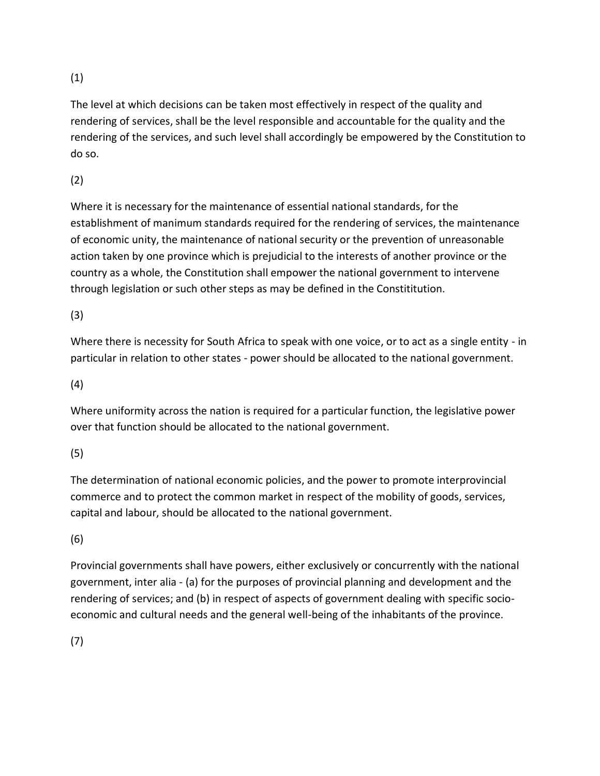# (1)

The level at which decisions can be taken most effectively in respect of the quality and rendering of services, shall be the level responsible and accountable for the quality and the rendering of the services, and such level shall accordingly be empowered by the Constitution to do so.

## (2)

Where it is necessary for the maintenance of essential national standards, for the establishment of manimum standards required for the rendering of services, the maintenance of economic unity, the maintenance of national security or the prevention of unreasonable action taken by one province which is prejudicial to the interests of another province or the country as a whole, the Constitution shall empower the national government to intervene through legislation or such other steps as may be defined in the Constititution.

# (3)

Where there is necessity for South Africa to speak with one voice, or to act as a single entity - in particular in relation to other states - power should be allocated to the national government.

# (4)

Where uniformity across the nation is required for a particular function, the legislative power over that function should be allocated to the national government.

## (5)

The determination of national economic policies, and the power to promote interprovincial commerce and to protect the common market in respect of the mobility of goods, services, capital and labour, should be allocated to the national government.

# (6)

Provincial governments shall have powers, either exclusively or concurrently with the national government, inter alia - (a) for the purposes of provincial planning and development and the rendering of services; and (b) in respect of aspects of government dealing with specific socioeconomic and cultural needs and the general well-being of the inhabitants of the province.

(7)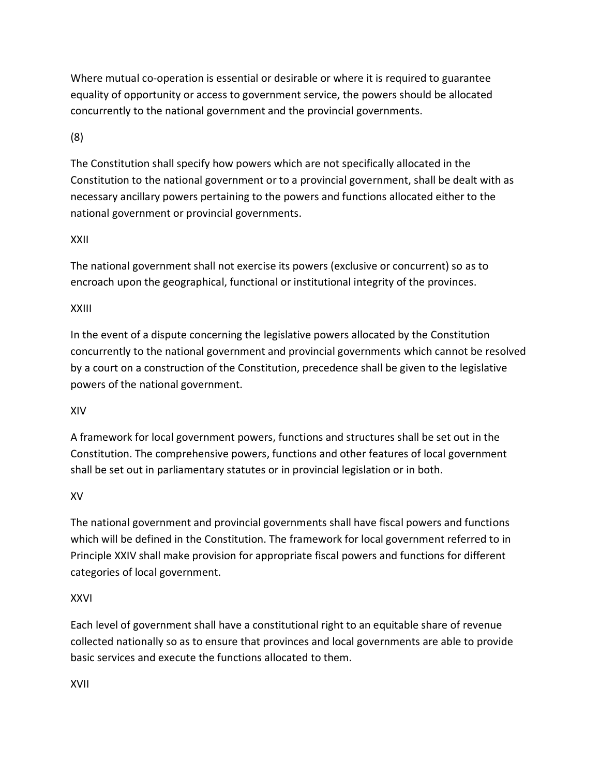Where mutual co-operation is essential or desirable or where it is required to guarantee equality of opportunity or access to government service, the powers should be allocated concurrently to the national government and the provincial governments.

(8)

The Constitution shall specify how powers which are not specifically allocated in the Constitution to the national government or to a provincial government, shall be dealt with as necessary ancillary powers pertaining to the powers and functions allocated either to the national government or provincial governments.

# XXII

The national government shall not exercise its powers (exclusive or concurrent) so as to encroach upon the geographical, functional or institutional integrity of the provinces.

# XXIII

In the event of a dispute concerning the legislative powers allocated by the Constitution concurrently to the national government and provincial governments which cannot be resolved by a court on a construction of the Constitution, precedence shall be given to the legislative powers of the national government.

## XIV

A framework for local government powers, functions and structures shall be set out in the Constitution. The comprehensive powers, functions and other features of local government shall be set out in parliamentary statutes or in provincial legislation or in both.

## XV

The national government and provincial governments shall have fiscal powers and functions which will be defined in the Constitution. The framework for local government referred to in Principle XXIV shall make provision for appropriate fiscal powers and functions for different categories of local government.

# XXVI

Each level of government shall have a constitutional right to an equitable share of revenue collected nationally so as to ensure that provinces and local governments are able to provide basic services and execute the functions allocated to them.

XVII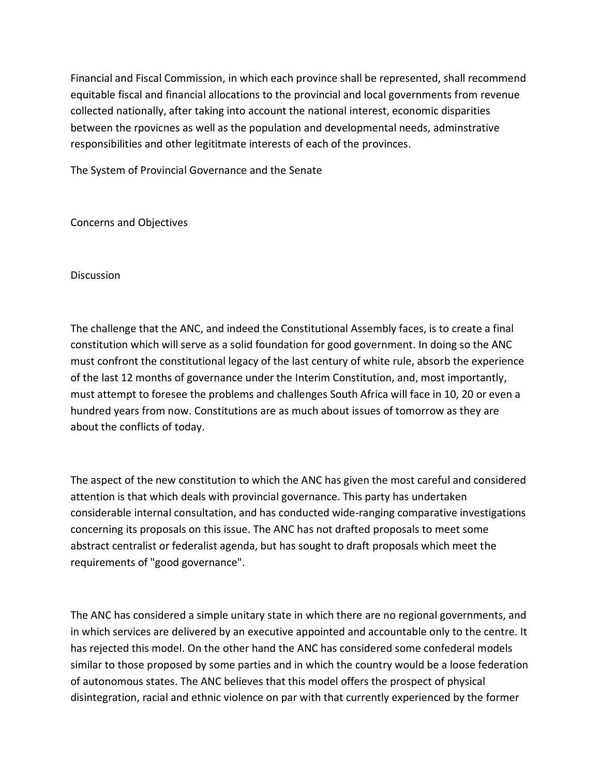Financial and Fiscal Commission, in which each province shall be represented, shall recommend equitable fiscal and financial allocations to the provincial and local governments from revenue collected nationally, after taking into account the national interest, economic disparities between the rpovicnes as well as the population and developmental needs, adminstrative responsibilities and other legititmate interests of each of the provinces.

The System of Provincial Governance and the Senate

Concerns and Objectives

**Discussion** 

The challenge that the ANC, and indeed the Constitutional Assembly faces, is to create a final constitution which will serve as a solid foundation for good government. In doing so the ANC must confront the constitutional legacy of the last century of white rule, absorb the experience of the last 12 months of governance under the Interim Constitution, and, most importantly, must attempt to foresee the problems and challenges South Africa will face in 10, 20 or even a hundred years from now. Constitutions are as much about issues of tomorrow as they are about the conflicts of today.

The aspect of the new constitution to which the ANC has given the most careful and considered attention is that which deals with provincial governance. This party has undertaken considerable internal consultation, and has conducted wide-ranging comparative investigations concerning its proposals on this issue. The ANC has not drafted proposals to meet some abstract centralist or federalist agenda, but has sought to draft proposals which meet the requirements of "good governance".

The ANC has considered a simple unitary state in which there are no regional governments, and in which services are delivered by an executive appointed and accountable only to the centre. It has rejected this model. On the other hand the ANC has considered some confederal models similar to those proposed by some parties and in which the country would be a loose federation of autonomous states. The ANC believes that this model offers the prospect of physical disintegration, racial and ethnic violence on par with that currently experienced by the former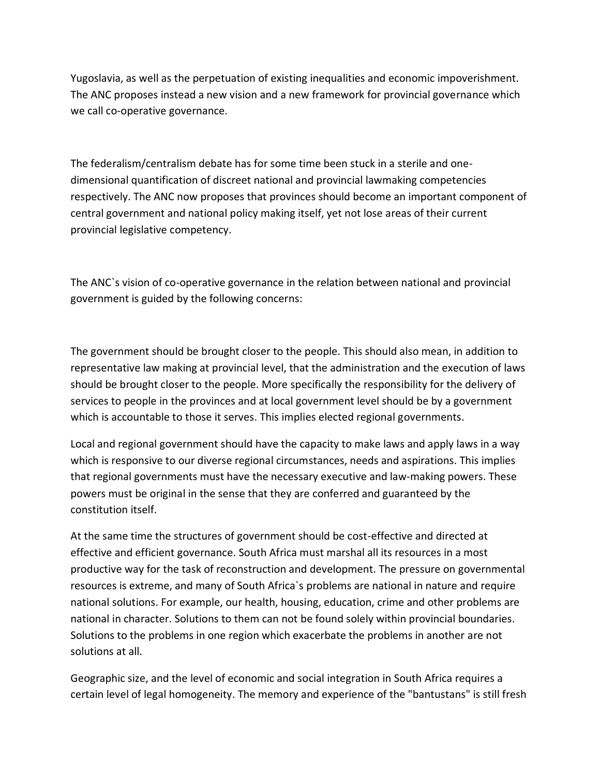Yugoslavia, as well as the perpetuation of existing inequalities and economic impoverishment. The ANC proposes instead a new vision and a new framework for provincial governance which we call co-operative governance.

The federalism/centralism debate has for some time been stuck in a sterile and onedimensional quantification of discreet national and provincial lawmaking competencies respectively. The ANC now proposes that provinces should become an important component of central government and national policy making itself, yet not lose areas of their current provincial legislative competency.

The ANC`s vision of co-operative governance in the relation between national and provincial government is guided by the following concerns:

The government should be brought closer to the people. This should also mean, in addition to representative law making at provincial level, that the administration and the execution of laws should be brought closer to the people. More specifically the responsibility for the delivery of services to people in the provinces and at local government level should be by a government which is accountable to those it serves. This implies elected regional governments.

Local and regional government should have the capacity to make laws and apply laws in a way which is responsive to our diverse regional circumstances, needs and aspirations. This implies that regional governments must have the necessary executive and law-making powers. These powers must be original in the sense that they are conferred and guaranteed by the constitution itself.

At the same time the structures of government should be cost-effective and directed at effective and efficient governance. South Africa must marshal all its resources in a most productive way for the task of reconstruction and development. The pressure on governmental resources is extreme, and many of South Africa`s problems are national in nature and require national solutions. For example, our health, housing, education, crime and other problems are national in character. Solutions to them can not be found solely within provincial boundaries. Solutions to the problems in one region which exacerbate the problems in another are not solutions at all.

Geographic size, and the level of economic and social integration in South Africa requires a certain level of legal homogeneity. The memory and experience of the "bantustans" is still fresh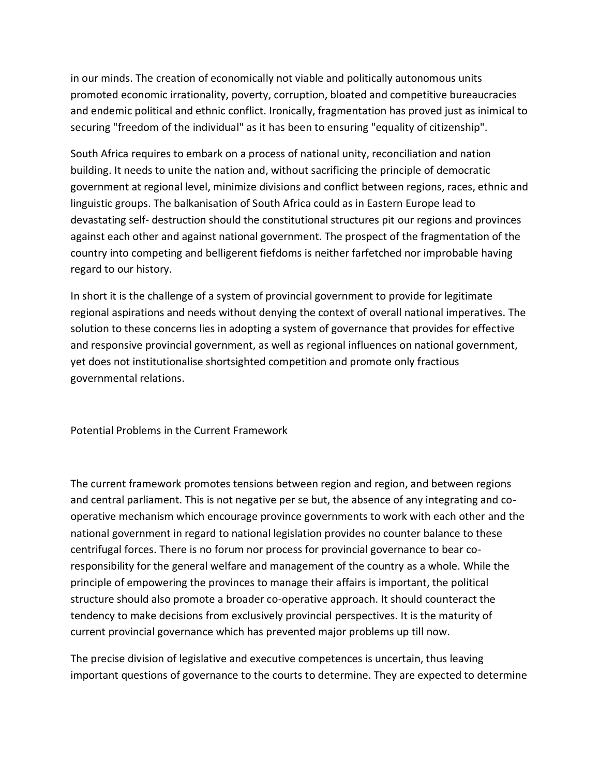in our minds. The creation of economically not viable and politically autonomous units promoted economic irrationality, poverty, corruption, bloated and competitive bureaucracies and endemic political and ethnic conflict. Ironically, fragmentation has proved just as inimical to securing "freedom of the individual" as it has been to ensuring "equality of citizenship".

South Africa requires to embark on a process of national unity, reconciliation and nation building. It needs to unite the nation and, without sacrificing the principle of democratic government at regional level, minimize divisions and conflict between regions, races, ethnic and linguistic groups. The balkanisation of South Africa could as in Eastern Europe lead to devastating self- destruction should the constitutional structures pit our regions and provinces against each other and against national government. The prospect of the fragmentation of the country into competing and belligerent fiefdoms is neither farfetched nor improbable having regard to our history.

In short it is the challenge of a system of provincial government to provide for legitimate regional aspirations and needs without denying the context of overall national imperatives. The solution to these concerns lies in adopting a system of governance that provides for effective and responsive provincial government, as well as regional influences on national government, yet does not institutionalise shortsighted competition and promote only fractious governmental relations.

Potential Problems in the Current Framework

The current framework promotes tensions between region and region, and between regions and central parliament. This is not negative per se but, the absence of any integrating and cooperative mechanism which encourage province governments to work with each other and the national government in regard to national legislation provides no counter balance to these centrifugal forces. There is no forum nor process for provincial governance to bear coresponsibility for the general welfare and management of the country as a whole. While the principle of empowering the provinces to manage their affairs is important, the political structure should also promote a broader co-operative approach. It should counteract the tendency to make decisions from exclusively provincial perspectives. It is the maturity of current provincial governance which has prevented major problems up till now.

The precise division of legislative and executive competences is uncertain, thus leaving important questions of governance to the courts to determine. They are expected to determine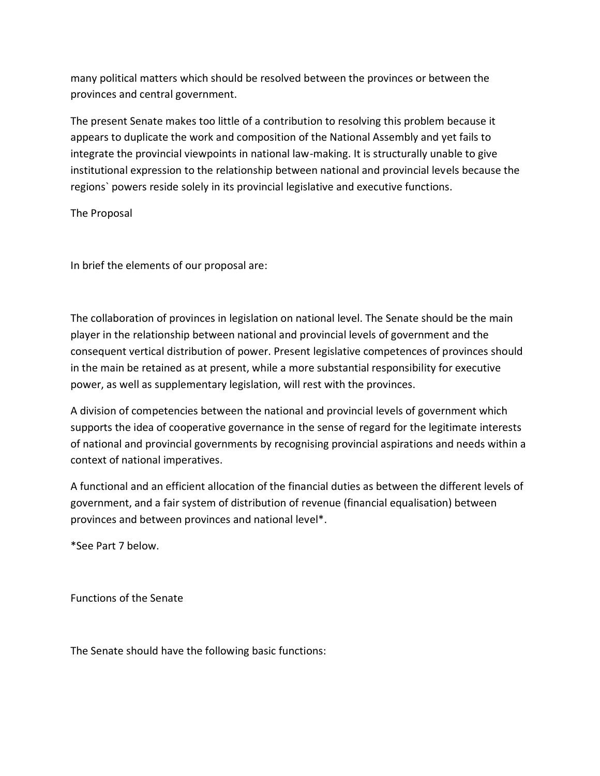many political matters which should be resolved between the provinces or between the provinces and central government.

The present Senate makes too little of a contribution to resolving this problem because it appears to duplicate the work and composition of the National Assembly and yet fails to integrate the provincial viewpoints in national law-making. It is structurally unable to give institutional expression to the relationship between national and provincial levels because the regions` powers reside solely in its provincial legislative and executive functions.

The Proposal

In brief the elements of our proposal are:

The collaboration of provinces in legislation on national level. The Senate should be the main player in the relationship between national and provincial levels of government and the consequent vertical distribution of power. Present legislative competences of provinces should in the main be retained as at present, while a more substantial responsibility for executive power, as well as supplementary legislation, will rest with the provinces.

A division of competencies between the national and provincial levels of government which supports the idea of cooperative governance in the sense of regard for the legitimate interests of national and provincial governments by recognising provincial aspirations and needs within a context of national imperatives.

A functional and an efficient allocation of the financial duties as between the different levels of government, and a fair system of distribution of revenue (financial equalisation) between provinces and between provinces and national level\*.

\*See Part 7 below.

Functions of the Senate

The Senate should have the following basic functions: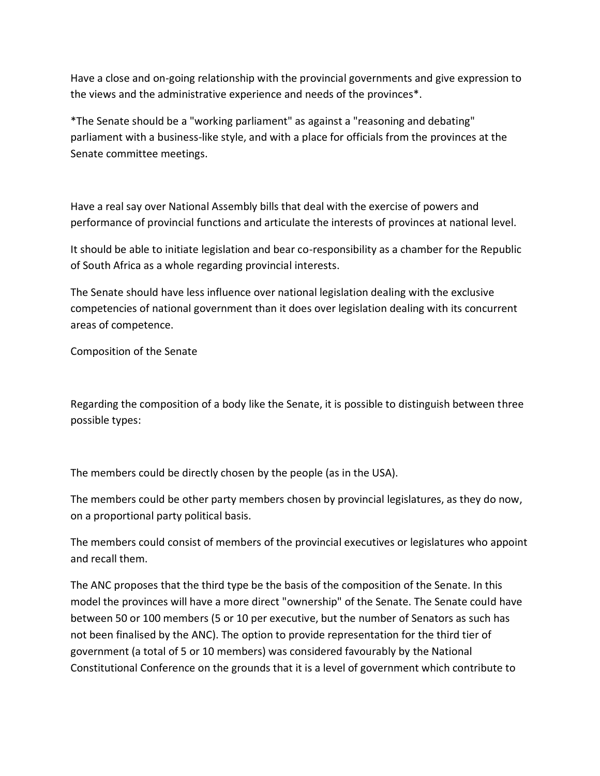Have a close and on-going relationship with the provincial governments and give expression to the views and the administrative experience and needs of the provinces\*.

\*The Senate should be a "working parliament" as against a "reasoning and debating" parliament with a business-like style, and with a place for officials from the provinces at the Senate committee meetings.

Have a real say over National Assembly bills that deal with the exercise of powers and performance of provincial functions and articulate the interests of provinces at national level.

It should be able to initiate legislation and bear co-responsibility as a chamber for the Republic of South Africa as a whole regarding provincial interests.

The Senate should have less influence over national legislation dealing with the exclusive competencies of national government than it does over legislation dealing with its concurrent areas of competence.

Composition of the Senate

Regarding the composition of a body like the Senate, it is possible to distinguish between three possible types:

The members could be directly chosen by the people (as in the USA).

The members could be other party members chosen by provincial legislatures, as they do now, on a proportional party political basis.

The members could consist of members of the provincial executives or legislatures who appoint and recall them.

The ANC proposes that the third type be the basis of the composition of the Senate. In this model the provinces will have a more direct "ownership" of the Senate. The Senate could have between 50 or 100 members (5 or 10 per executive, but the number of Senators as such has not been finalised by the ANC). The option to provide representation for the third tier of government (a total of 5 or 10 members) was considered favourably by the National Constitutional Conference on the grounds that it is a level of government which contribute to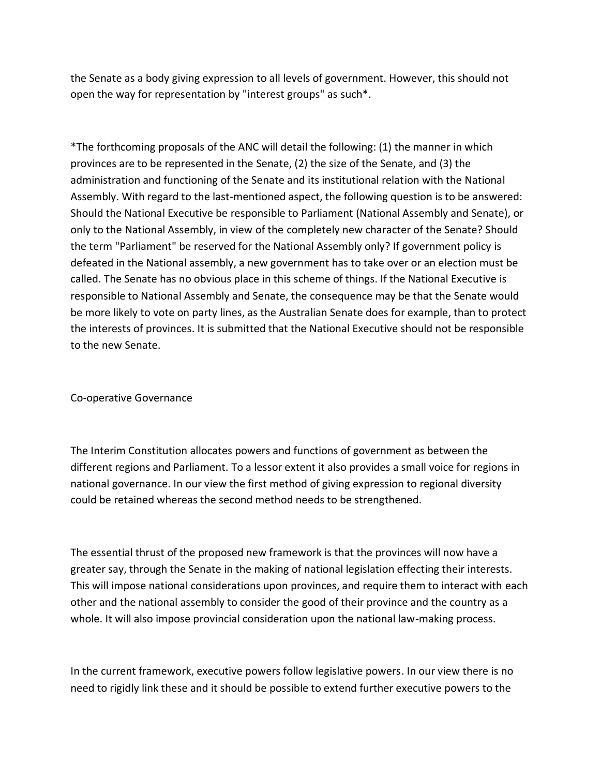the Senate as a body giving expression to all levels of government. However, this should not open the way for representation by "interest groups" as such\*.

\*The forthcoming proposals of the ANC will detail the following: (1) the manner in which provinces are to be represented in the Senate, (2) the size of the Senate, and (3) the administration and functioning of the Senate and its institutional relation with the National Assembly. With regard to the last-mentioned aspect, the following question is to be answered: Should the National Executive be responsible to Parliament (National Assembly and Senate), or only to the National Assembly, in view of the completely new character of the Senate? Should the term "Parliament" be reserved for the National Assembly only? If government policy is defeated in the National assembly, a new government has to take over or an election must be called. The Senate has no obvious place in this scheme of things. If the National Executive is responsible to National Assembly and Senate, the consequence may be that the Senate would be more likely to vote on party lines, as the Australian Senate does for example, than to protect the interests of provinces. It is submitted that the National Executive should not be responsible to the new Senate.

Co-operative Governance

The Interim Constitution allocates powers and functions of government as between the different regions and Parliament. To a lessor extent it also provides a small voice for regions in national governance. In our view the first method of giving expression to regional diversity could be retained whereas the second method needs to be strengthened.

The essential thrust of the proposed new framework is that the provinces will now have a greater say, through the Senate in the making of national legislation effecting their interests. This will impose national considerations upon provinces, and require them to interact with each other and the national assembly to consider the good of their province and the country as a whole. It will also impose provincial consideration upon the national law-making process.

In the current framework, executive powers follow legislative powers. In our view there is no need to rigidly link these and it should be possible to extend further executive powers to the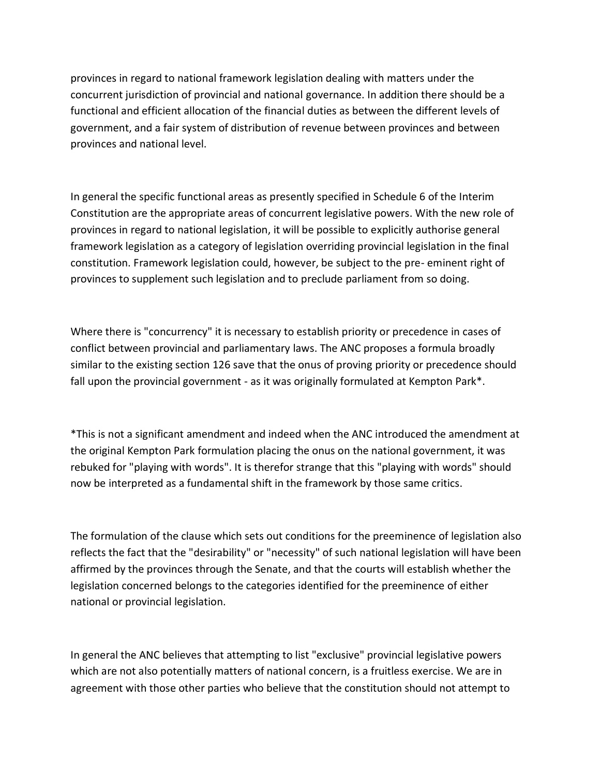provinces in regard to national framework legislation dealing with matters under the concurrent jurisdiction of provincial and national governance. In addition there should be a functional and efficient allocation of the financial duties as between the different levels of government, and a fair system of distribution of revenue between provinces and between provinces and national level.

In general the specific functional areas as presently specified in Schedule 6 of the Interim Constitution are the appropriate areas of concurrent legislative powers. With the new role of provinces in regard to national legislation, it will be possible to explicitly authorise general framework legislation as a category of legislation overriding provincial legislation in the final constitution. Framework legislation could, however, be subject to the pre- eminent right of provinces to supplement such legislation and to preclude parliament from so doing.

Where there is "concurrency" it is necessary to establish priority or precedence in cases of conflict between provincial and parliamentary laws. The ANC proposes a formula broadly similar to the existing section 126 save that the onus of proving priority or precedence should fall upon the provincial government - as it was originally formulated at Kempton Park\*.

\*This is not a significant amendment and indeed when the ANC introduced the amendment at the original Kempton Park formulation placing the onus on the national government, it was rebuked for "playing with words". It is therefor strange that this "playing with words" should now be interpreted as a fundamental shift in the framework by those same critics.

The formulation of the clause which sets out conditions for the preeminence of legislation also reflects the fact that the "desirability" or "necessity" of such national legislation will have been affirmed by the provinces through the Senate, and that the courts will establish whether the legislation concerned belongs to the categories identified for the preeminence of either national or provincial legislation.

In general the ANC believes that attempting to list "exclusive" provincial legislative powers which are not also potentially matters of national concern, is a fruitless exercise. We are in agreement with those other parties who believe that the constitution should not attempt to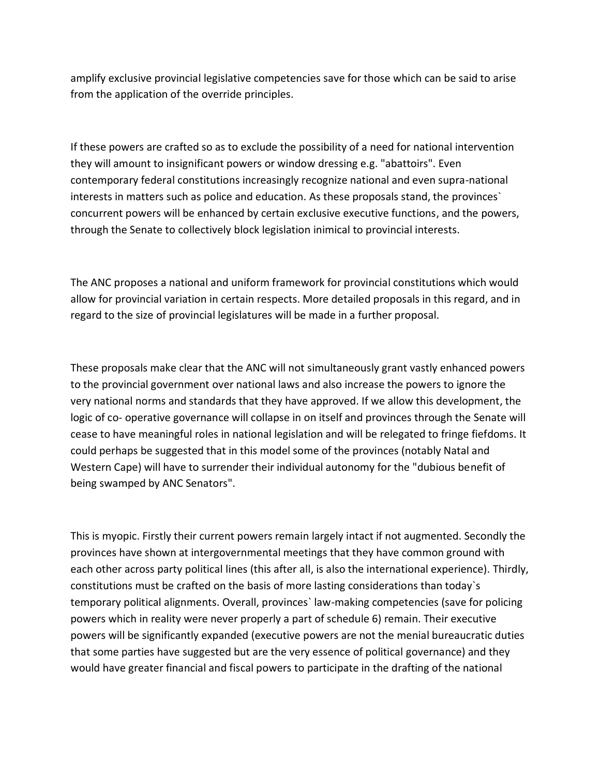amplify exclusive provincial legislative competencies save for those which can be said to arise from the application of the override principles.

If these powers are crafted so as to exclude the possibility of a need for national intervention they will amount to insignificant powers or window dressing e.g. "abattoirs". Even contemporary federal constitutions increasingly recognize national and even supra-national interests in matters such as police and education. As these proposals stand, the provinces` concurrent powers will be enhanced by certain exclusive executive functions, and the powers, through the Senate to collectively block legislation inimical to provincial interests.

The ANC proposes a national and uniform framework for provincial constitutions which would allow for provincial variation in certain respects. More detailed proposals in this regard, and in regard to the size of provincial legislatures will be made in a further proposal.

These proposals make clear that the ANC will not simultaneously grant vastly enhanced powers to the provincial government over national laws and also increase the powers to ignore the very national norms and standards that they have approved. If we allow this development, the logic of co- operative governance will collapse in on itself and provinces through the Senate will cease to have meaningful roles in national legislation and will be relegated to fringe fiefdoms. It could perhaps be suggested that in this model some of the provinces (notably Natal and Western Cape) will have to surrender their individual autonomy for the "dubious benefit of being swamped by ANC Senators".

This is myopic. Firstly their current powers remain largely intact if not augmented. Secondly the provinces have shown at intergovernmental meetings that they have common ground with each other across party political lines (this after all, is also the international experience). Thirdly, constitutions must be crafted on the basis of more lasting considerations than today`s temporary political alignments. Overall, provinces` law-making competencies (save for policing powers which in reality were never properly a part of schedule 6) remain. Their executive powers will be significantly expanded (executive powers are not the menial bureaucratic duties that some parties have suggested but are the very essence of political governance) and they would have greater financial and fiscal powers to participate in the drafting of the national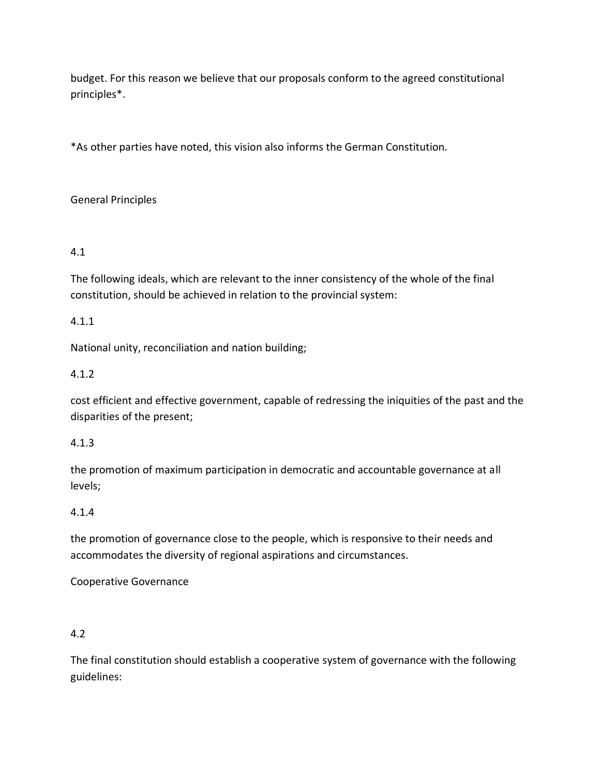budget. For this reason we believe that our proposals conform to the agreed constitutional principles\*.

\*As other parties have noted, this vision also informs the German Constitution.

General Principles

## 4.1

The following ideals, which are relevant to the inner consistency of the whole of the final constitution, should be achieved in relation to the provincial system:

## 4.1.1

National unity, reconciliation and nation building;

## 4.1.2

cost efficient and effective government, capable of redressing the iniquities of the past and the disparities of the present;

## 4.1.3

the promotion of maximum participation in democratic and accountable governance at all levels;

## 4.1.4

the promotion of governance close to the people, which is responsive to their needs and accommodates the diversity of regional aspirations and circumstances.

Cooperative Governance

## 4.2

The final constitution should establish a cooperative system of governance with the following guidelines: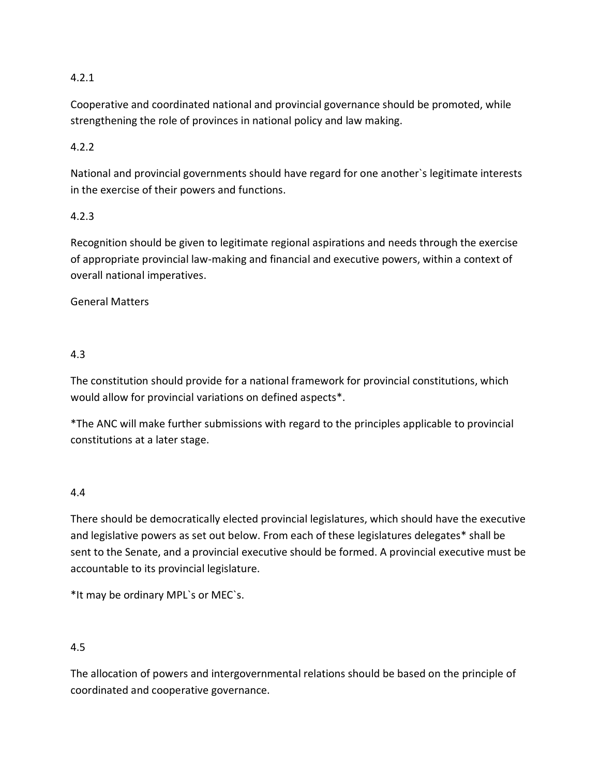## 4.2.1

Cooperative and coordinated national and provincial governance should be promoted, while strengthening the role of provinces in national policy and law making.

#### 4.2.2

National and provincial governments should have regard for one another`s legitimate interests in the exercise of their powers and functions.

#### 4.2.3

Recognition should be given to legitimate regional aspirations and needs through the exercise of appropriate provincial law-making and financial and executive powers, within a context of overall national imperatives.

#### General Matters

#### 4.3

The constitution should provide for a national framework for provincial constitutions, which would allow for provincial variations on defined aspects\*.

\*The ANC will make further submissions with regard to the principles applicable to provincial constitutions at a later stage.

#### 4.4

There should be democratically elected provincial legislatures, which should have the executive and legislative powers as set out below. From each of these legislatures delegates\* shall be sent to the Senate, and a provincial executive should be formed. A provincial executive must be accountable to its provincial legislature.

\*It may be ordinary MPL`s or MEC`s.

## 4.5

The allocation of powers and intergovernmental relations should be based on the principle of coordinated and cooperative governance.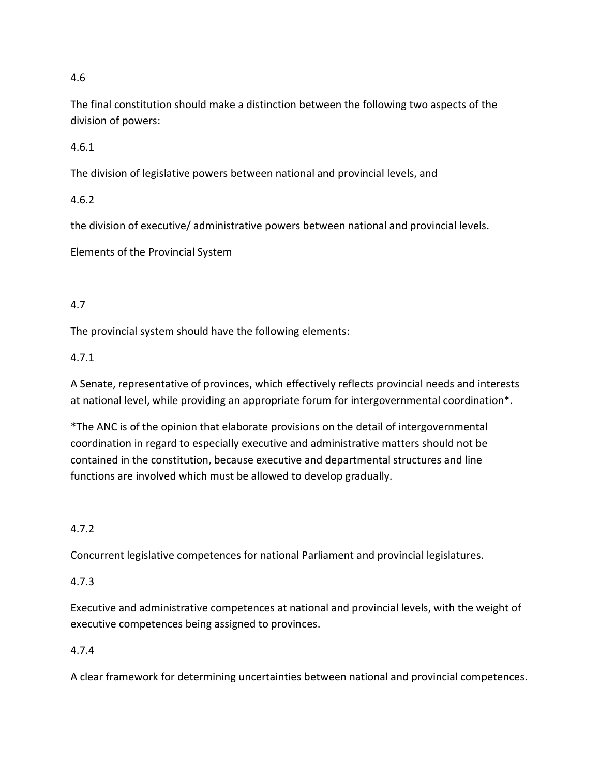The final constitution should make a distinction between the following two aspects of the division of powers:

4.6.1

The division of legislative powers between national and provincial levels, and

#### 4.6.2

the division of executive/ administrative powers between national and provincial levels.

Elements of the Provincial System

#### 4.7

The provincial system should have the following elements:

#### 4.7.1

A Senate, representative of provinces, which effectively reflects provincial needs and interests at national level, while providing an appropriate forum for intergovernmental coordination\*.

\*The ANC is of the opinion that elaborate provisions on the detail of intergovernmental coordination in regard to especially executive and administrative matters should not be contained in the constitution, because executive and departmental structures and line functions are involved which must be allowed to develop gradually.

## 4.7.2

Concurrent legislative competences for national Parliament and provincial legislatures.

## 4.7.3

Executive and administrative competences at national and provincial levels, with the weight of executive competences being assigned to provinces.

## 4.7.4

A clear framework for determining uncertainties between national and provincial competences.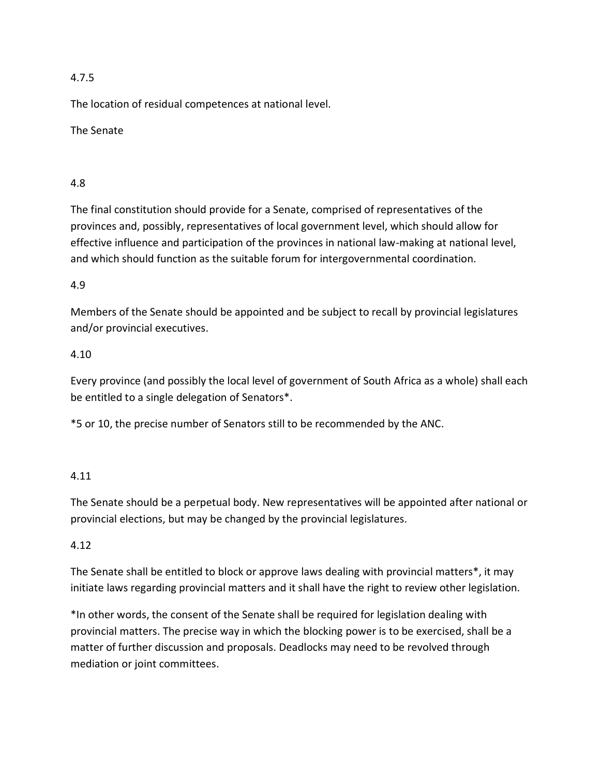### 4.7.5

The location of residual competences at national level.

#### The Senate

#### 4.8

The final constitution should provide for a Senate, comprised of representatives of the provinces and, possibly, representatives of local government level, which should allow for effective influence and participation of the provinces in national law-making at national level, and which should function as the suitable forum for intergovernmental coordination.

#### 4.9

Members of the Senate should be appointed and be subject to recall by provincial legislatures and/or provincial executives.

#### 4.10

Every province (and possibly the local level of government of South Africa as a whole) shall each be entitled to a single delegation of Senators\*.

\*5 or 10, the precise number of Senators still to be recommended by the ANC.

#### 4.11

The Senate should be a perpetual body. New representatives will be appointed after national or provincial elections, but may be changed by the provincial legislatures.

#### 4.12

The Senate shall be entitled to block or approve laws dealing with provincial matters\*, it may initiate laws regarding provincial matters and it shall have the right to review other legislation.

\*In other words, the consent of the Senate shall be required for legislation dealing with provincial matters. The precise way in which the blocking power is to be exercised, shall be a matter of further discussion and proposals. Deadlocks may need to be revolved through mediation or joint committees.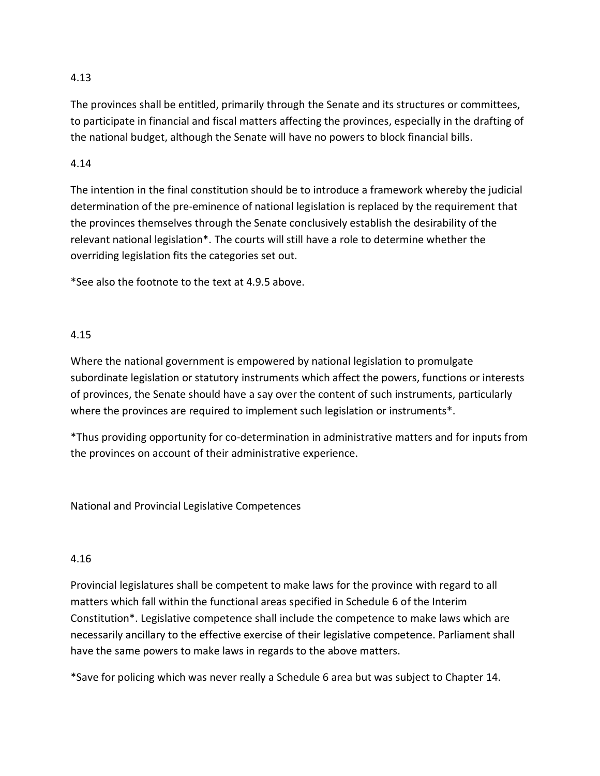The provinces shall be entitled, primarily through the Senate and its structures or committees, to participate in financial and fiscal matters affecting the provinces, especially in the drafting of the national budget, although the Senate will have no powers to block financial bills.

## 4.14

The intention in the final constitution should be to introduce a framework whereby the judicial determination of the pre-eminence of national legislation is replaced by the requirement that the provinces themselves through the Senate conclusively establish the desirability of the relevant national legislation\*. The courts will still have a role to determine whether the overriding legislation fits the categories set out.

\*See also the footnote to the text at 4.9.5 above.

#### 4.15

Where the national government is empowered by national legislation to promulgate subordinate legislation or statutory instruments which affect the powers, functions or interests of provinces, the Senate should have a say over the content of such instruments, particularly where the provinces are required to implement such legislation or instruments<sup>\*</sup>.

\*Thus providing opportunity for co-determination in administrative matters and for inputs from the provinces on account of their administrative experience.

National and Provincial Legislative Competences

#### 4.16

Provincial legislatures shall be competent to make laws for the province with regard to all matters which fall within the functional areas specified in Schedule 6 of the Interim Constitution\*. Legislative competence shall include the competence to make laws which are necessarily ancillary to the effective exercise of their legislative competence. Parliament shall have the same powers to make laws in regards to the above matters.

\*Save for policing which was never really a Schedule 6 area but was subject to Chapter 14.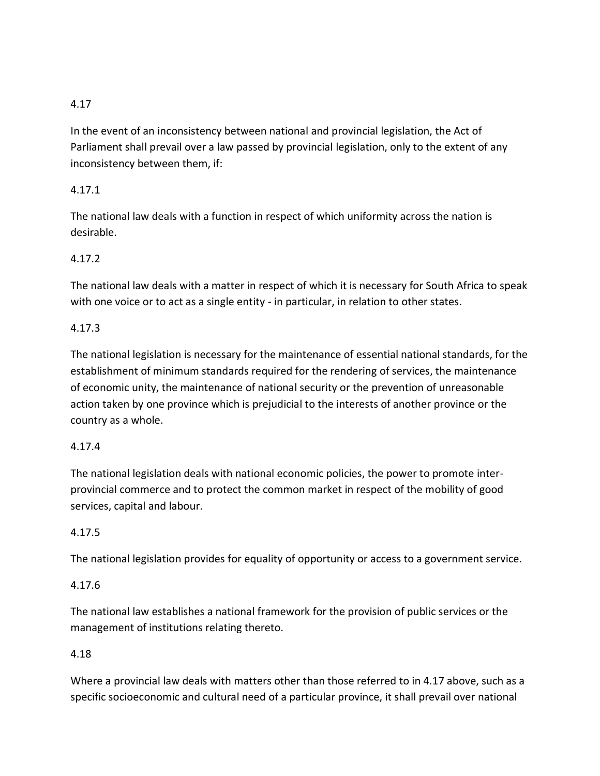In the event of an inconsistency between national and provincial legislation, the Act of Parliament shall prevail over a law passed by provincial legislation, only to the extent of any inconsistency between them, if:

## 4.17.1

The national law deals with a function in respect of which uniformity across the nation is desirable.

## 4.17.2

The national law deals with a matter in respect of which it is necessary for South Africa to speak with one voice or to act as a single entity - in particular, in relation to other states.

#### 4.17.3

The national legislation is necessary for the maintenance of essential national standards, for the establishment of minimum standards required for the rendering of services, the maintenance of economic unity, the maintenance of national security or the prevention of unreasonable action taken by one province which is prejudicial to the interests of another province or the country as a whole.

#### 4.17.4

The national legislation deals with national economic policies, the power to promote interprovincial commerce and to protect the common market in respect of the mobility of good services, capital and labour.

#### 4.17.5

The national legislation provides for equality of opportunity or access to a government service.

#### 4.17.6

The national law establishes a national framework for the provision of public services or the management of institutions relating thereto.

#### 4.18

Where a provincial law deals with matters other than those referred to in 4.17 above, such as a specific socioeconomic and cultural need of a particular province, it shall prevail over national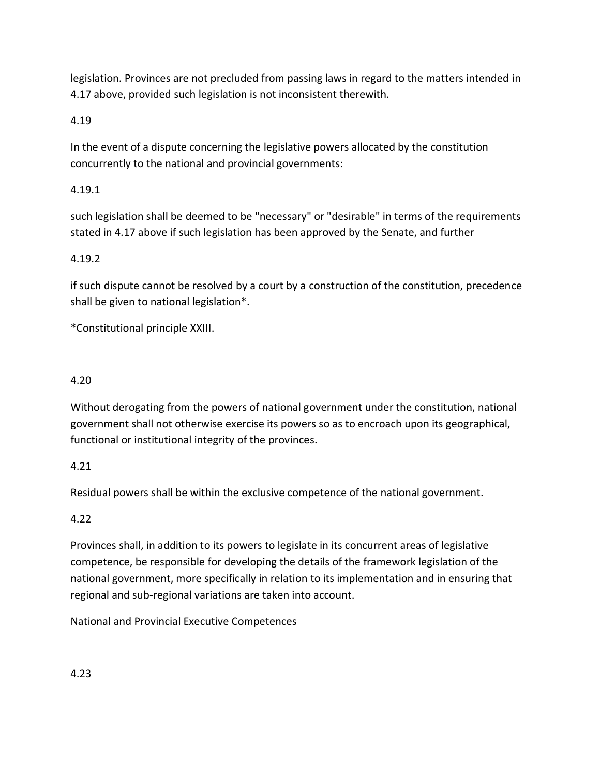legislation. Provinces are not precluded from passing laws in regard to the matters intended in 4.17 above, provided such legislation is not inconsistent therewith.

4.19

In the event of a dispute concerning the legislative powers allocated by the constitution concurrently to the national and provincial governments:

# 4.19.1

such legislation shall be deemed to be "necessary" or "desirable" in terms of the requirements stated in 4.17 above if such legislation has been approved by the Senate, and further

# 4.19.2

if such dispute cannot be resolved by a court by a construction of the constitution, precedence shall be given to national legislation\*.

\*Constitutional principle XXIII.

# 4.20

Without derogating from the powers of national government under the constitution, national government shall not otherwise exercise its powers so as to encroach upon its geographical, functional or institutional integrity of the provinces.

# 4.21

Residual powers shall be within the exclusive competence of the national government.

# 4.22

Provinces shall, in addition to its powers to legislate in its concurrent areas of legislative competence, be responsible for developing the details of the framework legislation of the national government, more specifically in relation to its implementation and in ensuring that regional and sub-regional variations are taken into account.

National and Provincial Executive Competences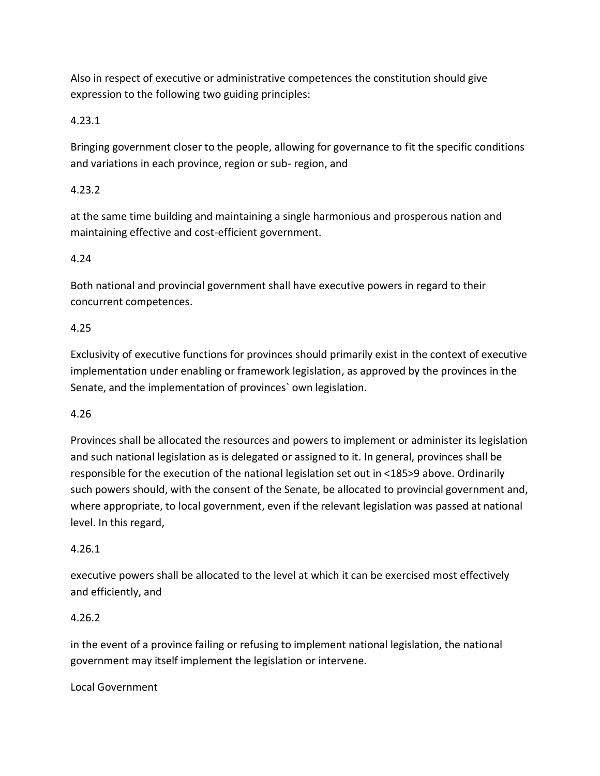Also in respect of executive or administrative competences the constitution should give expression to the following two guiding principles:

4.23.1

Bringing government closer to the people, allowing for governance to fit the specific conditions and variations in each province, region or sub- region, and

## 4.23.2

at the same time building and maintaining a single harmonious and prosperous nation and maintaining effective and cost-efficient government.

## 4.24

Both national and provincial government shall have executive powers in regard to their concurrent competences.

## 4.25

Exclusivity of executive functions for provinces should primarily exist in the context of executive implementation under enabling or framework legislation, as approved by the provinces in the Senate, and the implementation of provinces` own legislation.

# 4.26

Provinces shall be allocated the resources and powers to implement or administer its legislation and such national legislation as is delegated or assigned to it. In general, provinces shall be responsible for the execution of the national legislation set out in <185>9 above. Ordinarily such powers should, with the consent of the Senate, be allocated to provincial government and, where appropriate, to local government, even if the relevant legislation was passed at national level. In this regard,

## 4.26.1

executive powers shall be allocated to the level at which it can be exercised most effectively and efficiently, and

## 4.26.2

in the event of a province failing or refusing to implement national legislation, the national government may itself implement the legislation or intervene.

Local Government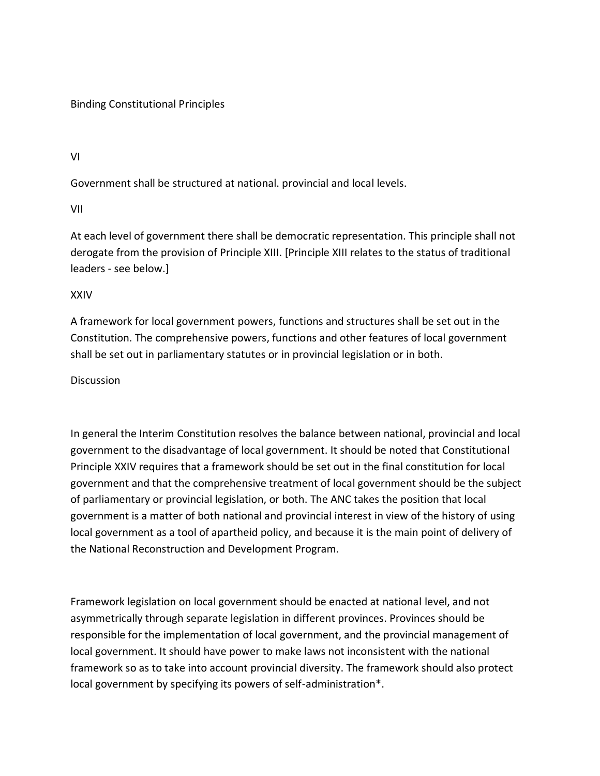#### Binding Constitutional Principles

VI

Government shall be structured at national. provincial and local levels.

VII

At each level of government there shall be democratic representation. This principle shall not derogate from the provision of Principle XIII. [Principle XIII relates to the status of traditional leaders - see below.]

XXIV

A framework for local government powers, functions and structures shall be set out in the Constitution. The comprehensive powers, functions and other features of local government shall be set out in parliamentary statutes or in provincial legislation or in both.

**Discussion** 

In general the Interim Constitution resolves the balance between national, provincial and local government to the disadvantage of local government. It should be noted that Constitutional Principle XXIV requires that a framework should be set out in the final constitution for local government and that the comprehensive treatment of local government should be the subject of parliamentary or provincial legislation, or both. The ANC takes the position that local government is a matter of both national and provincial interest in view of the history of using local government as a tool of apartheid policy, and because it is the main point of delivery of the National Reconstruction and Development Program.

Framework legislation on local government should be enacted at national level, and not asymmetrically through separate legislation in different provinces. Provinces should be responsible for the implementation of local government, and the provincial management of local government. It should have power to make laws not inconsistent with the national framework so as to take into account provincial diversity. The framework should also protect local government by specifying its powers of self-administration\*.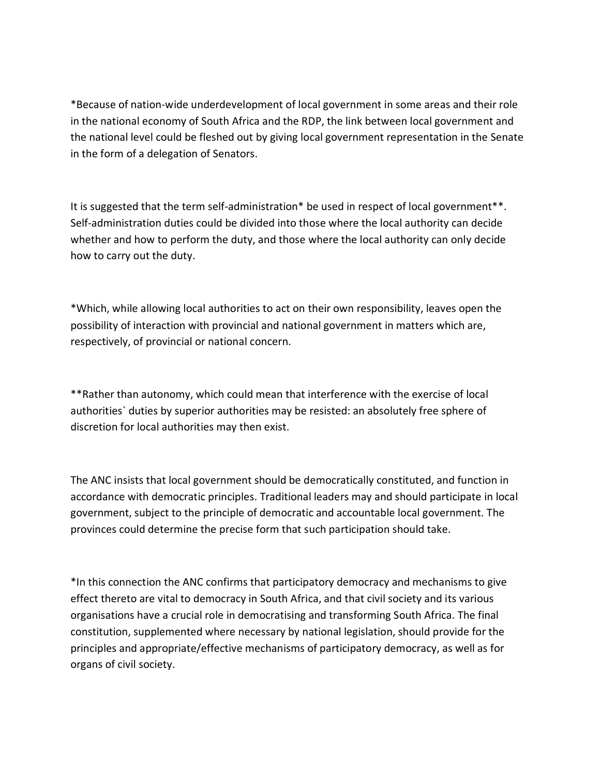\*Because of nation-wide underdevelopment of local government in some areas and their role in the national economy of South Africa and the RDP, the link between local government and the national level could be fleshed out by giving local government representation in the Senate in the form of a delegation of Senators.

It is suggested that the term self-administration\* be used in respect of local government\*\*. Self-administration duties could be divided into those where the local authority can decide whether and how to perform the duty, and those where the local authority can only decide how to carry out the duty.

\*Which, while allowing local authorities to act on their own responsibility, leaves open the possibility of interaction with provincial and national government in matters which are, respectively, of provincial or national concern.

\*\*Rather than autonomy, which could mean that interference with the exercise of local authorities` duties by superior authorities may be resisted: an absolutely free sphere of discretion for local authorities may then exist.

The ANC insists that local government should be democratically constituted, and function in accordance with democratic principles. Traditional leaders may and should participate in local government, subject to the principle of democratic and accountable local government. The provinces could determine the precise form that such participation should take.

\*In this connection the ANC confirms that participatory democracy and mechanisms to give effect thereto are vital to democracy in South Africa, and that civil society and its various organisations have a crucial role in democratising and transforming South Africa. The final constitution, supplemented where necessary by national legislation, should provide for the principles and appropriate/effective mechanisms of participatory democracy, as well as for organs of civil society.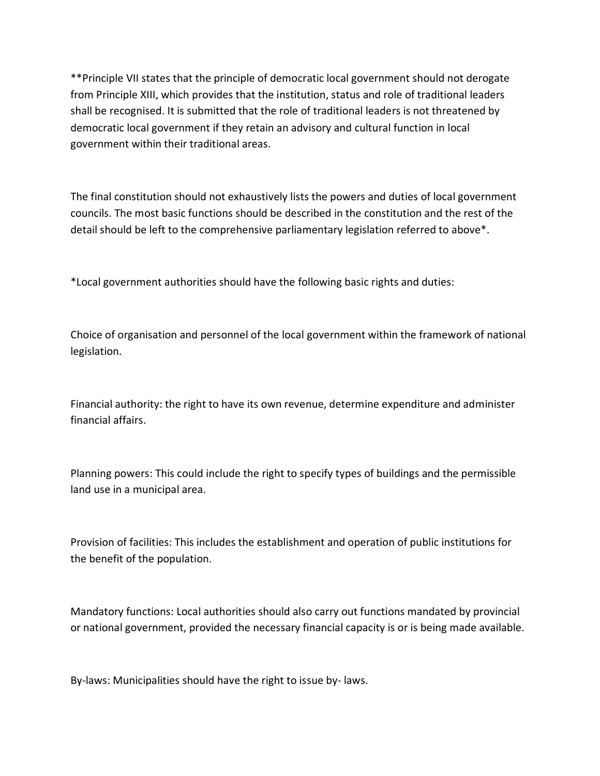\*\*Principle VII states that the principle of democratic local government should not derogate from Principle XIII, which provides that the institution, status and role of traditional leaders shall be recognised. It is submitted that the role of traditional leaders is not threatened by democratic local government if they retain an advisory and cultural function in local government within their traditional areas.

The final constitution should not exhaustively lists the powers and duties of local government councils. The most basic functions should be described in the constitution and the rest of the detail should be left to the comprehensive parliamentary legislation referred to above\*.

\*Local government authorities should have the following basic rights and duties:

Choice of organisation and personnel of the local government within the framework of national legislation.

Financial authority: the right to have its own revenue, determine expenditure and administer financial affairs.

Planning powers: This could include the right to specify types of buildings and the permissible land use in a municipal area.

Provision of facilities: This includes the establishment and operation of public institutions for the benefit of the population.

Mandatory functions: Local authorities should also carry out functions mandated by provincial or national government, provided the necessary financial capacity is or is being made available.

By-laws: Municipalities should have the right to issue by- laws.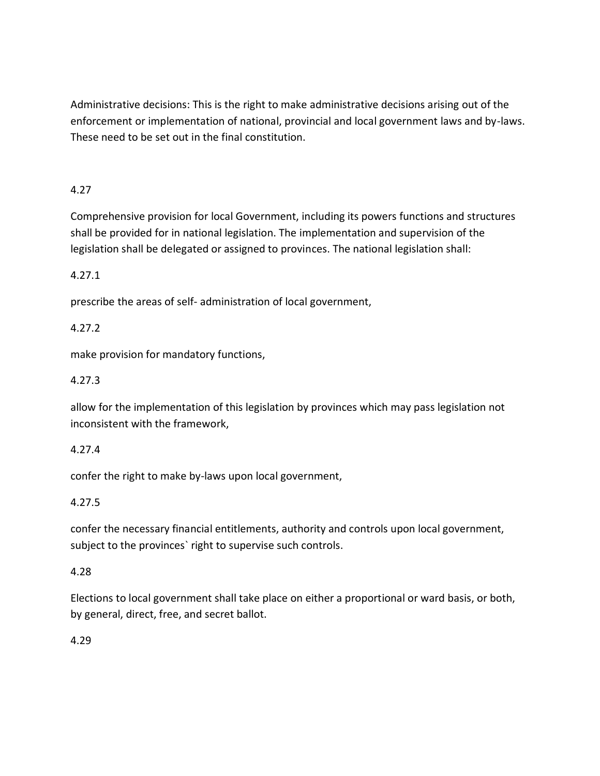Administrative decisions: This is the right to make administrative decisions arising out of the enforcement or implementation of national, provincial and local government laws and by-laws. These need to be set out in the final constitution.

## 4.27

Comprehensive provision for local Government, including its powers functions and structures shall be provided for in national legislation. The implementation and supervision of the legislation shall be delegated or assigned to provinces. The national legislation shall:

## 4.27.1

prescribe the areas of self- administration of local government,

## 4.27.2

make provision for mandatory functions,

## 4.27.3

allow for the implementation of this legislation by provinces which may pass legislation not inconsistent with the framework,

## 4.27.4

confer the right to make by-laws upon local government,

## 4.27.5

confer the necessary financial entitlements, authority and controls upon local government, subject to the provinces` right to supervise such controls.

## 4.28

Elections to local government shall take place on either a proportional or ward basis, or both, by general, direct, free, and secret ballot.

## 4.29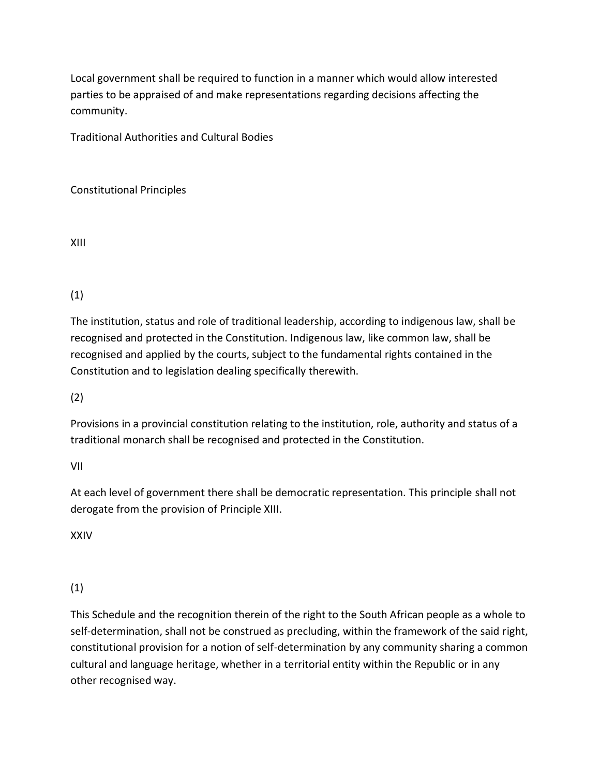Local government shall be required to function in a manner which would allow interested parties to be appraised of and make representations regarding decisions affecting the community.

Traditional Authorities and Cultural Bodies

Constitutional Principles

XIII

(1)

The institution, status and role of traditional leadership, according to indigenous law, shall be recognised and protected in the Constitution. Indigenous law, like common law, shall be recognised and applied by the courts, subject to the fundamental rights contained in the Constitution and to legislation dealing specifically therewith.

(2)

Provisions in a provincial constitution relating to the institution, role, authority and status of a traditional monarch shall be recognised and protected in the Constitution.

VII

At each level of government there shall be democratic representation. This principle shall not derogate from the provision of Principle XIII.

XXIV

(1)

This Schedule and the recognition therein of the right to the South African people as a whole to self-determination, shall not be construed as precluding, within the framework of the said right, constitutional provision for a notion of self-determination by any community sharing a common cultural and language heritage, whether in a territorial entity within the Republic or in any other recognised way.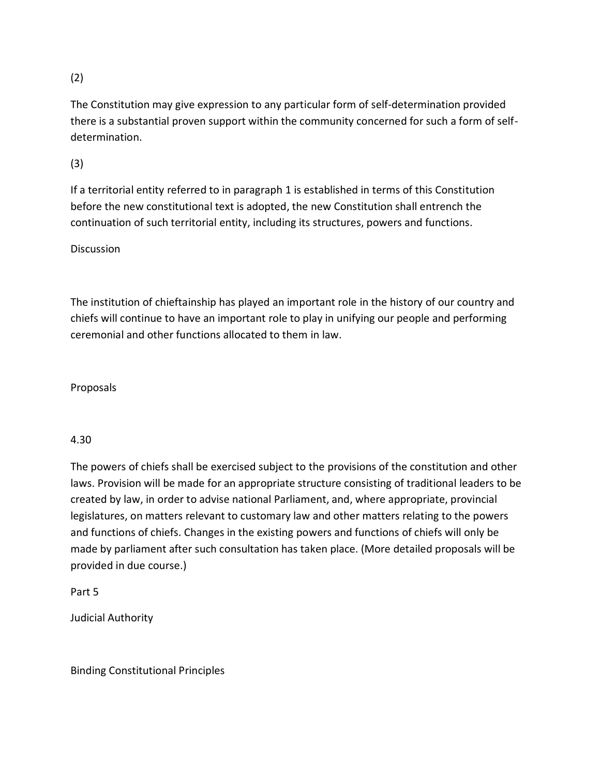(2)

The Constitution may give expression to any particular form of self-determination provided there is a substantial proven support within the community concerned for such a form of selfdetermination.

(3)

If a territorial entity referred to in paragraph 1 is established in terms of this Constitution before the new constitutional text is adopted, the new Constitution shall entrench the continuation of such territorial entity, including its structures, powers and functions.

#### **Discussion**

The institution of chieftainship has played an important role in the history of our country and chiefs will continue to have an important role to play in unifying our people and performing ceremonial and other functions allocated to them in law.

Proposals

#### 4.30

The powers of chiefs shall be exercised subject to the provisions of the constitution and other laws. Provision will be made for an appropriate structure consisting of traditional leaders to be created by law, in order to advise national Parliament, and, where appropriate, provincial legislatures, on matters relevant to customary law and other matters relating to the powers and functions of chiefs. Changes in the existing powers and functions of chiefs will only be made by parliament after such consultation has taken place. (More detailed proposals will be provided in due course.)

Part 5

Judicial Authority

Binding Constitutional Principles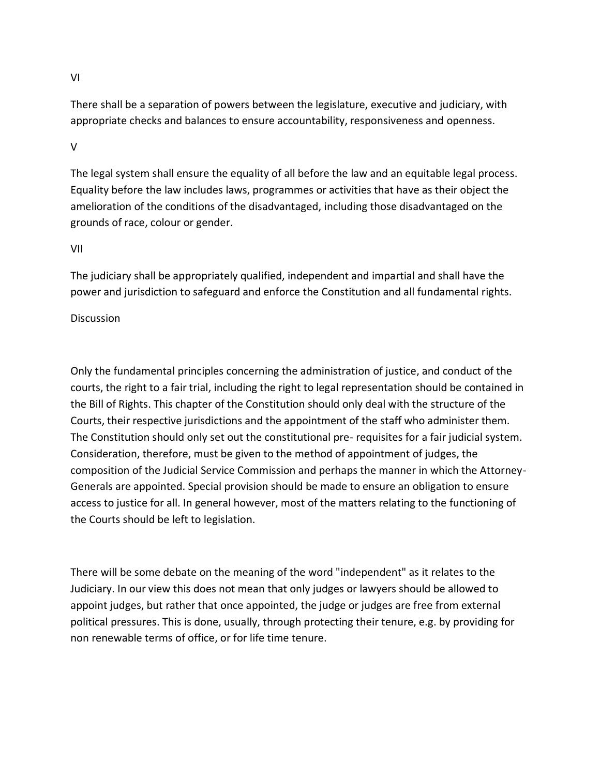VI

There shall be a separation of powers between the legislature, executive and judiciary, with appropriate checks and balances to ensure accountability, responsiveness and openness.

V

The legal system shall ensure the equality of all before the law and an equitable legal process. Equality before the law includes laws, programmes or activities that have as their object the amelioration of the conditions of the disadvantaged, including those disadvantaged on the grounds of race, colour or gender.

#### VII

The judiciary shall be appropriately qualified, independent and impartial and shall have the power and jurisdiction to safeguard and enforce the Constitution and all fundamental rights.

#### **Discussion**

Only the fundamental principles concerning the administration of justice, and conduct of the courts, the right to a fair trial, including the right to legal representation should be contained in the Bill of Rights. This chapter of the Constitution should only deal with the structure of the Courts, their respective jurisdictions and the appointment of the staff who administer them. The Constitution should only set out the constitutional pre- requisites for a fair judicial system. Consideration, therefore, must be given to the method of appointment of judges, the composition of the Judicial Service Commission and perhaps the manner in which the Attorney-Generals are appointed. Special provision should be made to ensure an obligation to ensure access to justice for all. In general however, most of the matters relating to the functioning of the Courts should be left to legislation.

There will be some debate on the meaning of the word "independent" as it relates to the Judiciary. In our view this does not mean that only judges or lawyers should be allowed to appoint judges, but rather that once appointed, the judge or judges are free from external political pressures. This is done, usually, through protecting their tenure, e.g. by providing for non renewable terms of office, or for life time tenure.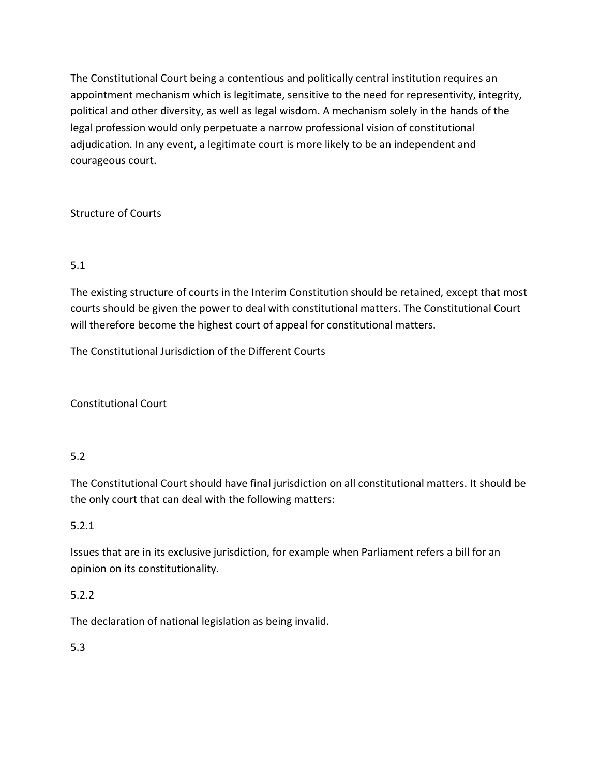The Constitutional Court being a contentious and politically central institution requires an appointment mechanism which is legitimate, sensitive to the need for representivity, integrity, political and other diversity, as well as legal wisdom. A mechanism solely in the hands of the legal profession would only perpetuate a narrow professional vision of constitutional adjudication. In any event, a legitimate court is more likely to be an independent and courageous court.

## Structure of Courts

## 5.1

The existing structure of courts in the Interim Constitution should be retained, except that most courts should be given the power to deal with constitutional matters. The Constitutional Court will therefore become the highest court of appeal for constitutional matters.

The Constitutional Jurisdiction of the Different Courts

Constitutional Court

## 5.2

The Constitutional Court should have final jurisdiction on all constitutional matters. It should be the only court that can deal with the following matters:

#### 5.2.1

Issues that are in its exclusive jurisdiction, for example when Parliament refers a bill for an opinion on its constitutionality.

#### 5.2.2

The declaration of national legislation as being invalid.

## 5.3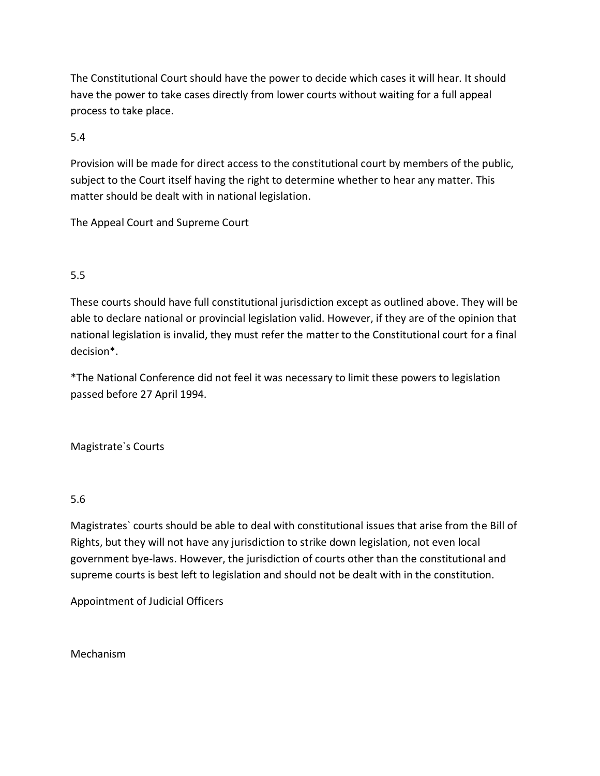The Constitutional Court should have the power to decide which cases it will hear. It should have the power to take cases directly from lower courts without waiting for a full appeal process to take place.

5.4

Provision will be made for direct access to the constitutional court by members of the public, subject to the Court itself having the right to determine whether to hear any matter. This matter should be dealt with in national legislation.

The Appeal Court and Supreme Court

## 5.5

These courts should have full constitutional jurisdiction except as outlined above. They will be able to declare national or provincial legislation valid. However, if they are of the opinion that national legislation is invalid, they must refer the matter to the Constitutional court for a final decision\*.

\*The National Conference did not feel it was necessary to limit these powers to legislation passed before 27 April 1994.

Magistrate`s Courts

5.6

Magistrates` courts should be able to deal with constitutional issues that arise from the Bill of Rights, but they will not have any jurisdiction to strike down legislation, not even local government bye-laws. However, the jurisdiction of courts other than the constitutional and supreme courts is best left to legislation and should not be dealt with in the constitution.

Appointment of Judicial Officers

Mechanism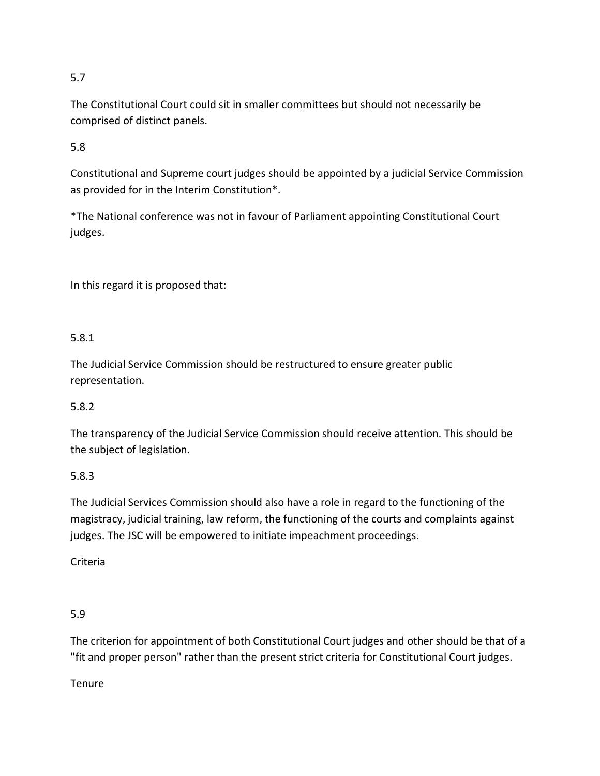The Constitutional Court could sit in smaller committees but should not necessarily be comprised of distinct panels.

5.8

Constitutional and Supreme court judges should be appointed by a judicial Service Commission as provided for in the Interim Constitution\*.

\*The National conference was not in favour of Parliament appointing Constitutional Court judges.

In this regard it is proposed that:

## 5.8.1

The Judicial Service Commission should be restructured to ensure greater public representation.

## 5.8.2

The transparency of the Judicial Service Commission should receive attention. This should be the subject of legislation.

## 5.8.3

The Judicial Services Commission should also have a role in regard to the functioning of the magistracy, judicial training, law reform, the functioning of the courts and complaints against judges. The JSC will be empowered to initiate impeachment proceedings.

Criteria

## 5.9

The criterion for appointment of both Constitutional Court judges and other should be that of a "fit and proper person" rather than the present strict criteria for Constitutional Court judges.

Tenure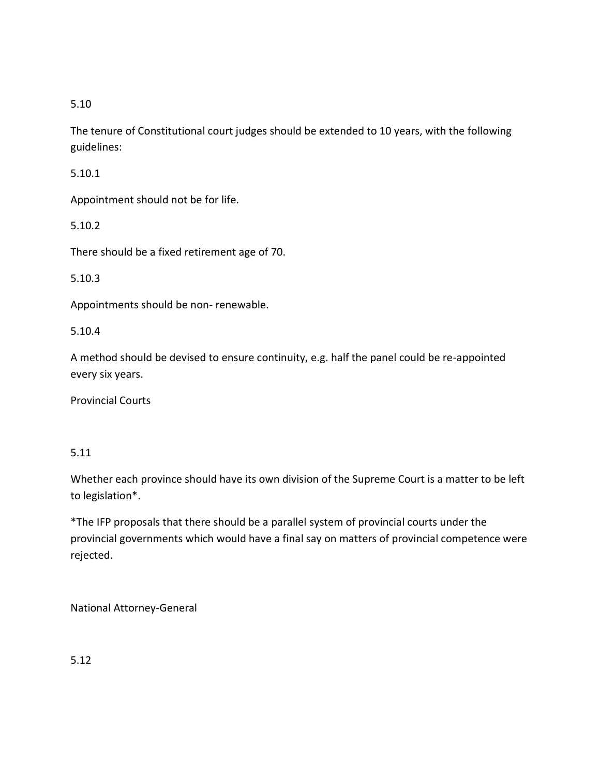The tenure of Constitutional court judges should be extended to 10 years, with the following guidelines:

5.10.1

Appointment should not be for life.

5.10.2

There should be a fixed retirement age of 70.

5.10.3

Appointments should be non- renewable.

5.10.4

A method should be devised to ensure continuity, e.g. half the panel could be re-appointed every six years.

Provincial Courts

## 5.11

Whether each province should have its own division of the Supreme Court is a matter to be left to legislation\*.

\*The IFP proposals that there should be a parallel system of provincial courts under the provincial governments which would have a final say on matters of provincial competence were rejected.

National Attorney-General

5.12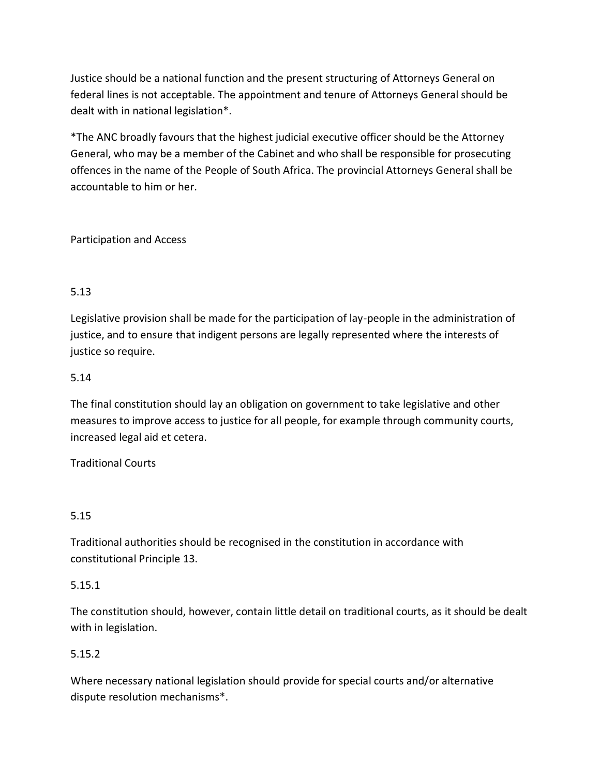Justice should be a national function and the present structuring of Attorneys General on federal lines is not acceptable. The appointment and tenure of Attorneys General should be dealt with in national legislation\*.

\*The ANC broadly favours that the highest judicial executive officer should be the Attorney General, who may be a member of the Cabinet and who shall be responsible for prosecuting offences in the name of the People of South Africa. The provincial Attorneys General shall be accountable to him or her.

## Participation and Access

## 5.13

Legislative provision shall be made for the participation of lay-people in the administration of justice, and to ensure that indigent persons are legally represented where the interests of justice so require.

## 5.14

The final constitution should lay an obligation on government to take legislative and other measures to improve access to justice for all people, for example through community courts, increased legal aid et cetera.

## Traditional Courts

## 5.15

Traditional authorities should be recognised in the constitution in accordance with constitutional Principle 13.

## 5.15.1

The constitution should, however, contain little detail on traditional courts, as it should be dealt with in legislation.

## 5.15.2

Where necessary national legislation should provide for special courts and/or alternative dispute resolution mechanisms\*.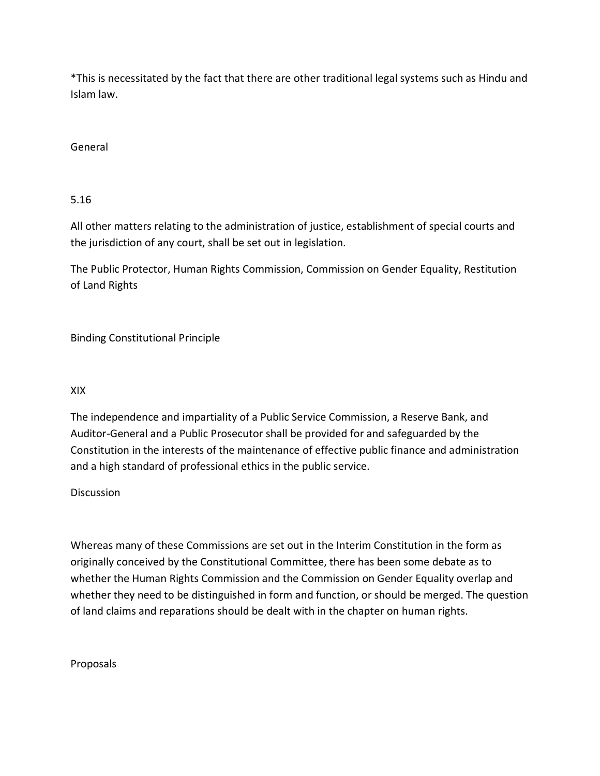\*This is necessitated by the fact that there are other traditional legal systems such as Hindu and Islam law.

#### General

#### 5.16

All other matters relating to the administration of justice, establishment of special courts and the jurisdiction of any court, shall be set out in legislation.

The Public Protector, Human Rights Commission, Commission on Gender Equality, Restitution of Land Rights

Binding Constitutional Principle

### XIX

The independence and impartiality of a Public Service Commission, a Reserve Bank, and Auditor-General and a Public Prosecutor shall be provided for and safeguarded by the Constitution in the interests of the maintenance of effective public finance and administration and a high standard of professional ethics in the public service.

#### **Discussion**

Whereas many of these Commissions are set out in the Interim Constitution in the form as originally conceived by the Constitutional Committee, there has been some debate as to whether the Human Rights Commission and the Commission on Gender Equality overlap and whether they need to be distinguished in form and function, or should be merged. The question of land claims and reparations should be dealt with in the chapter on human rights.

#### Proposals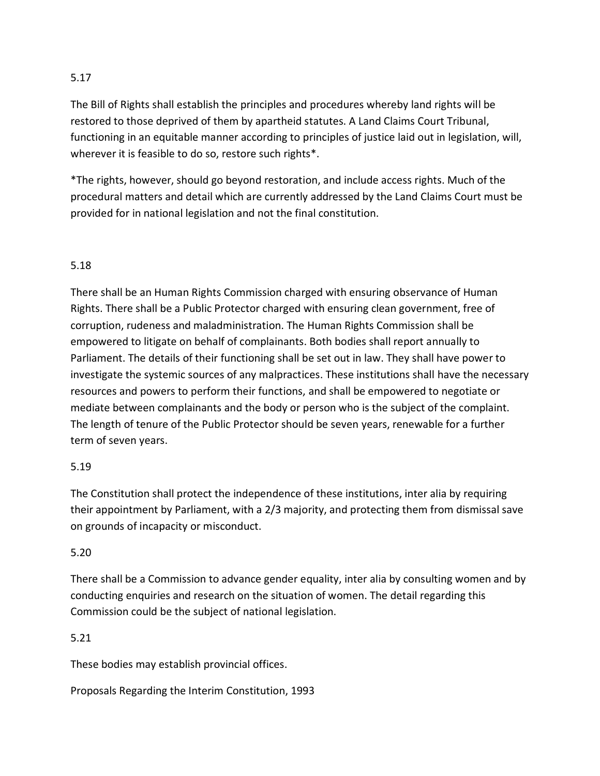The Bill of Rights shall establish the principles and procedures whereby land rights will be restored to those deprived of them by apartheid statutes. A Land Claims Court Tribunal, functioning in an equitable manner according to principles of justice laid out in legislation, will, wherever it is feasible to do so, restore such rights\*.

\*The rights, however, should go beyond restoration, and include access rights. Much of the procedural matters and detail which are currently addressed by the Land Claims Court must be provided for in national legislation and not the final constitution.

## 5.18

There shall be an Human Rights Commission charged with ensuring observance of Human Rights. There shall be a Public Protector charged with ensuring clean government, free of corruption, rudeness and maladministration. The Human Rights Commission shall be empowered to litigate on behalf of complainants. Both bodies shall report annually to Parliament. The details of their functioning shall be set out in law. They shall have power to investigate the systemic sources of any malpractices. These institutions shall have the necessary resources and powers to perform their functions, and shall be empowered to negotiate or mediate between complainants and the body or person who is the subject of the complaint. The length of tenure of the Public Protector should be seven years, renewable for a further term of seven years.

## 5.19

The Constitution shall protect the independence of these institutions, inter alia by requiring their appointment by Parliament, with a 2/3 majority, and protecting them from dismissal save on grounds of incapacity or misconduct.

## 5.20

There shall be a Commission to advance gender equality, inter alia by consulting women and by conducting enquiries and research on the situation of women. The detail regarding this Commission could be the subject of national legislation.

## 5.21

These bodies may establish provincial offices.

Proposals Regarding the Interim Constitution, 1993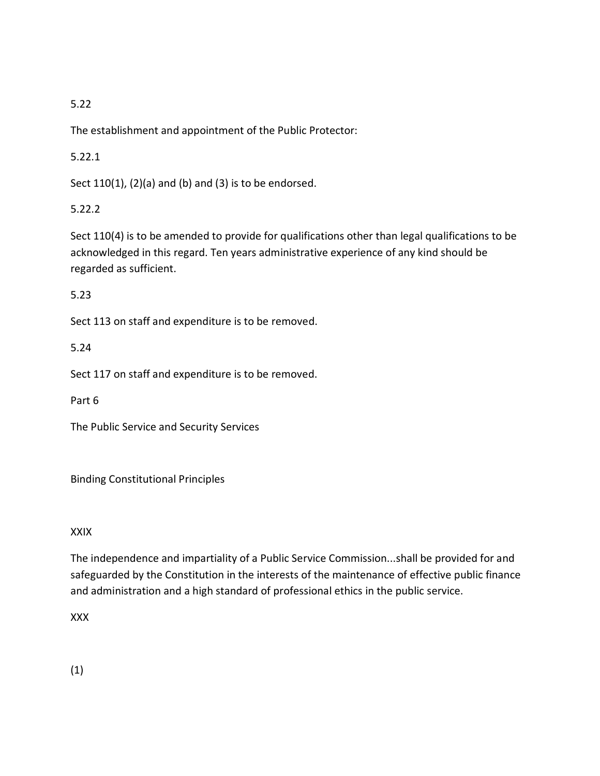The establishment and appointment of the Public Protector:

5.22.1

Sect  $110(1)$ ,  $(2)(a)$  and  $(b)$  and  $(3)$  is to be endorsed.

5.22.2

Sect 110(4) is to be amended to provide for qualifications other than legal qualifications to be acknowledged in this regard. Ten years administrative experience of any kind should be regarded as sufficient.

5.23

Sect 113 on staff and expenditure is to be removed.

5.24

Sect 117 on staff and expenditure is to be removed.

Part 6

The Public Service and Security Services

Binding Constitutional Principles

## XXIX

The independence and impartiality of a Public Service Commission...shall be provided for and safeguarded by the Constitution in the interests of the maintenance of effective public finance and administration and a high standard of professional ethics in the public service.

XXX

(1)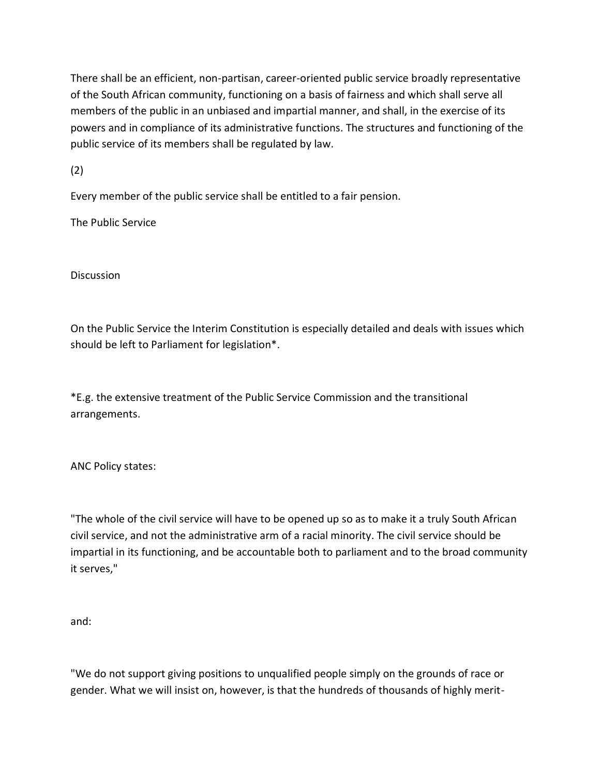There shall be an efficient, non-partisan, career-oriented public service broadly representative of the South African community, functioning on a basis of fairness and which shall serve all members of the public in an unbiased and impartial manner, and shall, in the exercise of its powers and in compliance of its administrative functions. The structures and functioning of the public service of its members shall be regulated by law.

(2)

Every member of the public service shall be entitled to a fair pension.

The Public Service

**Discussion** 

On the Public Service the Interim Constitution is especially detailed and deals with issues which should be left to Parliament for legislation\*.

\*E.g. the extensive treatment of the Public Service Commission and the transitional arrangements.

ANC Policy states:

"The whole of the civil service will have to be opened up so as to make it a truly South African civil service, and not the administrative arm of a racial minority. The civil service should be impartial in its functioning, and be accountable both to parliament and to the broad community it serves,"

and:

"We do not support giving positions to unqualified people simply on the grounds of race or gender. What we will insist on, however, is that the hundreds of thousands of highly merit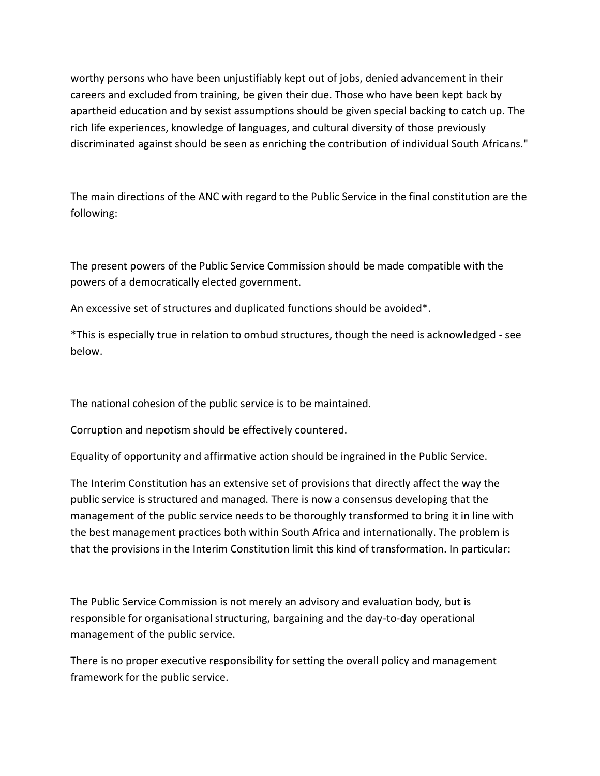worthy persons who have been unjustifiably kept out of jobs, denied advancement in their careers and excluded from training, be given their due. Those who have been kept back by apartheid education and by sexist assumptions should be given special backing to catch up. The rich life experiences, knowledge of languages, and cultural diversity of those previously discriminated against should be seen as enriching the contribution of individual South Africans."

The main directions of the ANC with regard to the Public Service in the final constitution are the following:

The present powers of the Public Service Commission should be made compatible with the powers of a democratically elected government.

An excessive set of structures and duplicated functions should be avoided\*.

\*This is especially true in relation to ombud structures, though the need is acknowledged - see below.

The national cohesion of the public service is to be maintained.

Corruption and nepotism should be effectively countered.

Equality of opportunity and affirmative action should be ingrained in the Public Service.

The Interim Constitution has an extensive set of provisions that directly affect the way the public service is structured and managed. There is now a consensus developing that the management of the public service needs to be thoroughly transformed to bring it in line with the best management practices both within South Africa and internationally. The problem is that the provisions in the Interim Constitution limit this kind of transformation. In particular:

The Public Service Commission is not merely an advisory and evaluation body, but is responsible for organisational structuring, bargaining and the day-to-day operational management of the public service.

There is no proper executive responsibility for setting the overall policy and management framework for the public service.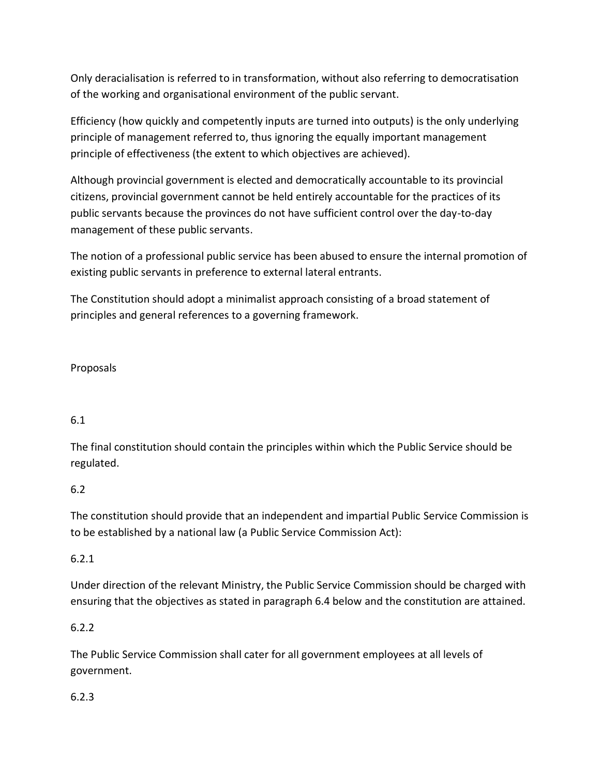Only deracialisation is referred to in transformation, without also referring to democratisation of the working and organisational environment of the public servant.

Efficiency (how quickly and competently inputs are turned into outputs) is the only underlying principle of management referred to, thus ignoring the equally important management principle of effectiveness (the extent to which objectives are achieved).

Although provincial government is elected and democratically accountable to its provincial citizens, provincial government cannot be held entirely accountable for the practices of its public servants because the provinces do not have sufficient control over the day-to-day management of these public servants.

The notion of a professional public service has been abused to ensure the internal promotion of existing public servants in preference to external lateral entrants.

The Constitution should adopt a minimalist approach consisting of a broad statement of principles and general references to a governing framework.

Proposals

# 6.1

The final constitution should contain the principles within which the Public Service should be regulated.

## 6.2

The constitution should provide that an independent and impartial Public Service Commission is to be established by a national law (a Public Service Commission Act):

## 6.2.1

Under direction of the relevant Ministry, the Public Service Commission should be charged with ensuring that the objectives as stated in paragraph 6.4 below and the constitution are attained.

# 6.2.2

The Public Service Commission shall cater for all government employees at all levels of government.

## 6.2.3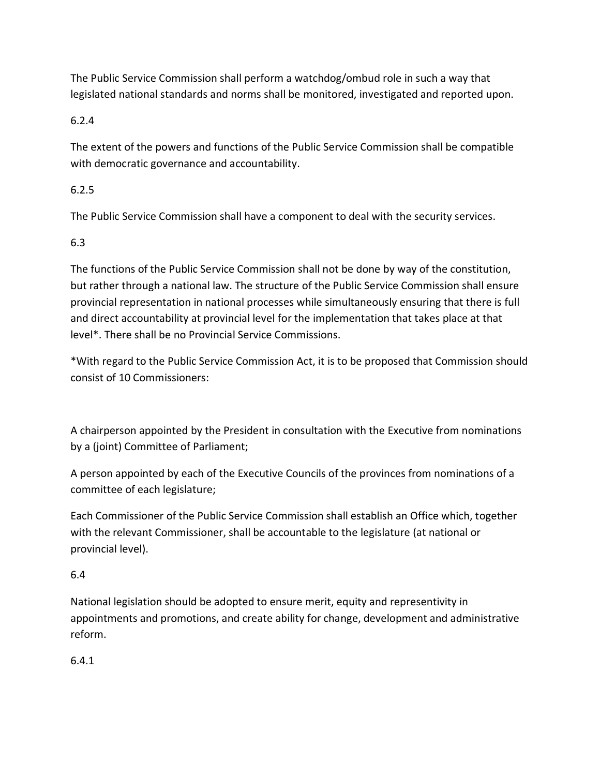The Public Service Commission shall perform a watchdog/ombud role in such a way that legislated national standards and norms shall be monitored, investigated and reported upon.

# 6.2.4

The extent of the powers and functions of the Public Service Commission shall be compatible with democratic governance and accountability.

## 6.2.5

The Public Service Commission shall have a component to deal with the security services.

# 6.3

The functions of the Public Service Commission shall not be done by way of the constitution, but rather through a national law. The structure of the Public Service Commission shall ensure provincial representation in national processes while simultaneously ensuring that there is full and direct accountability at provincial level for the implementation that takes place at that level\*. There shall be no Provincial Service Commissions.

\*With regard to the Public Service Commission Act, it is to be proposed that Commission should consist of 10 Commissioners:

A chairperson appointed by the President in consultation with the Executive from nominations by a (joint) Committee of Parliament;

A person appointed by each of the Executive Councils of the provinces from nominations of a committee of each legislature;

Each Commissioner of the Public Service Commission shall establish an Office which, together with the relevant Commissioner, shall be accountable to the legislature (at national or provincial level).

## 6.4

National legislation should be adopted to ensure merit, equity and representivity in appointments and promotions, and create ability for change, development and administrative reform.

## 6.4.1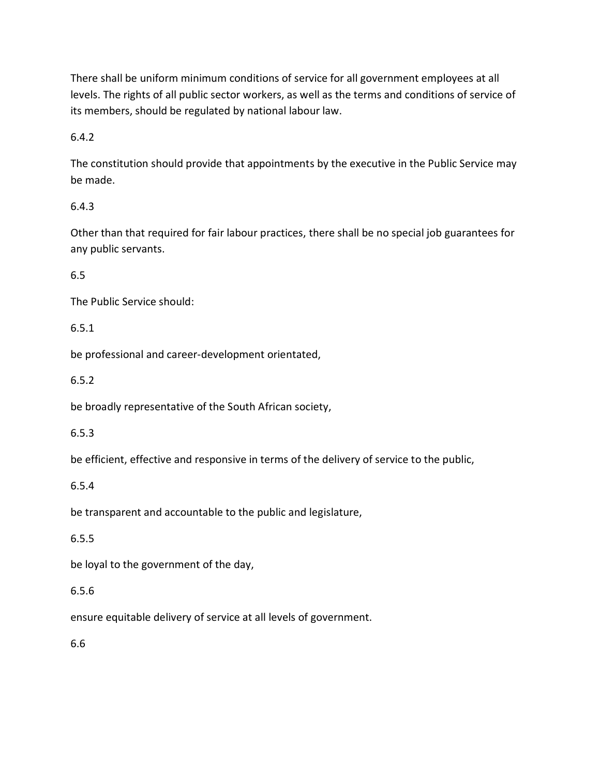There shall be uniform minimum conditions of service for all government employees at all levels. The rights of all public sector workers, as well as the terms and conditions of service of its members, should be regulated by national labour law.

6.4.2

The constitution should provide that appointments by the executive in the Public Service may be made.

6.4.3

Other than that required for fair labour practices, there shall be no special job guarantees for any public servants.

6.5

The Public Service should:

6.5.1

be professional and career-development orientated,

6.5.2

be broadly representative of the South African society,

6.5.3

be efficient, effective and responsive in terms of the delivery of service to the public,

6.5.4

be transparent and accountable to the public and legislature,

# 6.5.5

be loyal to the government of the day,

# 6.5.6

ensure equitable delivery of service at all levels of government.

6.6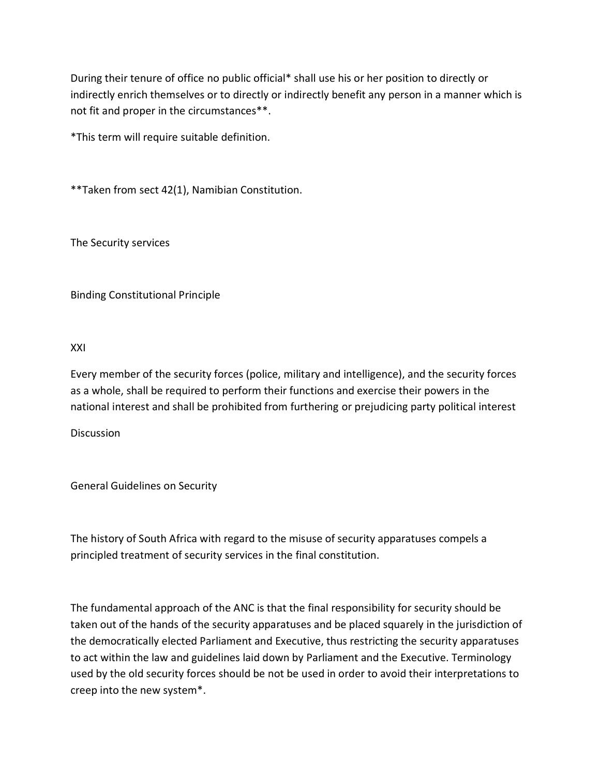During their tenure of office no public official\* shall use his or her position to directly or indirectly enrich themselves or to directly or indirectly benefit any person in a manner which is not fit and proper in the circumstances\*\*.

\*This term will require suitable definition.

\*\*Taken from sect 42(1), Namibian Constitution.

The Security services

Binding Constitutional Principle

XXI

Every member of the security forces (police, military and intelligence), and the security forces as a whole, shall be required to perform their functions and exercise their powers in the national interest and shall be prohibited from furthering or prejudicing party political interest

**Discussion** 

General Guidelines on Security

The history of South Africa with regard to the misuse of security apparatuses compels a principled treatment of security services in the final constitution.

The fundamental approach of the ANC is that the final responsibility for security should be taken out of the hands of the security apparatuses and be placed squarely in the jurisdiction of the democratically elected Parliament and Executive, thus restricting the security apparatuses to act within the law and guidelines laid down by Parliament and the Executive. Terminology used by the old security forces should be not be used in order to avoid their interpretations to creep into the new system\*.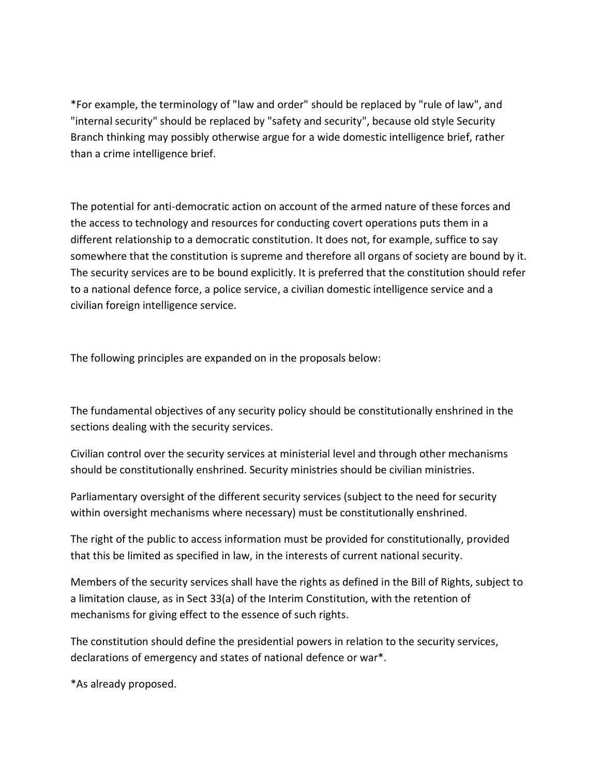\*For example, the terminology of "law and order" should be replaced by "rule of law", and "internal security" should be replaced by "safety and security", because old style Security Branch thinking may possibly otherwise argue for a wide domestic intelligence brief, rather than a crime intelligence brief.

The potential for anti-democratic action on account of the armed nature of these forces and the access to technology and resources for conducting covert operations puts them in a different relationship to a democratic constitution. It does not, for example, suffice to say somewhere that the constitution is supreme and therefore all organs of society are bound by it. The security services are to be bound explicitly. It is preferred that the constitution should refer to a national defence force, a police service, a civilian domestic intelligence service and a civilian foreign intelligence service.

The following principles are expanded on in the proposals below:

The fundamental objectives of any security policy should be constitutionally enshrined in the sections dealing with the security services.

Civilian control over the security services at ministerial level and through other mechanisms should be constitutionally enshrined. Security ministries should be civilian ministries.

Parliamentary oversight of the different security services (subject to the need for security within oversight mechanisms where necessary) must be constitutionally enshrined.

The right of the public to access information must be provided for constitutionally, provided that this be limited as specified in law, in the interests of current national security.

Members of the security services shall have the rights as defined in the Bill of Rights, subject to a limitation clause, as in Sect 33(a) of the Interim Constitution, with the retention of mechanisms for giving effect to the essence of such rights.

The constitution should define the presidential powers in relation to the security services, declarations of emergency and states of national defence or war\*.

\*As already proposed.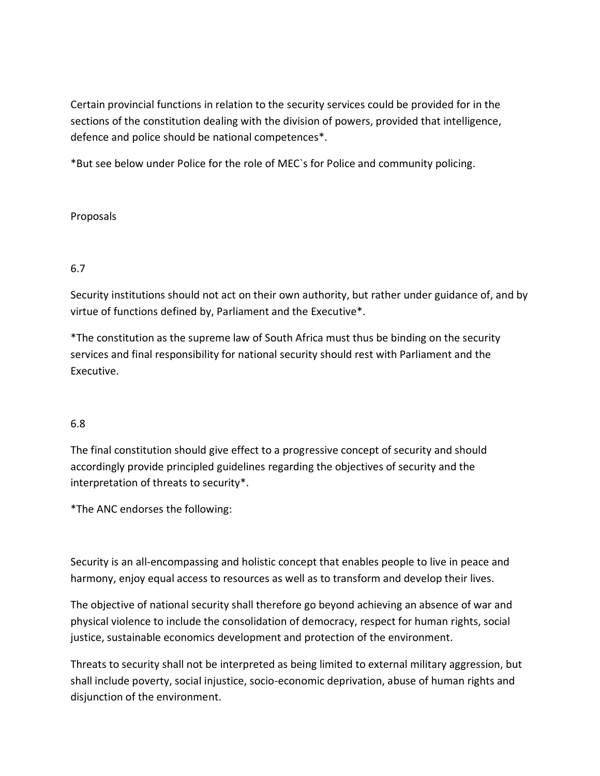Certain provincial functions in relation to the security services could be provided for in the sections of the constitution dealing with the division of powers, provided that intelligence, defence and police should be national competences\*.

\*But see below under Police for the role of MEC`s for Police and community policing.

#### Proposals

## 6.7

Security institutions should not act on their own authority, but rather under guidance of, and by virtue of functions defined by, Parliament and the Executive\*.

\*The constitution as the supreme law of South Africa must thus be binding on the security services and final responsibility for national security should rest with Parliament and the Executive.

## 6.8

The final constitution should give effect to a progressive concept of security and should accordingly provide principled guidelines regarding the objectives of security and the interpretation of threats to security\*.

\*The ANC endorses the following:

Security is an all-encompassing and holistic concept that enables people to live in peace and harmony, enjoy equal access to resources as well as to transform and develop their lives.

The objective of national security shall therefore go beyond achieving an absence of war and physical violence to include the consolidation of democracy, respect for human rights, social justice, sustainable economics development and protection of the environment.

Threats to security shall not be interpreted as being limited to external military aggression, but shall include poverty, social injustice, socio-economic deprivation, abuse of human rights and disjunction of the environment.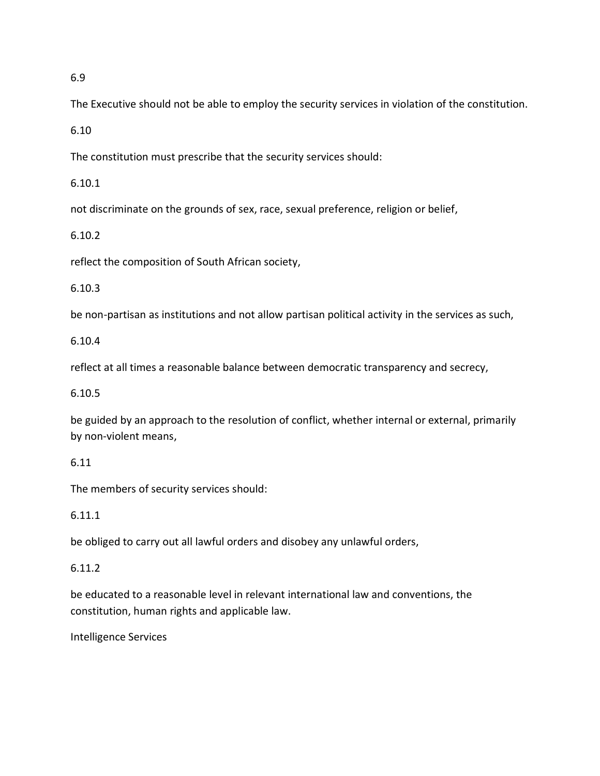The Executive should not be able to employ the security services in violation of the constitution.

6.10

The constitution must prescribe that the security services should:

6.10.1

not discriminate on the grounds of sex, race, sexual preference, religion or belief,

6.10.2

reflect the composition of South African society,

6.10.3

be non-partisan as institutions and not allow partisan political activity in the services as such,

6.10.4

reflect at all times a reasonable balance between democratic transparency and secrecy,

6.10.5

be guided by an approach to the resolution of conflict, whether internal or external, primarily by non-violent means,

6.11

The members of security services should:

6.11.1

be obliged to carry out all lawful orders and disobey any unlawful orders,

6.11.2

be educated to a reasonable level in relevant international law and conventions, the constitution, human rights and applicable law.

Intelligence Services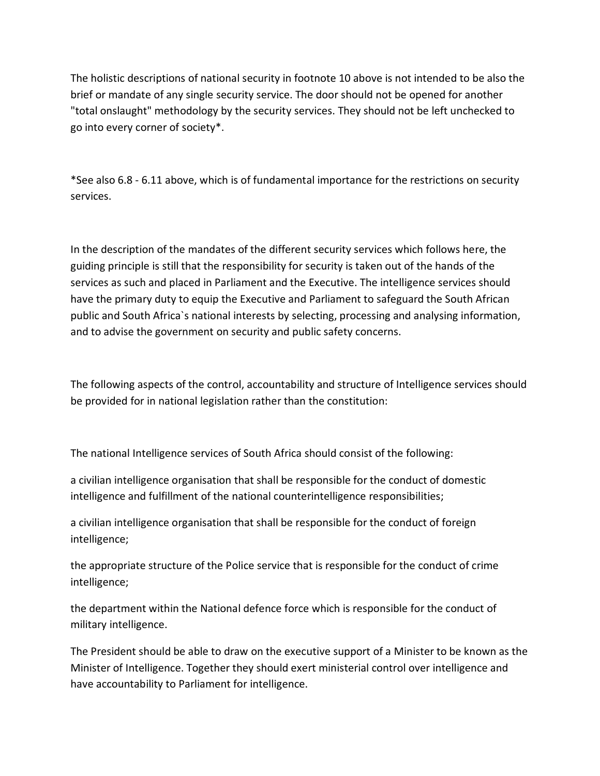The holistic descriptions of national security in footnote 10 above is not intended to be also the brief or mandate of any single security service. The door should not be opened for another "total onslaught" methodology by the security services. They should not be left unchecked to go into every corner of society\*.

\*See also 6.8 - 6.11 above, which is of fundamental importance for the restrictions on security services.

In the description of the mandates of the different security services which follows here, the guiding principle is still that the responsibility for security is taken out of the hands of the services as such and placed in Parliament and the Executive. The intelligence services should have the primary duty to equip the Executive and Parliament to safeguard the South African public and South Africa`s national interests by selecting, processing and analysing information, and to advise the government on security and public safety concerns.

The following aspects of the control, accountability and structure of Intelligence services should be provided for in national legislation rather than the constitution:

The national Intelligence services of South Africa should consist of the following:

a civilian intelligence organisation that shall be responsible for the conduct of domestic intelligence and fulfillment of the national counterintelligence responsibilities;

a civilian intelligence organisation that shall be responsible for the conduct of foreign intelligence;

the appropriate structure of the Police service that is responsible for the conduct of crime intelligence;

the department within the National defence force which is responsible for the conduct of military intelligence.

The President should be able to draw on the executive support of a Minister to be known as the Minister of Intelligence. Together they should exert ministerial control over intelligence and have accountability to Parliament for intelligence.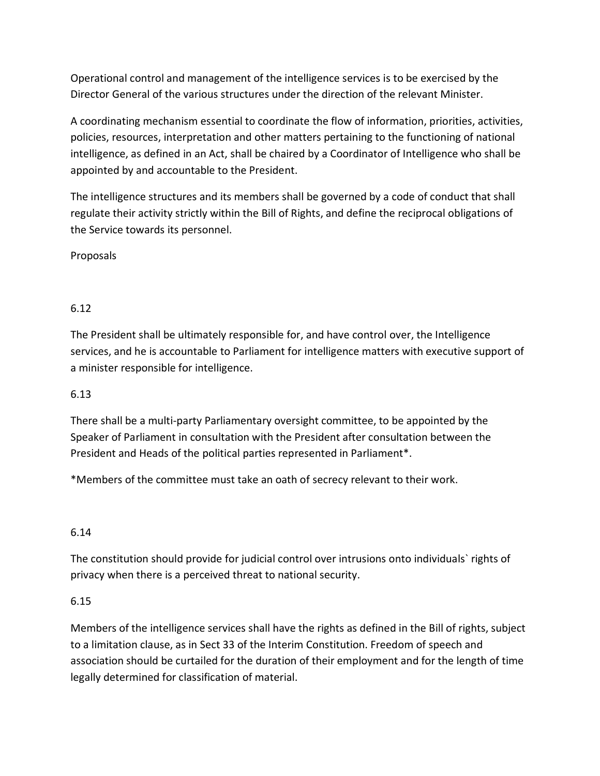Operational control and management of the intelligence services is to be exercised by the Director General of the various structures under the direction of the relevant Minister.

A coordinating mechanism essential to coordinate the flow of information, priorities, activities, policies, resources, interpretation and other matters pertaining to the functioning of national intelligence, as defined in an Act, shall be chaired by a Coordinator of Intelligence who shall be appointed by and accountable to the President.

The intelligence structures and its members shall be governed by a code of conduct that shall regulate their activity strictly within the Bill of Rights, and define the reciprocal obligations of the Service towards its personnel.

Proposals

### 6.12

The President shall be ultimately responsible for, and have control over, the Intelligence services, and he is accountable to Parliament for intelligence matters with executive support of a minister responsible for intelligence.

#### 6.13

There shall be a multi-party Parliamentary oversight committee, to be appointed by the Speaker of Parliament in consultation with the President after consultation between the President and Heads of the political parties represented in Parliament\*.

\*Members of the committee must take an oath of secrecy relevant to their work.

### 6.14

The constitution should provide for judicial control over intrusions onto individuals` rights of privacy when there is a perceived threat to national security.

### 6.15

Members of the intelligence services shall have the rights as defined in the Bill of rights, subject to a limitation clause, as in Sect 33 of the Interim Constitution. Freedom of speech and association should be curtailed for the duration of their employment and for the length of time legally determined for classification of material.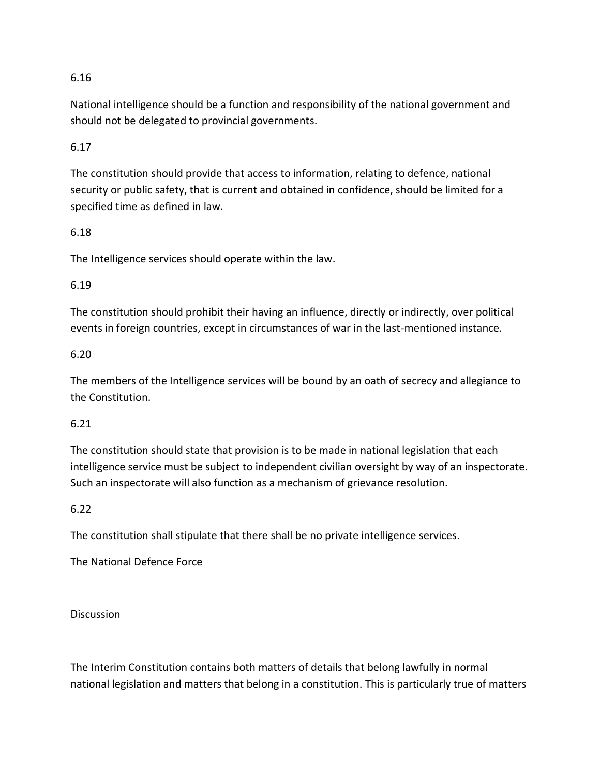#### 6.16

National intelligence should be a function and responsibility of the national government and should not be delegated to provincial governments.

6.17

The constitution should provide that access to information, relating to defence, national security or public safety, that is current and obtained in confidence, should be limited for a specified time as defined in law.

#### 6.18

The Intelligence services should operate within the law.

#### 6.19

The constitution should prohibit their having an influence, directly or indirectly, over political events in foreign countries, except in circumstances of war in the last-mentioned instance.

#### 6.20

The members of the Intelligence services will be bound by an oath of secrecy and allegiance to the Constitution.

#### 6.21

The constitution should state that provision is to be made in national legislation that each intelligence service must be subject to independent civilian oversight by way of an inspectorate. Such an inspectorate will also function as a mechanism of grievance resolution.

### 6.22

The constitution shall stipulate that there shall be no private intelligence services.

The National Defence Force

**Discussion** 

The Interim Constitution contains both matters of details that belong lawfully in normal national legislation and matters that belong in a constitution. This is particularly true of matters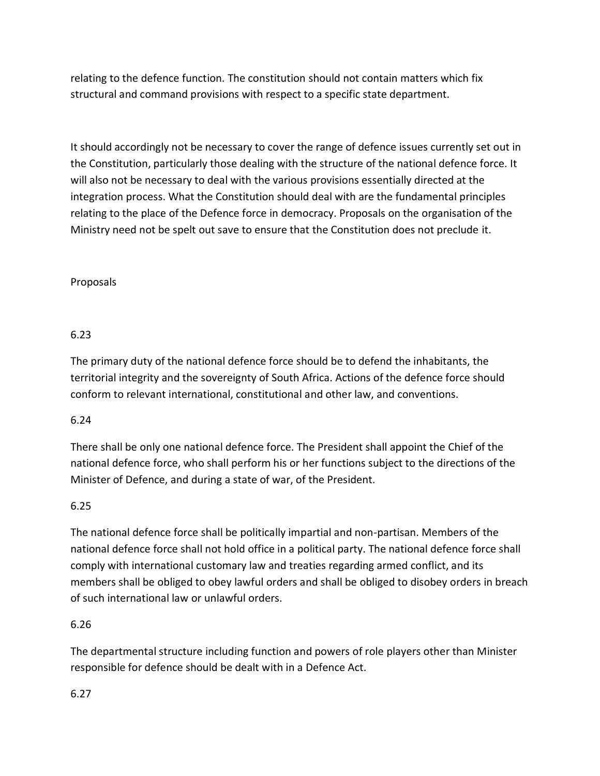relating to the defence function. The constitution should not contain matters which fix structural and command provisions with respect to a specific state department.

It should accordingly not be necessary to cover the range of defence issues currently set out in the Constitution, particularly those dealing with the structure of the national defence force. It will also not be necessary to deal with the various provisions essentially directed at the integration process. What the Constitution should deal with are the fundamental principles relating to the place of the Defence force in democracy. Proposals on the organisation of the Ministry need not be spelt out save to ensure that the Constitution does not preclude it.

### Proposals

### 6.23

The primary duty of the national defence force should be to defend the inhabitants, the territorial integrity and the sovereignty of South Africa. Actions of the defence force should conform to relevant international, constitutional and other law, and conventions.

# 6.24

There shall be only one national defence force. The President shall appoint the Chief of the national defence force, who shall perform his or her functions subject to the directions of the Minister of Defence, and during a state of war, of the President.

# 6.25

The national defence force shall be politically impartial and non-partisan. Members of the national defence force shall not hold office in a political party. The national defence force shall comply with international customary law and treaties regarding armed conflict, and its members shall be obliged to obey lawful orders and shall be obliged to disobey orders in breach of such international law or unlawful orders.

## 6.26

The departmental structure including function and powers of role players other than Minister responsible for defence should be dealt with in a Defence Act.

## 6.27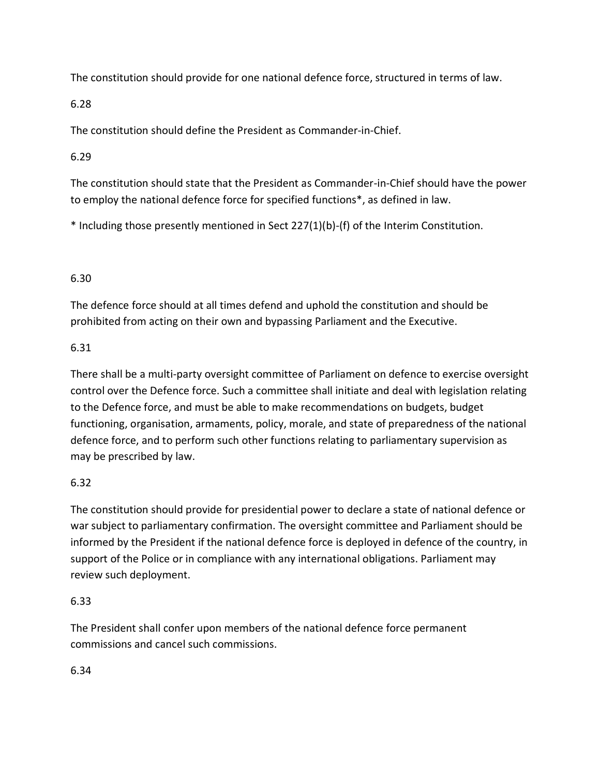The constitution should provide for one national defence force, structured in terms of law.

6.28

The constitution should define the President as Commander-in-Chief.

### 6.29

The constitution should state that the President as Commander-in-Chief should have the power to employ the national defence force for specified functions\*, as defined in law.

\* Including those presently mentioned in Sect 227(1)(b)-(f) of the Interim Constitution.

# 6.30

The defence force should at all times defend and uphold the constitution and should be prohibited from acting on their own and bypassing Parliament and the Executive.

# 6.31

There shall be a multi-party oversight committee of Parliament on defence to exercise oversight control over the Defence force. Such a committee shall initiate and deal with legislation relating to the Defence force, and must be able to make recommendations on budgets, budget functioning, organisation, armaments, policy, morale, and state of preparedness of the national defence force, and to perform such other functions relating to parliamentary supervision as may be prescribed by law.

## 6.32

The constitution should provide for presidential power to declare a state of national defence or war subject to parliamentary confirmation. The oversight committee and Parliament should be informed by the President if the national defence force is deployed in defence of the country, in support of the Police or in compliance with any international obligations. Parliament may review such deployment.

## 6.33

The President shall confer upon members of the national defence force permanent commissions and cancel such commissions.

6.34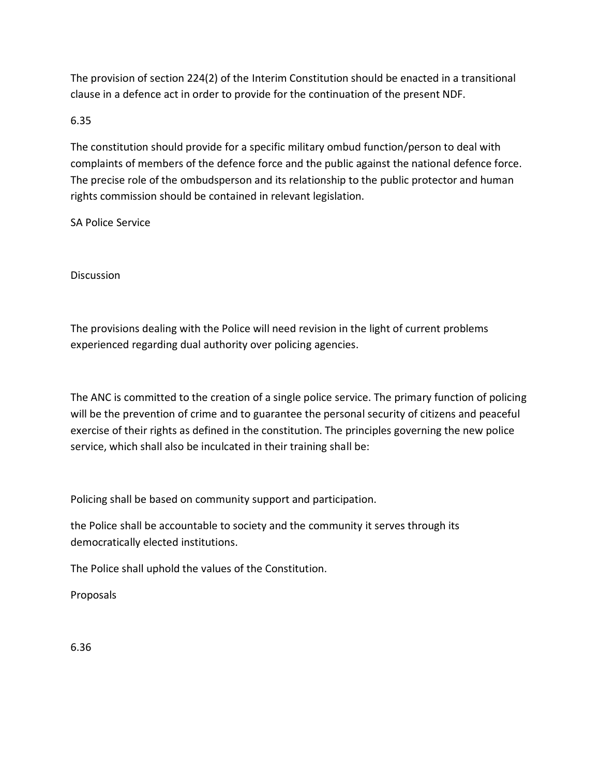The provision of section 224(2) of the Interim Constitution should be enacted in a transitional clause in a defence act in order to provide for the continuation of the present NDF.

#### 6.35

The constitution should provide for a specific military ombud function/person to deal with complaints of members of the defence force and the public against the national defence force. The precise role of the ombudsperson and its relationship to the public protector and human rights commission should be contained in relevant legislation.

SA Police Service

**Discussion** 

The provisions dealing with the Police will need revision in the light of current problems experienced regarding dual authority over policing agencies.

The ANC is committed to the creation of a single police service. The primary function of policing will be the prevention of crime and to guarantee the personal security of citizens and peaceful exercise of their rights as defined in the constitution. The principles governing the new police service, which shall also be inculcated in their training shall be:

Policing shall be based on community support and participation.

the Police shall be accountable to society and the community it serves through its democratically elected institutions.

The Police shall uphold the values of the Constitution.

Proposals

6.36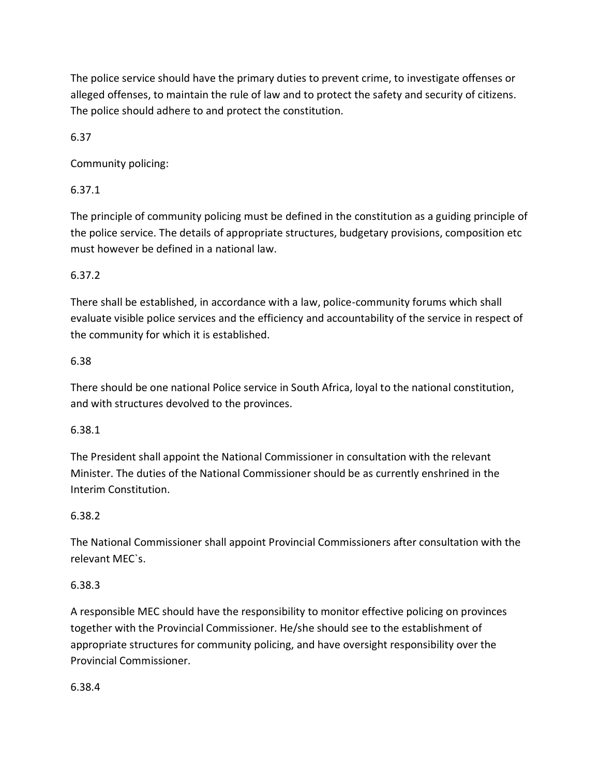The police service should have the primary duties to prevent crime, to investigate offenses or alleged offenses, to maintain the rule of law and to protect the safety and security of citizens. The police should adhere to and protect the constitution.

6.37

Community policing:

6.37.1

The principle of community policing must be defined in the constitution as a guiding principle of the police service. The details of appropriate structures, budgetary provisions, composition etc must however be defined in a national law.

## 6.37.2

There shall be established, in accordance with a law, police-community forums which shall evaluate visible police services and the efficiency and accountability of the service in respect of the community for which it is established.

### 6.38

There should be one national Police service in South Africa, loyal to the national constitution, and with structures devolved to the provinces.

### 6.38.1

The President shall appoint the National Commissioner in consultation with the relevant Minister. The duties of the National Commissioner should be as currently enshrined in the Interim Constitution.

## 6.38.2

The National Commissioner shall appoint Provincial Commissioners after consultation with the relevant MEC`s.

## 6.38.3

A responsible MEC should have the responsibility to monitor effective policing on provinces together with the Provincial Commissioner. He/she should see to the establishment of appropriate structures for community policing, and have oversight responsibility over the Provincial Commissioner.

### 6.38.4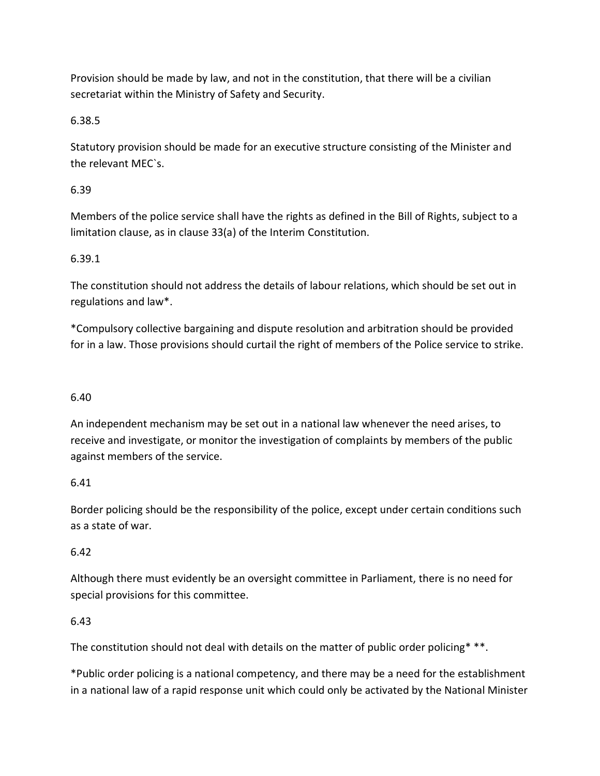Provision should be made by law, and not in the constitution, that there will be a civilian secretariat within the Ministry of Safety and Security.

### 6.38.5

Statutory provision should be made for an executive structure consisting of the Minister and the relevant MEC`s.

#### 6.39

Members of the police service shall have the rights as defined in the Bill of Rights, subject to a limitation clause, as in clause 33(a) of the Interim Constitution.

#### 6.39.1

The constitution should not address the details of labour relations, which should be set out in regulations and law\*.

\*Compulsory collective bargaining and dispute resolution and arbitration should be provided for in a law. Those provisions should curtail the right of members of the Police service to strike.

#### 6.40

An independent mechanism may be set out in a national law whenever the need arises, to receive and investigate, or monitor the investigation of complaints by members of the public against members of the service.

### 6.41

Border policing should be the responsibility of the police, except under certain conditions such as a state of war.

### 6.42

Although there must evidently be an oversight committee in Parliament, there is no need for special provisions for this committee.

### 6.43

The constitution should not deal with details on the matter of public order policing\* \*\*.

\*Public order policing is a national competency, and there may be a need for the establishment in a national law of a rapid response unit which could only be activated by the National Minister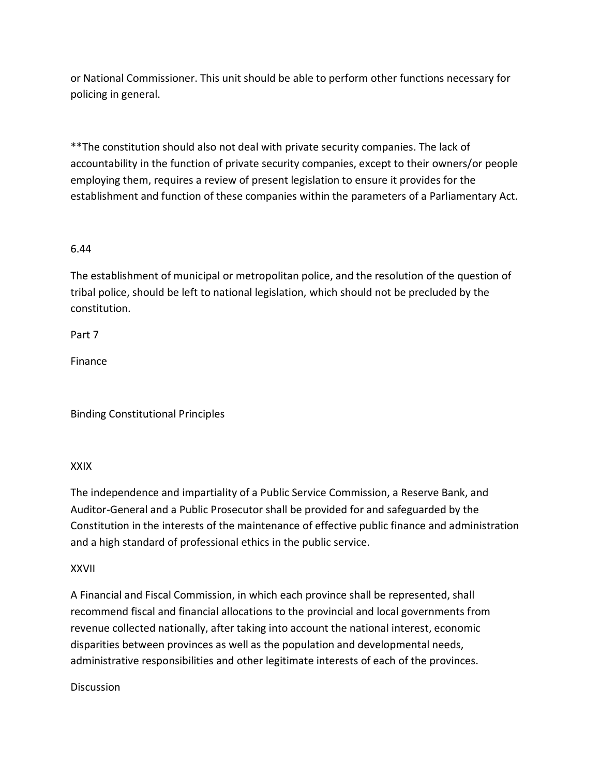or National Commissioner. This unit should be able to perform other functions necessary for policing in general.

\*\*The constitution should also not deal with private security companies. The lack of accountability in the function of private security companies, except to their owners/or people employing them, requires a review of present legislation to ensure it provides for the establishment and function of these companies within the parameters of a Parliamentary Act.

#### 6.44

The establishment of municipal or metropolitan police, and the resolution of the question of tribal police, should be left to national legislation, which should not be precluded by the constitution.

Part 7

Finance

Binding Constitutional Principles

XXIX

The independence and impartiality of a Public Service Commission, a Reserve Bank, and Auditor-General and a Public Prosecutor shall be provided for and safeguarded by the Constitution in the interests of the maintenance of effective public finance and administration and a high standard of professional ethics in the public service.

XXVII

A Financial and Fiscal Commission, in which each province shall be represented, shall recommend fiscal and financial allocations to the provincial and local governments from revenue collected nationally, after taking into account the national interest, economic disparities between provinces as well as the population and developmental needs, administrative responsibilities and other legitimate interests of each of the provinces.

**Discussion**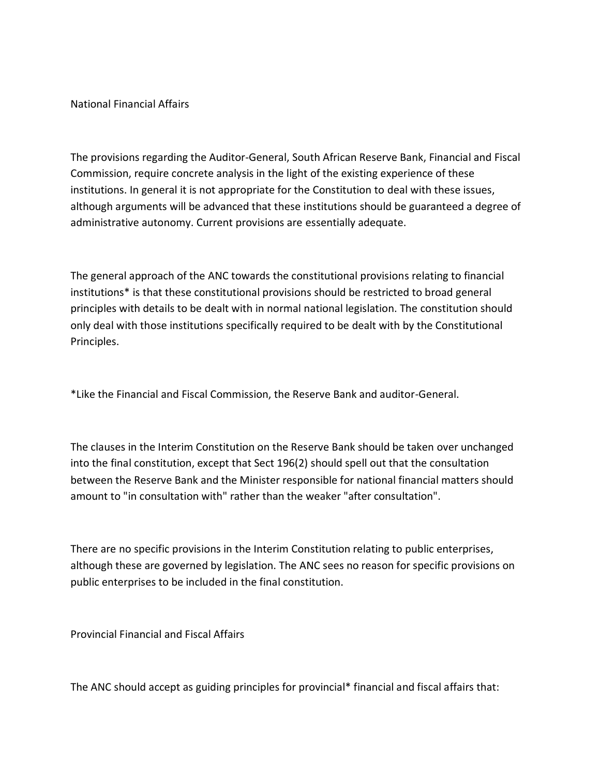#### National Financial Affairs

The provisions regarding the Auditor-General, South African Reserve Bank, Financial and Fiscal Commission, require concrete analysis in the light of the existing experience of these institutions. In general it is not appropriate for the Constitution to deal with these issues, although arguments will be advanced that these institutions should be guaranteed a degree of administrative autonomy. Current provisions are essentially adequate.

The general approach of the ANC towards the constitutional provisions relating to financial institutions\* is that these constitutional provisions should be restricted to broad general principles with details to be dealt with in normal national legislation. The constitution should only deal with those institutions specifically required to be dealt with by the Constitutional Principles.

\*Like the Financial and Fiscal Commission, the Reserve Bank and auditor-General.

The clauses in the Interim Constitution on the Reserve Bank should be taken over unchanged into the final constitution, except that Sect 196(2) should spell out that the consultation between the Reserve Bank and the Minister responsible for national financial matters should amount to "in consultation with" rather than the weaker "after consultation".

There are no specific provisions in the Interim Constitution relating to public enterprises, although these are governed by legislation. The ANC sees no reason for specific provisions on public enterprises to be included in the final constitution.

Provincial Financial and Fiscal Affairs

The ANC should accept as guiding principles for provincial\* financial and fiscal affairs that: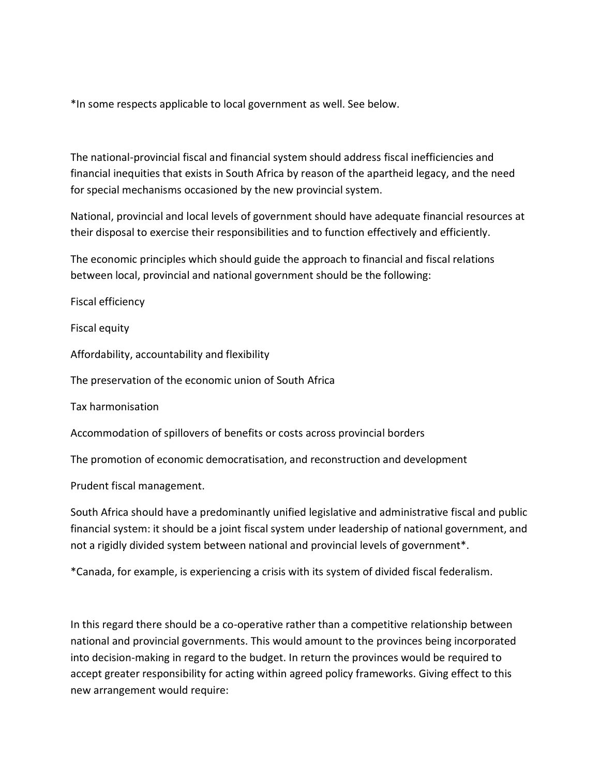\*In some respects applicable to local government as well. See below.

The national-provincial fiscal and financial system should address fiscal inefficiencies and financial inequities that exists in South Africa by reason of the apartheid legacy, and the need for special mechanisms occasioned by the new provincial system.

National, provincial and local levels of government should have adequate financial resources at their disposal to exercise their responsibilities and to function effectively and efficiently.

The economic principles which should guide the approach to financial and fiscal relations between local, provincial and national government should be the following:

Fiscal efficiency

Fiscal equity

Affordability, accountability and flexibility

The preservation of the economic union of South Africa

Tax harmonisation

Accommodation of spillovers of benefits or costs across provincial borders

The promotion of economic democratisation, and reconstruction and development

Prudent fiscal management.

South Africa should have a predominantly unified legislative and administrative fiscal and public financial system: it should be a joint fiscal system under leadership of national government, and not a rigidly divided system between national and provincial levels of government\*.

\*Canada, for example, is experiencing a crisis with its system of divided fiscal federalism.

In this regard there should be a co-operative rather than a competitive relationship between national and provincial governments. This would amount to the provinces being incorporated into decision-making in regard to the budget. In return the provinces would be required to accept greater responsibility for acting within agreed policy frameworks. Giving effect to this new arrangement would require: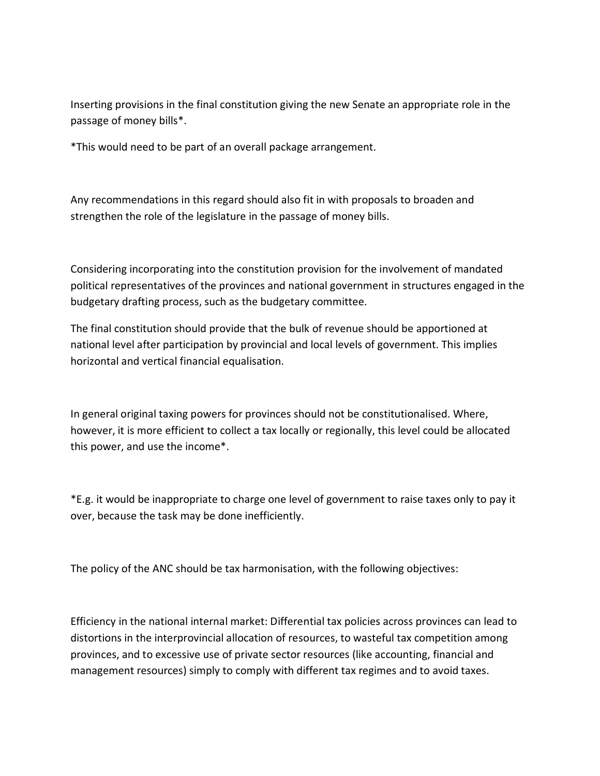Inserting provisions in the final constitution giving the new Senate an appropriate role in the passage of money bills\*.

\*This would need to be part of an overall package arrangement.

Any recommendations in this regard should also fit in with proposals to broaden and strengthen the role of the legislature in the passage of money bills.

Considering incorporating into the constitution provision for the involvement of mandated political representatives of the provinces and national government in structures engaged in the budgetary drafting process, such as the budgetary committee.

The final constitution should provide that the bulk of revenue should be apportioned at national level after participation by provincial and local levels of government. This implies horizontal and vertical financial equalisation.

In general original taxing powers for provinces should not be constitutionalised. Where, however, it is more efficient to collect a tax locally or regionally, this level could be allocated this power, and use the income\*.

\*E.g. it would be inappropriate to charge one level of government to raise taxes only to pay it over, because the task may be done inefficiently.

The policy of the ANC should be tax harmonisation, with the following objectives:

Efficiency in the national internal market: Differential tax policies across provinces can lead to distortions in the interprovincial allocation of resources, to wasteful tax competition among provinces, and to excessive use of private sector resources (like accounting, financial and management resources) simply to comply with different tax regimes and to avoid taxes.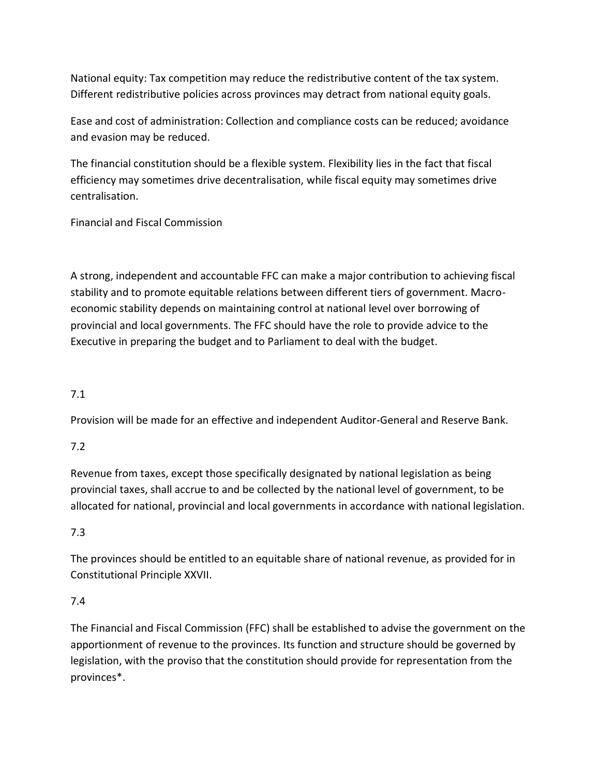National equity: Tax competition may reduce the redistributive content of the tax system. Different redistributive policies across provinces may detract from national equity goals.

Ease and cost of administration: Collection and compliance costs can be reduced; avoidance and evasion may be reduced.

The financial constitution should be a flexible system. Flexibility lies in the fact that fiscal efficiency may sometimes drive decentralisation, while fiscal equity may sometimes drive centralisation.

Financial and Fiscal Commission

A strong, independent and accountable FFC can make a major contribution to achieving fiscal stability and to promote equitable relations between different tiers of government. Macroeconomic stability depends on maintaining control at national level over borrowing of provincial and local governments. The FFC should have the role to provide advice to the Executive in preparing the budget and to Parliament to deal with the budget.

#### 7.1

Provision will be made for an effective and independent Auditor-General and Reserve Bank.

### 7.2

Revenue from taxes, except those specifically designated by national legislation as being provincial taxes, shall accrue to and be collected by the national level of government, to be allocated for national, provincial and local governments in accordance with national legislation.

### 7.3

The provinces should be entitled to an equitable share of national revenue, as provided for in Constitutional Principle XXVII.

#### 7.4

The Financial and Fiscal Commission (FFC) shall be established to advise the government on the apportionment of revenue to the provinces. Its function and structure should be governed by legislation, with the proviso that the constitution should provide for representation from the provinces\*.